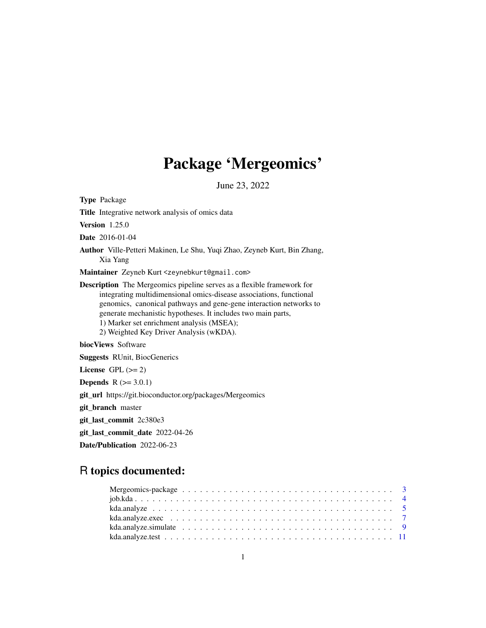# Package 'Mergeomics'

June 23, 2022

Type Package Title Integrative network analysis of omics data Version 1.25.0 Date 2016-01-04 Author Ville-Petteri Makinen, Le Shu, Yuqi Zhao, Zeyneb Kurt, Bin Zhang, Xia Yang Maintainer Zeyneb Kurt <zeynebkurt@gmail.com> Description The Mergeomics pipeline serves as a flexible framework for integrating multidimensional omics-disease associations, functional genomics, canonical pathways and gene-gene interaction networks to generate mechanistic hypotheses. It includes two main parts, 1) Marker set enrichment analysis (MSEA); 2) Weighted Key Driver Analysis (wKDA). biocViews Software Suggests RUnit, BiocGenerics License GPL  $(>= 2)$ **Depends**  $R (= 3.0.1)$ git\_url https://git.bioconductor.org/packages/Mergeomics git\_branch master git\_last\_commit 2c380e3 git\_last\_commit\_date 2022-04-26 Date/Publication 2022-06-23

## R topics documented:

| kda.analyze.simulate $\ldots \ldots \ldots \ldots \ldots \ldots \ldots \ldots \ldots \ldots \ldots \ldots$ |  |
|------------------------------------------------------------------------------------------------------------|--|
|                                                                                                            |  |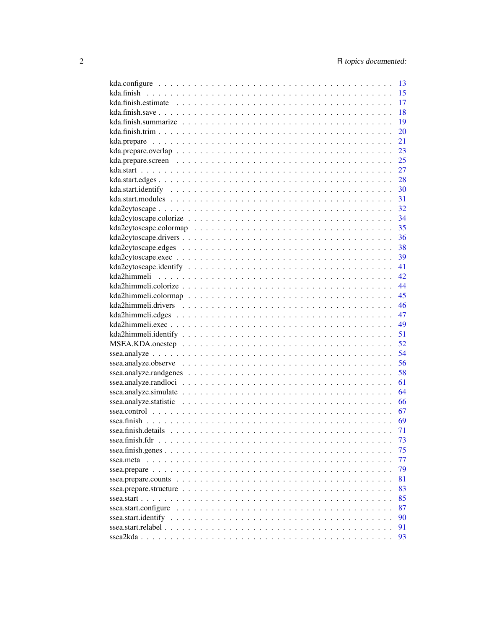| 13 |
|----|
| 15 |
| 17 |
| 18 |
| 19 |
| 20 |
| 21 |
| 23 |
| 25 |
| 27 |
| 28 |
| 30 |
| 31 |
| 32 |
| 34 |
| 35 |
| 36 |
|    |
|    |
|    |
| 41 |
| 42 |
| 44 |
| 45 |
| 46 |
|    |
| 49 |
|    |
|    |
|    |
|    |
|    |
|    |
|    |
|    |
|    |
|    |
| 71 |
| 73 |
| 75 |
| 77 |
| 79 |
| 81 |
| 83 |
| 85 |
| 87 |
| 90 |
| 91 |
| 93 |
|    |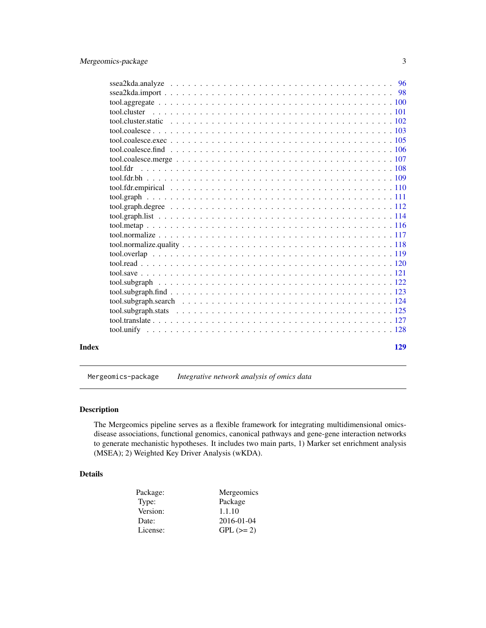<span id="page-2-0"></span>

|       | tool.cluster |
|-------|--------------|
|       |              |
|       |              |
|       |              |
|       |              |
|       |              |
|       |              |
|       |              |
|       |              |
|       |              |
|       |              |
|       |              |
|       |              |
|       |              |
|       |              |
|       |              |
|       |              |
|       |              |
|       |              |
|       |              |
|       |              |
|       |              |
|       |              |
|       |              |
| Index | 129          |

Mergeomics-package *Integrative network analysis of omics data*

## Description

The Mergeomics pipeline serves as a flexible framework for integrating multidimensional omicsdisease associations, functional genomics, canonical pathways and gene-gene interaction networks to generate mechanistic hypotheses. It includes two main parts, 1) Marker set enrichment analysis (MSEA); 2) Weighted Key Driver Analysis (wKDA).

## Details

| Package: | Mergeomics |
|----------|------------|
| Type:    | Package    |
| Version: | 1.1.10     |
| Date:    | 2016-01-04 |
| License: | $GPL (=2)$ |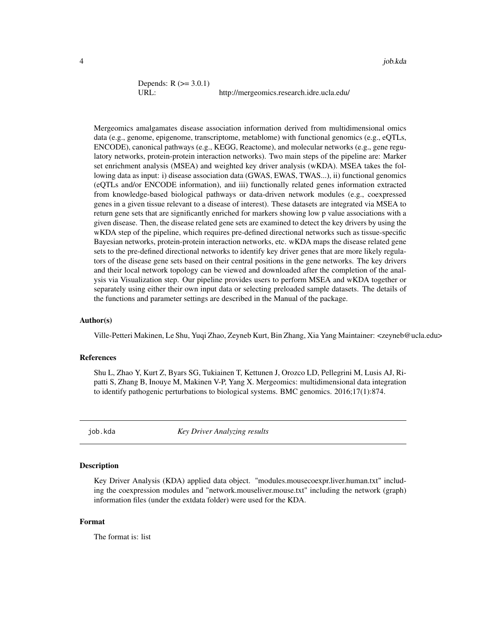```
Depends: R (> = 3.0.1)
URL: http://mergeomics.research.idre.ucla.edu/
```
Mergeomics amalgamates disease association information derived from multidimensional omics data (e.g., genome, epigenome, transcriptome, metablome) with functional genomics (e.g., eQTLs, ENCODE), canonical pathways (e.g., KEGG, Reactome), and molecular networks (e.g., gene regulatory networks, protein-protein interaction networks). Two main steps of the pipeline are: Marker set enrichment analysis (MSEA) and weighted key driver analysis (wKDA). MSEA takes the following data as input: i) disease association data (GWAS, EWAS, TWAS...), ii) functional genomics (eQTLs and/or ENCODE information), and iii) functionally related genes information extracted from knowledge-based biological pathways or data-driven network modules (e.g., coexpressed genes in a given tissue relevant to a disease of interest). These datasets are integrated via MSEA to return gene sets that are significantly enriched for markers showing low p value associations with a given disease. Then, the disease related gene sets are examined to detect the key drivers by using the wKDA step of the pipeline, which requires pre-defined directional networks such as tissue-specific Bayesian networks, protein-protein interaction networks, etc. wKDA maps the disease related gene sets to the pre-defined directional networks to identify key driver genes that are more likely regulators of the disease gene sets based on their central positions in the gene networks. The key drivers and their local network topology can be viewed and downloaded after the completion of the analysis via Visualization step. Our pipeline provides users to perform MSEA and wKDA together or separately using either their own input data or selecting preloaded sample datasets. The details of the functions and parameter settings are described in the Manual of the package.

## Author(s)

Ville-Petteri Makinen, Le Shu, Yuqi Zhao, Zeyneb Kurt, Bin Zhang, Xia Yang Maintainer: <zeyneb@ucla.edu>

## References

Shu L, Zhao Y, Kurt Z, Byars SG, Tukiainen T, Kettunen J, Orozco LD, Pellegrini M, Lusis AJ, Ripatti S, Zhang B, Inouye M, Makinen V-P, Yang X. Mergeomics: multidimensional data integration to identify pathogenic perturbations to biological systems. BMC genomics. 2016;17(1):874.

job.kda *Key Driver Analyzing results*

## Description

Key Driver Analysis (KDA) applied data object. "modules.mousecoexpr.liver.human.txt" including the coexpression modules and "network.mouseliver.mouse.txt" including the network (graph) information files (under the extdata folder) were used for the KDA.

## Format

The format is: list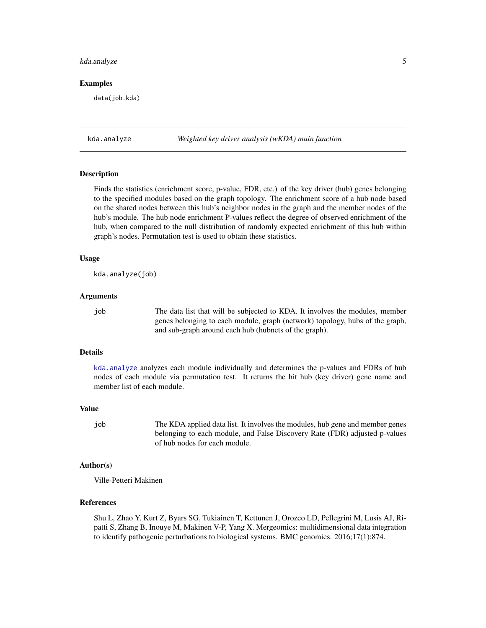## <span id="page-4-0"></span>kda.analyze 5

## Examples

data(job.kda)

<span id="page-4-1"></span>kda.analyze *Weighted key driver analysis (wKDA) main function*

## Description

Finds the statistics (enrichment score, p-value, FDR, etc.) of the key driver (hub) genes belonging to the specified modules based on the graph topology. The enrichment score of a hub node based on the shared nodes between this hub's neighbor nodes in the graph and the member nodes of the hub's module. The hub node enrichment P-values reflect the degree of observed enrichment of the hub, when compared to the null distribution of randomly expected enrichment of this hub within graph's nodes. Permutation test is used to obtain these statistics.

## Usage

kda.analyze(job)

#### Arguments

job The data list that will be subjected to KDA. It involves the modules, member genes belonging to each module, graph (network) topology, hubs of the graph, and sub-graph around each hub (hubnets of the graph).

## Details

[kda.analyze](#page-4-1) analyzes each module individually and determines the p-values and FDRs of hub nodes of each module via permutation test. It returns the hit hub (key driver) gene name and member list of each module.

#### Value

job The KDA applied data list. It involves the modules, hub gene and member genes belonging to each module, and False Discovery Rate (FDR) adjusted p-values of hub nodes for each module.

## Author(s)

Ville-Petteri Makinen

## References

Shu L, Zhao Y, Kurt Z, Byars SG, Tukiainen T, Kettunen J, Orozco LD, Pellegrini M, Lusis AJ, Ripatti S, Zhang B, Inouye M, Makinen V-P, Yang X. Mergeomics: multidimensional data integration to identify pathogenic perturbations to biological systems. BMC genomics. 2016;17(1):874.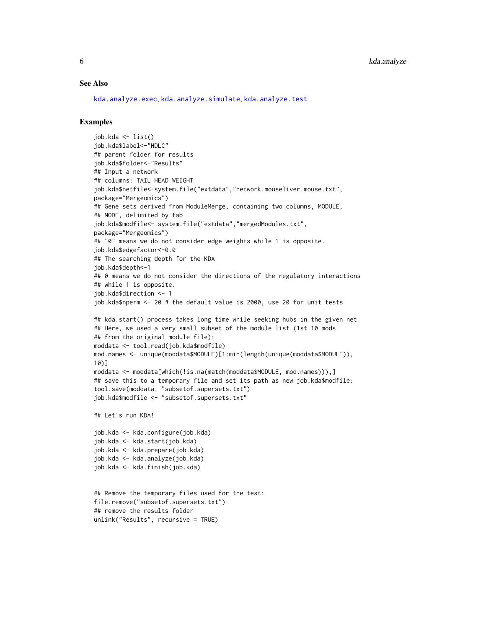#### See Also

[kda.analyze.exec](#page-6-1), [kda.analyze.simulate](#page-8-1), [kda.analyze.test](#page-10-1)

```
job.kda <- list()
job.kda$label<-"HDLC"
## parent folder for results
job.kda$folder<-"Results"
## Input a network
## columns: TAIL HEAD WEIGHT
job.kda$netfile<-system.file("extdata","network.mouseliver.mouse.txt",
package="Mergeomics")
## Gene sets derived from ModuleMerge, containing two columns, MODULE,
## NODE, delimited by tab
job.kda$modfile<- system.file("extdata","mergedModules.txt",
package="Mergeomics")
## "0" means we do not consider edge weights while 1 is opposite.
job.kda$edgefactor<-0.0
## The searching depth for the KDA
job.kda$depth<-1
## 0 means we do not consider the directions of the regulatory interactions
## while 1 is opposite.
job.kda$direction <- 1
job.kda$nperm <- 20 # the default value is 2000, use 20 for unit tests
## kda.start() process takes long time while seeking hubs in the given net
## Here, we used a very small subset of the module list (1st 10 mods
## from the original module file):
moddata <- tool.read(job.kda$modfile)
mod.names <- unique(moddata$MODULE)[1:min(length(unique(moddata$MODULE)),
10)]
moddata <- moddata[which(!is.na(match(moddata$MODULE, mod.names))),]
## save this to a temporary file and set its path as new job.kda$modfile:
tool.save(moddata, "subsetof.supersets.txt")
job.kda$modfile <- "subsetof.supersets.txt"
## Let's run KDA!
job.kda <- kda.configure(job.kda)
job.kda <- kda.start(job.kda)
job.kda <- kda.prepare(job.kda)
job.kda <- kda.analyze(job.kda)
job.kda <- kda.finish(job.kda)
## Remove the temporary files used for the test:
file.remove("subsetof.supersets.txt")
## remove the results folder
unlink("Results", recursive = TRUE)
```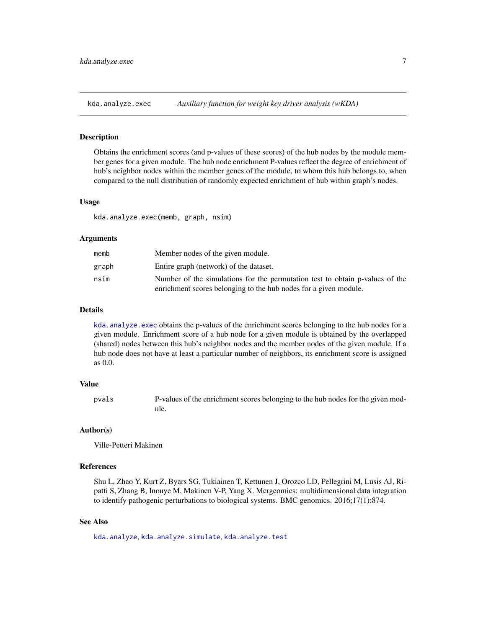<span id="page-6-1"></span><span id="page-6-0"></span>

#### Description

Obtains the enrichment scores (and p-values of these scores) of the hub nodes by the module member genes for a given module. The hub node enrichment P-values reflect the degree of enrichment of hub's neighbor nodes within the member genes of the module, to whom this hub belongs to, when compared to the null distribution of randomly expected enrichment of hub within graph's nodes.

#### Usage

kda.analyze.exec(memb, graph, nsim)

#### Arguments

| memb  | Member nodes of the given module.                                            |
|-------|------------------------------------------------------------------------------|
| graph | Entire graph (network) of the dataset.                                       |
| nsim  | Number of the simulations for the permutation test to obtain p-values of the |
|       | enrichment scores belonging to the hub nodes for a given module.             |

## Details

kda. analyze. exec obtains the p-values of the enrichment scores belonging to the hub nodes for a given module. Enrichment score of a hub node for a given module is obtained by the overlapped (shared) nodes between this hub's neighbor nodes and the member nodes of the given module. If a hub node does not have at least a particular number of neighbors, its enrichment score is assigned as 0.0.

## Value

pvals P-values of the enrichment scores belonging to the hub nodes for the given module.

## Author(s)

Ville-Petteri Makinen

## References

Shu L, Zhao Y, Kurt Z, Byars SG, Tukiainen T, Kettunen J, Orozco LD, Pellegrini M, Lusis AJ, Ripatti S, Zhang B, Inouye M, Makinen V-P, Yang X. Mergeomics: multidimensional data integration to identify pathogenic perturbations to biological systems. BMC genomics. 2016;17(1):874.

## See Also

[kda.analyze](#page-4-1), [kda.analyze.simulate](#page-8-1), [kda.analyze.test](#page-10-1)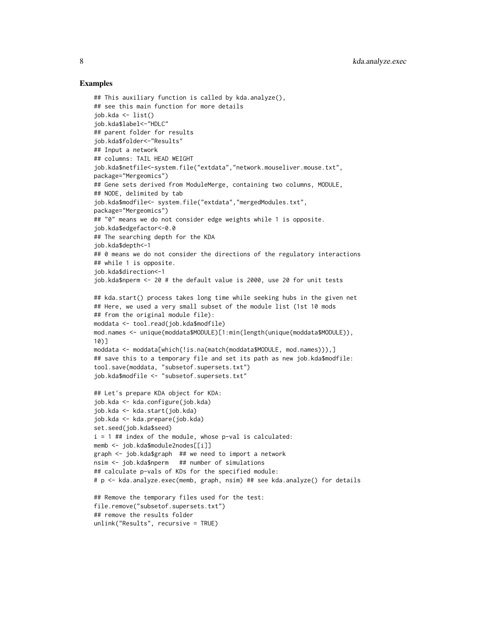```
## This auxiliary function is called by kda.analyze(),
## see this main function for more details
job.kda <- list()
job.kda$label<-"HDLC"
## parent folder for results
job.kda$folder<-"Results"
## Input a network
## columns: TAIL HEAD WEIGHT
job.kda$netfile<-system.file("extdata","network.mouseliver.mouse.txt",
package="Mergeomics")
## Gene sets derived from ModuleMerge, containing two columns, MODULE,
## NODE, delimited by tab
job.kda$modfile<- system.file("extdata","mergedModules.txt",
package="Mergeomics")
## "0" means we do not consider edge weights while 1 is opposite.
job.kda$edgefactor<-0.0
## The searching depth for the KDA
job.kda$depth<-1
## 0 means we do not consider the directions of the regulatory interactions
## while 1 is opposite.
job.kda$direction<-1
job.kda$nperm <- 20 # the default value is 2000, use 20 for unit tests
## kda.start() process takes long time while seeking hubs in the given net
## Here, we used a very small subset of the module list (1st 10 mods
## from the original module file):
moddata <- tool.read(job.kda$modfile)
mod.names <- unique(moddata$MODULE)[1:min(length(unique(moddata$MODULE)),
10)]
moddata <- moddata[which(!is.na(match(moddata$MODULE, mod.names))),]
## save this to a temporary file and set its path as new job.kda$modfile:
tool.save(moddata, "subsetof.supersets.txt")
job.kda$modfile <- "subsetof.supersets.txt"
## Let's prepare KDA object for KDA:
job.kda <- kda.configure(job.kda)
job.kda <- kda.start(job.kda)
job.kda <- kda.prepare(job.kda)
set.seed(job.kda$seed)
i = 1 ## index of the module, whose p-val is calculated:
memb <- job.kda$module2nodes[[i]]
graph <- job.kda$graph ## we need to import a network
nsim <- job.kda$nperm ## number of simulations
## calculate p-vals of KDs for the specified module:
# p <- kda.analyze.exec(memb, graph, nsim) ## see kda.analyze() for details
## Remove the temporary files used for the test:
file.remove("subsetof.supersets.txt")
## remove the results folder
unlink("Results", recursive = TRUE)
```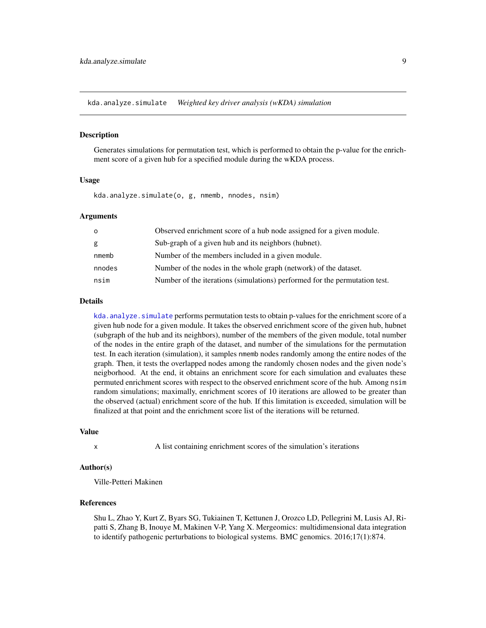<span id="page-8-1"></span><span id="page-8-0"></span>kda.analyze.simulate *Weighted key driver analysis (wKDA) simulation*

## Description

Generates simulations for permutation test, which is performed to obtain the p-value for the enrichment score of a given hub for a specified module during the wKDA process.

## Usage

kda.analyze.simulate(o, g, nmemb, nnodes, nsim)

## Arguments

| $\circ$ | Observed enrichment score of a hub node assigned for a given module.       |
|---------|----------------------------------------------------------------------------|
| g       | Sub-graph of a given hub and its neighbors (hubnet).                       |
| nmemb   | Number of the members included in a given module.                          |
| nnodes  | Number of the nodes in the whole graph (network) of the dataset.           |
| nsim    | Number of the iterations (simulations) performed for the permutation test. |

#### Details

[kda.analyze.simulate](#page-8-1) performs permutation tests to obtain p-values for the enrichment score of a given hub node for a given module. It takes the observed enrichment score of the given hub, hubnet (subgraph of the hub and its neighbors), number of the members of the given module, total number of the nodes in the entire graph of the dataset, and number of the simulations for the permutation test. In each iteration (simulation), it samples nmemb nodes randomly among the entire nodes of the graph. Then, it tests the overlapped nodes among the randomly chosen nodes and the given node's neigborhood. At the end, it obtains an enrichment score for each simulation and evaluates these permuted enrichment scores with respect to the observed enrichment score of the hub. Among nsim random simulations; maximally, enrichment scores of 10 iterations are allowed to be greater than the observed (actual) enrichment score of the hub. If this limitation is exceeded, simulation will be finalized at that point and the enrichment score list of the iterations will be returned.

#### Value

x A list containing enrichment scores of the simulation's iterations

## Author(s)

Ville-Petteri Makinen

#### References

Shu L, Zhao Y, Kurt Z, Byars SG, Tukiainen T, Kettunen J, Orozco LD, Pellegrini M, Lusis AJ, Ripatti S, Zhang B, Inouye M, Makinen V-P, Yang X. Mergeomics: multidimensional data integration to identify pathogenic perturbations to biological systems. BMC genomics. 2016;17(1):874.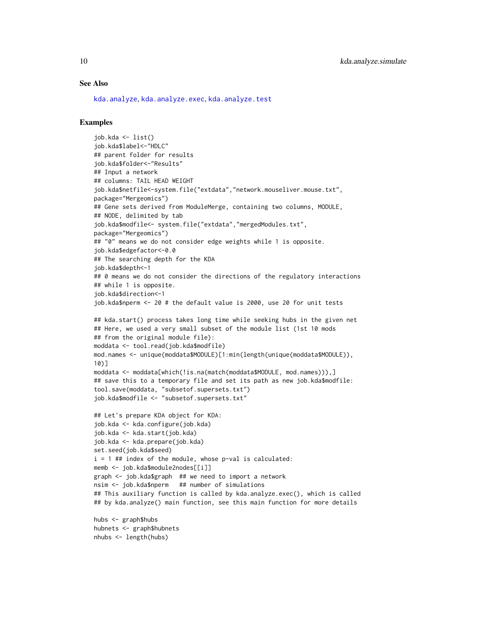## See Also

[kda.analyze](#page-4-1), [kda.analyze.exec](#page-6-1), [kda.analyze.test](#page-10-1)

## Examples

nhubs <- length(hubs)

```
job.kda <- list()
job.kda$label<-"HDLC"
## parent folder for results
job.kda$folder<-"Results"
## Input a network
## columns: TAIL HEAD WEIGHT
job.kda$netfile<-system.file("extdata","network.mouseliver.mouse.txt",
package="Mergeomics")
## Gene sets derived from ModuleMerge, containing two columns, MODULE,
## NODE, delimited by tab
job.kda$modfile<- system.file("extdata","mergedModules.txt",
package="Mergeomics")
## "0" means we do not consider edge weights while 1 is opposite.
job.kda$edgefactor<-0.0
## The searching depth for the KDA
job.kda$depth<-1
## 0 means we do not consider the directions of the regulatory interactions
## while 1 is opposite.
job.kda$direction<-1
job.kda$nperm <- 20 # the default value is 2000, use 20 for unit tests
## kda.start() process takes long time while seeking hubs in the given net
## Here, we used a very small subset of the module list (1st 10 mods
## from the original module file):
moddata <- tool.read(job.kda$modfile)
mod.names <- unique(moddata$MODULE)[1:min(length(unique(moddata$MODULE)),
10)]
moddata <- moddata[which(!is.na(match(moddata$MODULE, mod.names))),]
## save this to a temporary file and set its path as new job.kda$modfile:
tool.save(moddata, "subsetof.supersets.txt")
job.kda$modfile <- "subsetof.supersets.txt"
## Let's prepare KDA object for KDA:
job.kda <- kda.configure(job.kda)
job.kda <- kda.start(job.kda)
job.kda <- kda.prepare(job.kda)
set.seed(job.kda$seed)
i = 1 ## index of the module, whose p-val is calculated:
memb <- job.kda$module2nodes[[i]]
graph <- job.kda$graph ## we need to import a network
nsim <- job.kda$nperm ## number of simulations
## This auxiliary function is called by kda.analyze.exec(), which is called
## by kda.analyze() main function, see this main function for more details
hubs <- graph$hubs
hubnets <- graph$hubnets
```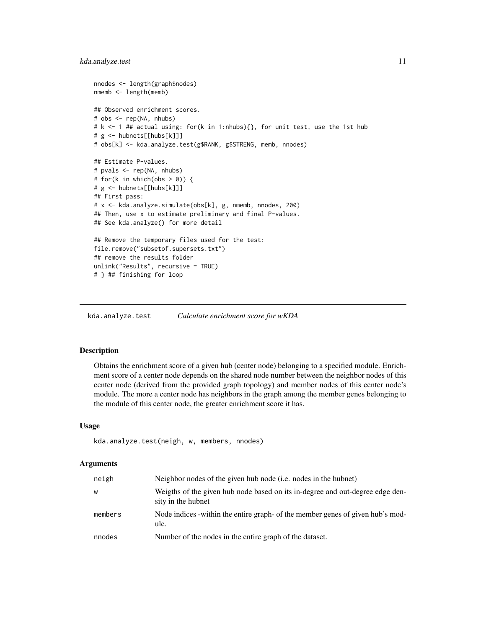## <span id="page-10-0"></span>kda.analyze.test 11

```
nnodes <- length(graph$nodes)
nmemb <- length(memb)
## Observed enrichment scores.
# obs <- rep(NA, nhubs)
# k <- 1 ## actual using: for(k in 1:nhubs){}, for unit test, use the 1st hub
# g <- hubnets[[hubs[k]]]
# obs[k] <- kda.analyze.test(g$RANK, g$STRENG, memb, nnodes)
## Estimate P-values.
# pvals <- rep(NA, nhubs)
# for(k in which(obs > 0)) {
# g <- hubnets[[hubs[k]]]
## First pass:
# x <- kda.analyze.simulate(obs[k], g, nmemb, nnodes, 200)
## Then, use x to estimate preliminary and final P-values.
## See kda.analyze() for more detail
## Remove the temporary files used for the test:
file.remove("subsetof.supersets.txt")
## remove the results folder
unlink("Results", recursive = TRUE)
# } ## finishing for loop
```
<span id="page-10-1"></span>kda.analyze.test *Calculate enrichment score for wKDA*

## Description

Obtains the enrichment score of a given hub (center node) belonging to a specified module. Enrichment score of a center node depends on the shared node number between the neighbor nodes of this center node (derived from the provided graph topology) and member nodes of this center node's module. The more a center node has neighbors in the graph among the member genes belonging to the module of this center node, the greater enrichment score it has.

#### Usage

```
kda.analyze.test(neigh, w, members, nnodes)
```
## Arguments

| neigh   | Neighbor nodes of the given hub node ( <i>i.e.</i> nodes in the hubnet)                             |
|---------|-----------------------------------------------------------------------------------------------------|
| W       | Weigths of the given hub node based on its in-degree and out-degree edge den-<br>sity in the hubnet |
| members | Node indices -within the entire graph- of the member genes of given hub's mod-<br>ule.              |
| nnodes  | Number of the nodes in the entire graph of the dataset.                                             |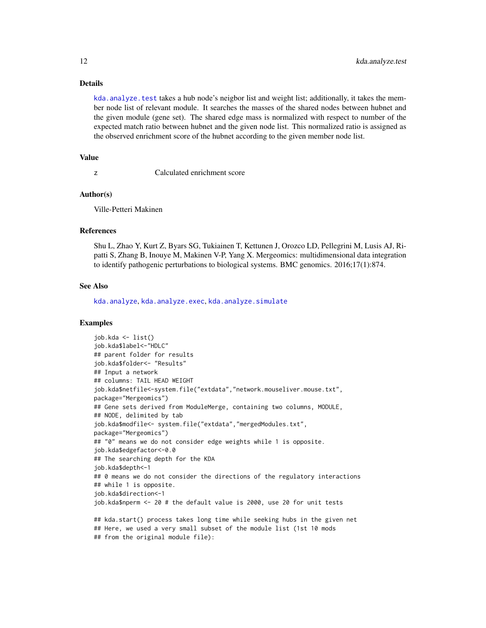## Details

[kda.analyze.test](#page-10-1) takes a hub node's neigbor list and weight list; additionally, it takes the member node list of relevant module. It searches the masses of the shared nodes between hubnet and the given module (gene set). The shared edge mass is normalized with respect to number of the expected match ratio between hubnet and the given node list. This normalized ratio is assigned as the observed enrichment score of the hubnet according to the given member node list.

## Value

z Calculated enrichment score

#### Author(s)

Ville-Petteri Makinen

## References

Shu L, Zhao Y, Kurt Z, Byars SG, Tukiainen T, Kettunen J, Orozco LD, Pellegrini M, Lusis AJ, Ripatti S, Zhang B, Inouye M, Makinen V-P, Yang X. Mergeomics: multidimensional data integration to identify pathogenic perturbations to biological systems. BMC genomics. 2016;17(1):874.

## See Also

[kda.analyze](#page-4-1), [kda.analyze.exec](#page-6-1), [kda.analyze.simulate](#page-8-1)

```
job.kda <- list()
job.kda$label<-"HDLC"
## parent folder for results
job.kda$folder<- "Results"
## Input a network
## columns: TAIL HEAD WEIGHT
job.kda$netfile<-system.file("extdata","network.mouseliver.mouse.txt",
package="Mergeomics")
## Gene sets derived from ModuleMerge, containing two columns, MODULE,
## NODE, delimited by tab
job.kda$modfile<- system.file("extdata","mergedModules.txt",
package="Mergeomics")
## "0" means we do not consider edge weights while 1 is opposite.
job.kda$edgefactor<-0.0
## The searching depth for the KDA
job.kda$depth<-1
## 0 means we do not consider the directions of the regulatory interactions
## while 1 is opposite.
job.kda$direction<-1
job.kda$nperm <- 20 # the default value is 2000, use 20 for unit tests
## kda.start() process takes long time while seeking hubs in the given net
## Here, we used a very small subset of the module list (1st 10 mods
## from the original module file):
```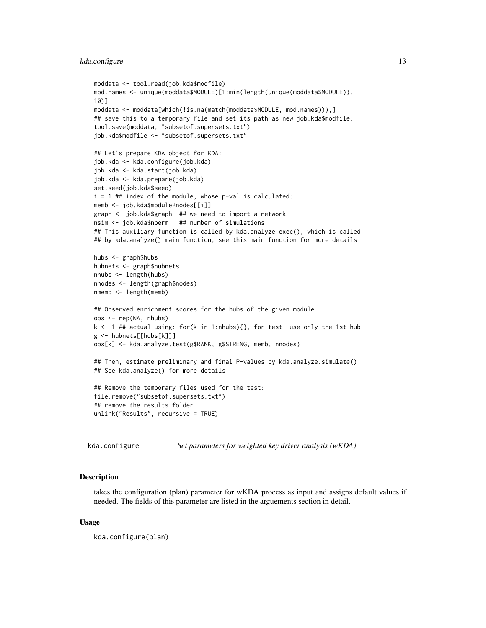```
moddata <- tool.read(job.kda$modfile)
mod.names <- unique(moddata$MODULE)[1:min(length(unique(moddata$MODULE)),
10)]
moddata <- moddata[which(!is.na(match(moddata$MODULE, mod.names))),]
## save this to a temporary file and set its path as new job.kda$modfile:
tool.save(moddata, "subsetof.supersets.txt")
job.kda$modfile <- "subsetof.supersets.txt"
## Let's prepare KDA object for KDA:
job.kda <- kda.configure(job.kda)
job.kda <- kda.start(job.kda)
job.kda <- kda.prepare(job.kda)
set.seed(job.kda$seed)
i = 1 ## index of the module, whose p-val is calculated:
memb <- job.kda$module2nodes[[i]]
graph <- job.kda$graph ## we need to import a network
nsim <- job.kda$nperm ## number of simulations
## This auxiliary function is called by kda.analyze.exec(), which is called
## by kda.analyze() main function, see this main function for more details
hubs <- graph$hubs
hubnets <- graph$hubnets
nhubs <- length(hubs)
nnodes <- length(graph$nodes)
nmemb <- length(memb)
## Observed enrichment scores for the hubs of the given module.
obs <- rep(NA, nhubs)
k <- 1 ## actual using: for(k in 1:nhubs){}, for test, use only the 1st hub
g <- hubnets[[hubs[k]]]
obs[k] <- kda.analyze.test(g$RANK, g$STRENG, memb, nnodes)
## Then, estimate preliminary and final P-values by kda.analyze.simulate()
## See kda.analyze() for more details
## Remove the temporary files used for the test:
file.remove("subsetof.supersets.txt")
## remove the results folder
unlink("Results", recursive = TRUE)
```
<span id="page-12-1"></span>kda.configure *Set parameters for weighted key driver analysis (wKDA)*

#### Description

takes the configuration (plan) parameter for wKDA process as input and assigns default values if needed. The fields of this parameter are listed in the arguements section in detail.

## Usage

kda.configure(plan)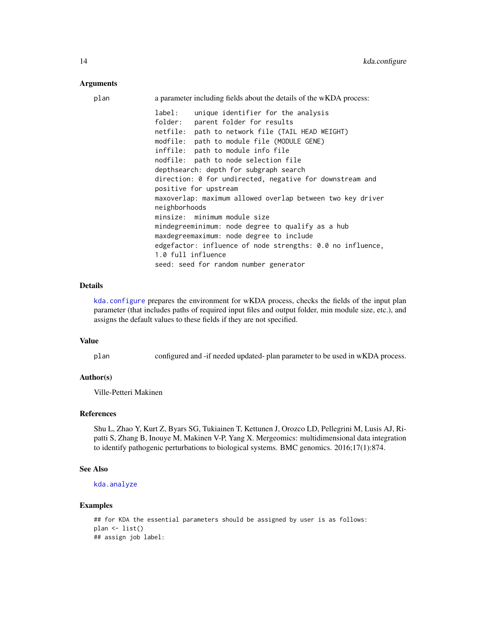## **Arguments**

| plan | a parameter including fields about the details of the wKDA process:                                                                                                                                                                                                             |
|------|---------------------------------------------------------------------------------------------------------------------------------------------------------------------------------------------------------------------------------------------------------------------------------|
|      | label:<br>unique identifier for the analysis<br>folder:<br>parent folder for results<br>path to network file (TAIL HEAD WEIGHT)<br>netfile:<br>modfile:<br>path to module file (MODULE GENE)<br>inffile:<br>path to module info file<br>path to node selection file<br>nodfile: |
|      | depthsearch: depth for subgraph search                                                                                                                                                                                                                                          |
|      | direction: 0 for undirected, negative for downstream and<br>positive for upstream                                                                                                                                                                                               |
|      | maxoverlap: maximum allowed overlap between two key driver<br>neighborhoods                                                                                                                                                                                                     |
|      | minsize: minimum module size                                                                                                                                                                                                                                                    |
|      | mindegreeminimum: node degree to qualify as a hub                                                                                                                                                                                                                               |
|      | maxdegreemaximum: node degree to include                                                                                                                                                                                                                                        |
|      | edgefactor: influence of node strengths: 0.0 no influence,<br>1.0 full influence                                                                                                                                                                                                |
|      | seed: seed for random number generator                                                                                                                                                                                                                                          |

## Details

[kda.configure](#page-12-1) prepares the environment for wKDA process, checks the fields of the input plan parameter (that includes paths of required input files and output folder, min module size, etc.), and assigns the default values to these fields if they are not specified.

## Value

plan configured and -if needed updated- plan parameter to be used in wKDA process.

## Author(s)

Ville-Petteri Makinen

## References

Shu L, Zhao Y, Kurt Z, Byars SG, Tukiainen T, Kettunen J, Orozco LD, Pellegrini M, Lusis AJ, Ripatti S, Zhang B, Inouye M, Makinen V-P, Yang X. Mergeomics: multidimensional data integration to identify pathogenic perturbations to biological systems. BMC genomics. 2016;17(1):874.

## See Also

```
kda.analyze
```

```
## for KDA the essential parameters should be assigned by user is as follows:
plan <- list()
## assign job label:
```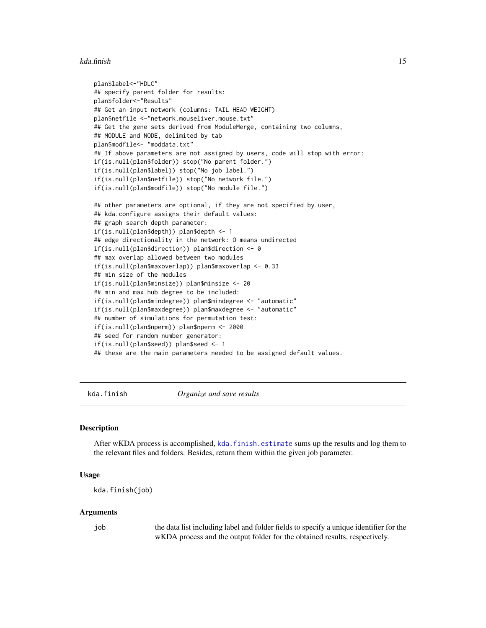#### <span id="page-14-0"></span>kda.finish 15

```
plan$label<-"HDLC"
## specify parent folder for results:
plan$folder<-"Results"
## Get an input network (columns: TAIL HEAD WEIGHT)
plan$netfile <-"network.mouseliver.mouse.txt"
## Get the gene sets derived from ModuleMerge, containing two columns,
## MODULE and NODE, delimited by tab
plan$modfile<- "moddata.txt"
## If above parameters are not assigned by users, code will stop with error:
if(is.null(plan$folder)) stop("No parent folder.")
if(is.null(plan$label)) stop("No job label.")
if(is.null(plan$netfile)) stop("No network file.")
if(is.null(plan$modfile)) stop("No module file.")
## other parameters are optional, if they are not specified by user,
## kda.configure assigns their default values:
## graph search depth parameter:
if(is.null(plan$depth)) plan$depth <- 1
## edge directionality in the network: O means undirected
if(is.null(plan$direction)) plan$direction <- 0
## max overlap allowed between two modules
if(is.null(plan$maxoverlap)) plan$maxoverlap <- 0.33
## min size of the modules
if(is.null(plan$minsize)) plan$minsize <- 20
## min and max hub degree to be included:
if(is.null(plan$mindegree)) plan$mindegree <- "automatic"
if(is.null(plan$maxdegree)) plan$maxdegree <- "automatic"
## number of simulations for permutation test:
if(is.null(plan$nperm)) plan$nperm <- 2000
## seed for random number generator:
if(is.null(plan$seed)) plan$seed <- 1
## these are the main parameters needed to be assigned default values.
```
<span id="page-14-1"></span>kda.finish *Organize and save results*

## Description

After wKDA process is accomplished, [kda.finish.estimate](#page-16-1) sums up the results and log them to the relevant files and folders. Besides, return them within the given job parameter.

## Usage

```
kda.finish(job)
```
#### Arguments

job the data list including label and folder fields to specify a unique identifier for the wKDA process and the output folder for the obtained results, respectively.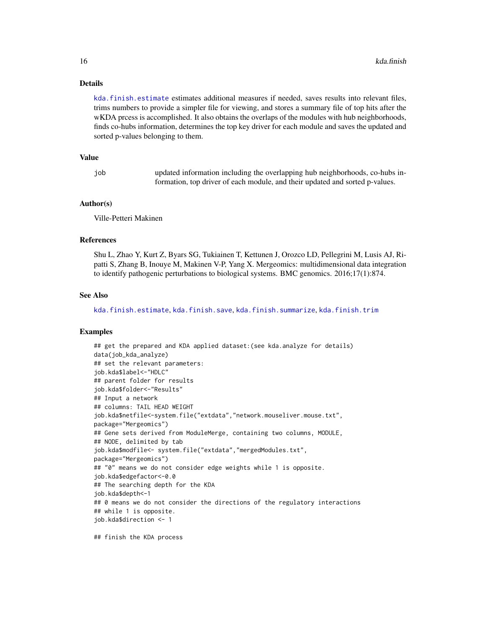## Details

[kda.finish.estimate](#page-16-1) estimates additional measures if needed, saves results into relevant files, trims numbers to provide a simpler file for viewing, and stores a summary file of top hits after the wKDA prcess is accomplished. It also obtains the overlaps of the modules with hub neighborhoods, finds co-hubs information, determines the top key driver for each module and saves the updated and sorted p-values belonging to them.

## Value

| job | updated information including the overlapping hub neighborhoods, co-hubs in- |
|-----|------------------------------------------------------------------------------|
|     | formation, top driver of each module, and their updated and sorted p-values. |

## Author(s)

Ville-Petteri Makinen

## References

Shu L, Zhao Y, Kurt Z, Byars SG, Tukiainen T, Kettunen J, Orozco LD, Pellegrini M, Lusis AJ, Ripatti S, Zhang B, Inouye M, Makinen V-P, Yang X. Mergeomics: multidimensional data integration to identify pathogenic perturbations to biological systems. BMC genomics. 2016;17(1):874.

## See Also

[kda.finish.estimate](#page-16-1), [kda.finish.save](#page-17-1), [kda.finish.summarize](#page-18-1), [kda.finish.trim](#page-19-1)

## Examples

## get the prepared and KDA applied dataset:(see kda.analyze for details) data(job\_kda\_analyze) ## set the relevant parameters: job.kda\$label<-"HDLC" ## parent folder for results job.kda\$folder<-"Results" ## Input a network ## columns: TAIL HEAD WEIGHT job.kda\$netfile<-system.file("extdata","network.mouseliver.mouse.txt", package="Mergeomics") ## Gene sets derived from ModuleMerge, containing two columns, MODULE, ## NODE, delimited by tab job.kda\$modfile<- system.file("extdata","mergedModules.txt", package="Mergeomics") ## "0" means we do not consider edge weights while 1 is opposite. job.kda\$edgefactor<-0.0 ## The searching depth for the KDA job.kda\$depth<-1 ## 0 means we do not consider the directions of the regulatory interactions ## while 1 is opposite. job.kda\$direction <- 1

## finish the KDA process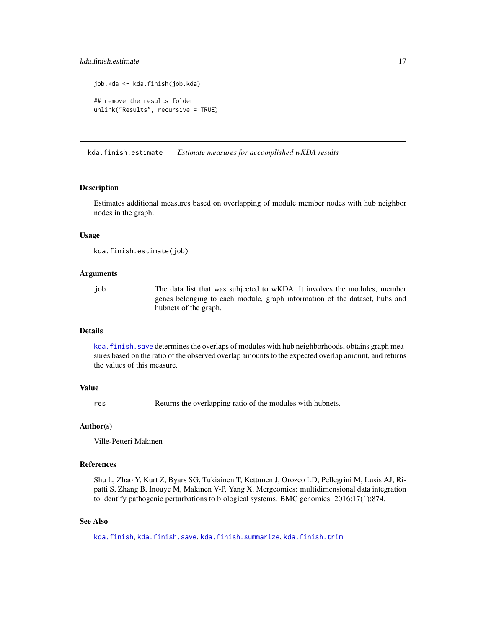## <span id="page-16-0"></span>kda.finish.estimate 17

```
job.kda <- kda.finish(job.kda)
## remove the results folder
unlink("Results", recursive = TRUE)
```
<span id="page-16-1"></span>kda.finish.estimate *Estimate measures for accomplished wKDA results*

#### **Description**

Estimates additional measures based on overlapping of module member nodes with hub neighbor nodes in the graph.

## Usage

```
kda.finish.estimate(job)
```
## Arguments

job The data list that was subjected to wKDA. It involves the modules, member genes belonging to each module, graph information of the dataset, hubs and hubnets of the graph.

## Details

kda. finish. save determines the overlaps of modules with hub neighborhoods, obtains graph measures based on the ratio of the observed overlap amounts to the expected overlap amount, and returns the values of this measure.

## Value

res Returns the overlapping ratio of the modules with hubnets.

## Author(s)

Ville-Petteri Makinen

#### References

Shu L, Zhao Y, Kurt Z, Byars SG, Tukiainen T, Kettunen J, Orozco LD, Pellegrini M, Lusis AJ, Ripatti S, Zhang B, Inouye M, Makinen V-P, Yang X. Mergeomics: multidimensional data integration to identify pathogenic perturbations to biological systems. BMC genomics. 2016;17(1):874.

## See Also

[kda.finish](#page-14-1), [kda.finish.save](#page-17-1), [kda.finish.summarize](#page-18-1), [kda.finish.trim](#page-19-1)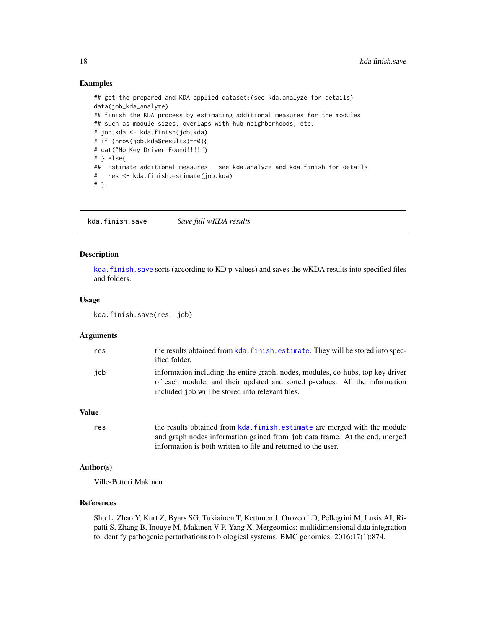## Examples

```
## get the prepared and KDA applied dataset:(see kda.analyze for details)
data(job_kda_analyze)
## finish the KDA process by estimating additional measures for the modules
## such as module sizes, overlaps with hub neighborhoods, etc.
# job.kda <- kda.finish(job.kda)
# if (nrow(job.kda$results)==0){
# cat("No Key Driver Found!!!!")
# } else{
## Estimate additional measures - see kda.analyze and kda.finish for details
# res <- kda.finish.estimate(job.kda)
# }
```
<span id="page-17-1"></span>kda.finish.save *Save full wKDA results*

## **Description**

kda. finish. save sorts (according to KD p-values) and saves the wKDA results into specified files and folders.

## Usage

kda.finish.save(res, job)

#### Arguments

| res          | the results obtained from kda. finish. estimate. They will be stored into spec-<br>ified folder.                                                                                                                  |
|--------------|-------------------------------------------------------------------------------------------------------------------------------------------------------------------------------------------------------------------|
| iob          | information including the entire graph, nodes, modules, co-hubs, top key driver<br>of each module, and their updated and sorted p-values. All the information<br>included job will be stored into relevant files. |
| <b>Value</b> |                                                                                                                                                                                                                   |

```
kda.finish.estimate are merged with the module
              and graph nodes information gained from job data frame. At the end, merged
              information is both written to file and returned to the user.
```
## Author(s)

Ville-Petteri Makinen

## References

Shu L, Zhao Y, Kurt Z, Byars SG, Tukiainen T, Kettunen J, Orozco LD, Pellegrini M, Lusis AJ, Ripatti S, Zhang B, Inouye M, Makinen V-P, Yang X. Mergeomics: multidimensional data integration to identify pathogenic perturbations to biological systems. BMC genomics. 2016;17(1):874.

<span id="page-17-0"></span>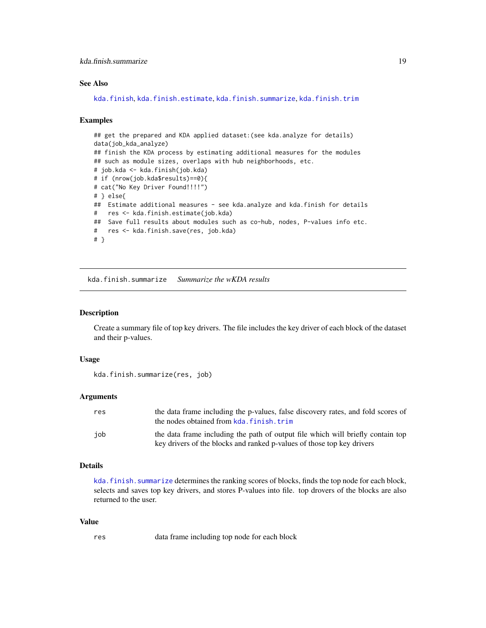## <span id="page-18-0"></span>kda.finish.summarize 19

## See Also

[kda.finish](#page-14-1), [kda.finish.estimate](#page-16-1), [kda.finish.summarize](#page-18-1), [kda.finish.trim](#page-19-1)

#### Examples

```
## get the prepared and KDA applied dataset: (see kda.analyze for details)
data(job_kda_analyze)
## finish the KDA process by estimating additional measures for the modules
## such as module sizes, overlaps with hub neighborhoods, etc.
# job.kda <- kda.finish(job.kda)
# if (nrow(job.kda$results)==0){
# cat("No Key Driver Found!!!!")
# } else{
## Estimate additional measures - see kda.analyze and kda.finish for details
# res <- kda.finish.estimate(job.kda)
## Save full results about modules such as co-hub, nodes, P-values info etc.
# res <- kda.finish.save(res, job.kda)
# }
```
<span id="page-18-1"></span>kda.finish.summarize *Summarize the wKDA results*

## Description

Create a summary file of top key drivers. The file includes the key driver of each block of the dataset and their p-values.

## Usage

```
kda.finish.summarize(res, job)
```
## Arguments

| res | the data frame including the p-values, false discovery rates, and fold scores of<br>the nodes obtained from kda. finish. trim                             |
|-----|-----------------------------------------------------------------------------------------------------------------------------------------------------------|
| iob | the data frame including the path of output file which will briefly contain top<br>key drivers of the blocks and ranked p-values of those top key drivers |

#### Details

kda. finish. summarize determines the ranking scores of blocks, finds the top node for each block, selects and saves top key drivers, and stores P-values into file. top drovers of the blocks are also returned to the user.

#### Value

res data frame including top node for each block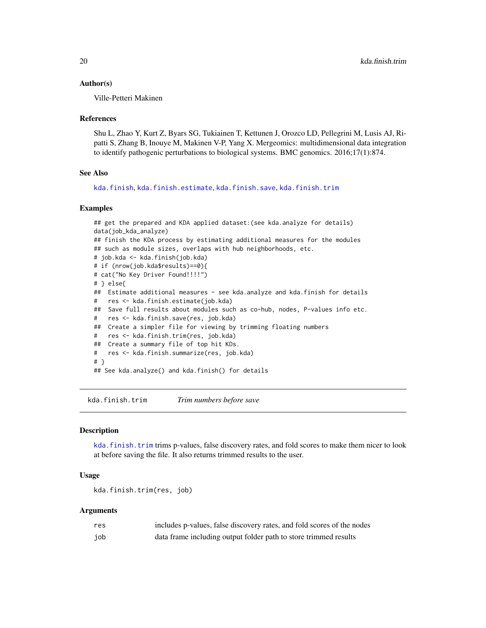## <span id="page-19-0"></span>Author(s)

Ville-Petteri Makinen

## References

Shu L, Zhao Y, Kurt Z, Byars SG, Tukiainen T, Kettunen J, Orozco LD, Pellegrini M, Lusis AJ, Ripatti S, Zhang B, Inouye M, Makinen V-P, Yang X. Mergeomics: multidimensional data integration to identify pathogenic perturbations to biological systems. BMC genomics. 2016;17(1):874.

## See Also

[kda.finish](#page-14-1), [kda.finish.estimate](#page-16-1), [kda.finish.save](#page-17-1), [kda.finish.trim](#page-19-1)

## Examples

```
## get the prepared and KDA applied dataset: (see kda.analyze for details)
data(job_kda_analyze)
## finish the KDA process by estimating additional measures for the modules
## such as module sizes, overlaps with hub neighborhoods, etc.
# job.kda <- kda.finish(job.kda)
# if (nrow(job.kda$results)==0){
# cat("No Key Driver Found!!!!")
# } else{
## Estimate additional measures - see kda.analyze and kda.finish for details
# res <- kda.finish.estimate(job.kda)
## Save full results about modules such as co-hub, nodes, P-values info etc.
# res <- kda.finish.save(res, job.kda)
## Create a simpler file for viewing by trimming floating numbers
# res <- kda.finish.trim(res, job.kda)
## Create a summary file of top hit KDs.
# res <- kda.finish.summarize(res, job.kda)
# }
## See kda.analyze() and kda.finish() for details
```
<span id="page-19-1"></span>kda.finish.trim *Trim numbers before save*

## Description

kda. finish. trim trims p-values, false discovery rates, and fold scores to make them nicer to look at before saving the file. It also returns trimmed results to the user.

## Usage

kda.finish.trim(res, job)

## Arguments

| res | includes p-values, false discovery rates, and fold scores of the nodes |
|-----|------------------------------------------------------------------------|
| job | data frame including output folder path to store trimmed results       |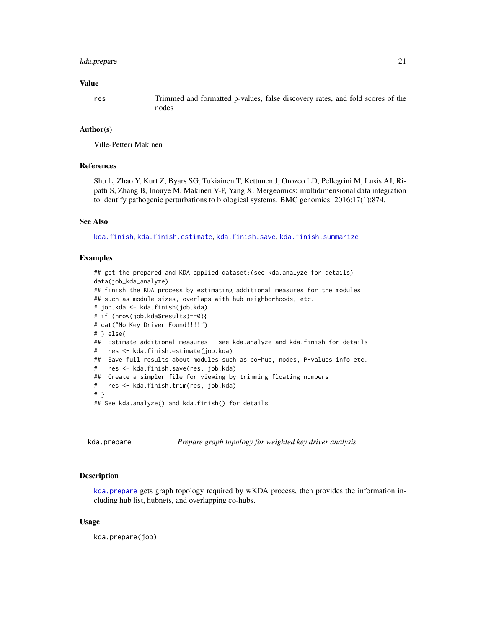## <span id="page-20-0"></span>kda.prepare 21

#### Value

res Trimmed and formatted p-values, false discovery rates, and fold scores of the nodes

## Author(s)

Ville-Petteri Makinen

## References

Shu L, Zhao Y, Kurt Z, Byars SG, Tukiainen T, Kettunen J, Orozco LD, Pellegrini M, Lusis AJ, Ripatti S, Zhang B, Inouye M, Makinen V-P, Yang X. Mergeomics: multidimensional data integration to identify pathogenic perturbations to biological systems. BMC genomics. 2016;17(1):874.

## See Also

[kda.finish](#page-14-1), [kda.finish.estimate](#page-16-1), [kda.finish.save](#page-17-1), [kda.finish.summarize](#page-18-1)

## Examples

```
## get the prepared and KDA applied dataset:(see kda.analyze for details)
data(job_kda_analyze)
## finish the KDA process by estimating additional measures for the modules
## such as module sizes, overlaps with hub neighborhoods, etc.
# job.kda <- kda.finish(job.kda)
# if (nrow(job.kda$results)==0){
# cat("No Key Driver Found!!!!")
# } else{
## Estimate additional measures - see kda.analyze and kda.finish for details
# res <- kda.finish.estimate(job.kda)
## Save full results about modules such as co-hub, nodes, P-values info etc.
# res <- kda.finish.save(res, job.kda)
## Create a simpler file for viewing by trimming floating numbers
# res <- kda.finish.trim(res, job.kda)
# }
## See kda.analyze() and kda.finish() for details
```
<span id="page-20-1"></span>kda.prepare *Prepare graph topology for weighted key driver analysis*

## Description

kda. prepare gets graph topology required by wKDA process, then provides the information including hub list, hubnets, and overlapping co-hubs.

## Usage

kda.prepare(job)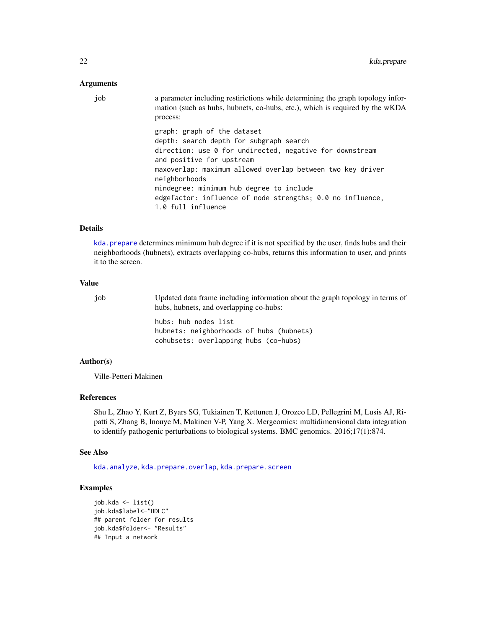## Arguments

| graph: graph of the dataset<br>depth: search depth for subgraph search<br>direction: use 0 for undirected, negative for downstream<br>and positive for upstream<br>maxoverlap: maximum allowed overlap between two key driver | a parameter including restirictions while determining the graph topology infor-<br>mation (such as hubs, hubnets, co-hubs, etc.), which is required by the wKDA |
|-------------------------------------------------------------------------------------------------------------------------------------------------------------------------------------------------------------------------------|-----------------------------------------------------------------------------------------------------------------------------------------------------------------|
| neighborhoods<br>mindegree: minimum hub degree to include<br>edgefactor: influence of node strengths; 0.0 no influence,<br>1.0 full influence                                                                                 |                                                                                                                                                                 |

## Details

kda. prepare determines minimum hub degree if it is not specified by the user, finds hubs and their neighborhoods (hubnets), extracts overlapping co-hubs, returns this information to user, and prints it to the screen.

## Value

| iob | Updated data frame including information about the graph topology in terms of<br>hubs, hubnets, and overlapping co-hubs: |
|-----|--------------------------------------------------------------------------------------------------------------------------|
|     | hubs: hub nodes list<br>hubnets: neighborhoods of hubs (hubnets)<br>cohubsets: overlapping hubs (co-hubs)                |

## Author(s)

Ville-Petteri Makinen

## References

Shu L, Zhao Y, Kurt Z, Byars SG, Tukiainen T, Kettunen J, Orozco LD, Pellegrini M, Lusis AJ, Ripatti S, Zhang B, Inouye M, Makinen V-P, Yang X. Mergeomics: multidimensional data integration to identify pathogenic perturbations to biological systems. BMC genomics. 2016;17(1):874.

## See Also

[kda.analyze](#page-4-1), [kda.prepare.overlap](#page-22-1), [kda.prepare.screen](#page-24-1)

```
job.kda <- list()
job.kda$label<-"HDLC"
## parent folder for results
job.kda$folder<- "Results"
## Input a network
```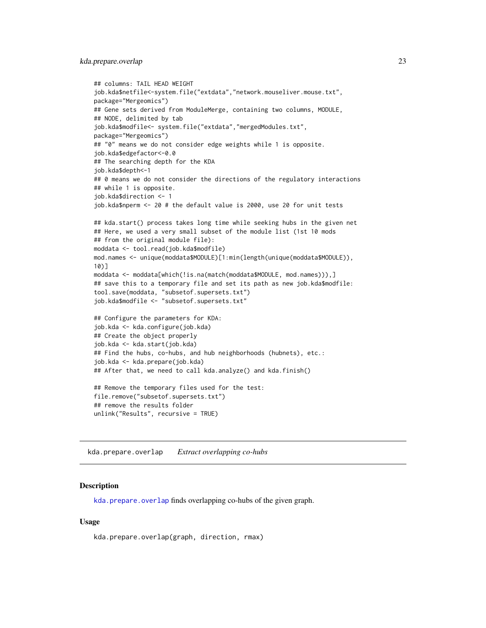## <span id="page-22-0"></span>kda.prepare.overlap 23

```
## columns: TAIL HEAD WEIGHT
job.kda$netfile<-system.file("extdata","network.mouseliver.mouse.txt",
package="Mergeomics")
## Gene sets derived from ModuleMerge, containing two columns, MODULE,
## NODE, delimited by tab
job.kda$modfile<- system.file("extdata","mergedModules.txt",
package="Mergeomics")
## "0" means we do not consider edge weights while 1 is opposite.
job.kda$edgefactor<-0.0
## The searching depth for the KDA
job.kda$depth<-1
## 0 means we do not consider the directions of the regulatory interactions
## while 1 is opposite.
job.kda$direction <- 1
job.kda$nperm <- 20 # the default value is 2000, use 20 for unit tests
## kda.start() process takes long time while seeking hubs in the given net
## Here, we used a very small subset of the module list (1st 10 mods
## from the original module file):
moddata <- tool.read(job.kda$modfile)
mod.names <- unique(moddata$MODULE)[1:min(length(unique(moddata$MODULE)),
10)]
moddata <- moddata[which(!is.na(match(moddata$MODULE, mod.names))),]
## save this to a temporary file and set its path as new job.kda$modfile:
tool.save(moddata, "subsetof.supersets.txt")
job.kda$modfile <- "subsetof.supersets.txt"
## Configure the parameters for KDA:
job.kda <- kda.configure(job.kda)
## Create the object properly
job.kda <- kda.start(job.kda)
## Find the hubs, co-hubs, and hub neighborhoods (hubnets), etc.:
job.kda <- kda.prepare(job.kda)
## After that, we need to call kda.analyze() and kda.finish()
## Remove the temporary files used for the test:
file.remove("subsetof.supersets.txt")
## remove the results folder
unlink("Results", recursive = TRUE)
```
<span id="page-22-1"></span>kda.prepare.overlap *Extract overlapping co-hubs*

## **Description**

[kda.prepare.overlap](#page-22-1) finds overlapping co-hubs of the given graph.

## Usage

```
kda.prepare.overlap(graph, direction, rmax)
```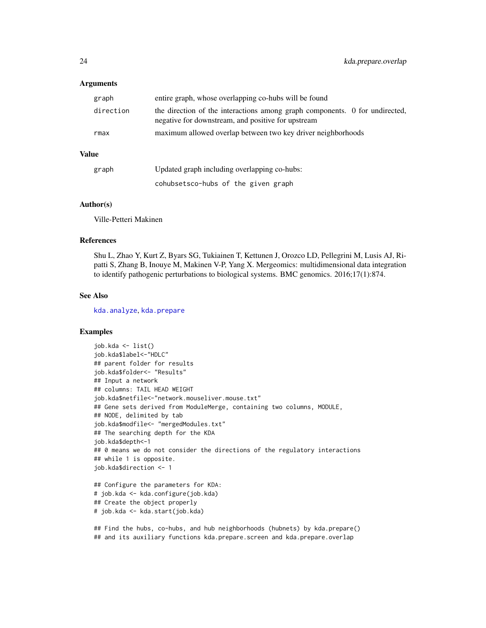## Arguments

| graph        | entire graph, whose overlapping co-hubs will be found                                                                             |
|--------------|-----------------------------------------------------------------------------------------------------------------------------------|
| direction    | the direction of the interactions among graph components. 0 for undirected,<br>negative for downstream, and positive for upstream |
| rmax         | maximum allowed overlap between two key driver neighborhoods                                                                      |
| <b>Value</b> |                                                                                                                                   |
|              |                                                                                                                                   |

| graph | Updated graph including overlapping co-hubs: |
|-------|----------------------------------------------|
|       | cohubsetsco-hubs of the given graph          |

## Author(s)

Ville-Petteri Makinen

## References

Shu L, Zhao Y, Kurt Z, Byars SG, Tukiainen T, Kettunen J, Orozco LD, Pellegrini M, Lusis AJ, Ripatti S, Zhang B, Inouye M, Makinen V-P, Yang X. Mergeomics: multidimensional data integration to identify pathogenic perturbations to biological systems. BMC genomics. 2016;17(1):874.

## See Also

[kda.analyze](#page-4-1), [kda.prepare](#page-20-1)

## Examples

```
job.kda <- list()
job.kda$label<-"HDLC"
## parent folder for results
job.kda$folder<- "Results"
## Input a network
## columns: TAIL HEAD WEIGHT
job.kda$netfile<-"network.mouseliver.mouse.txt"
## Gene sets derived from ModuleMerge, containing two columns, MODULE,
## NODE, delimited by tab
job.kda$modfile<- "mergedModules.txt"
## The searching depth for the KDA
job.kda$depth<-1
## 0 means we do not consider the directions of the regulatory interactions
## while 1 is opposite.
job.kda$direction <- 1
## Configure the parameters for KDA:
# job.kda <- kda.configure(job.kda)
## Create the object properly
# job.kda <- kda.start(job.kda)
```
## Find the hubs, co-hubs, and hub neighborhoods (hubnets) by kda.prepare() ## and its auxiliary functions kda.prepare.screen and kda.prepare.overlap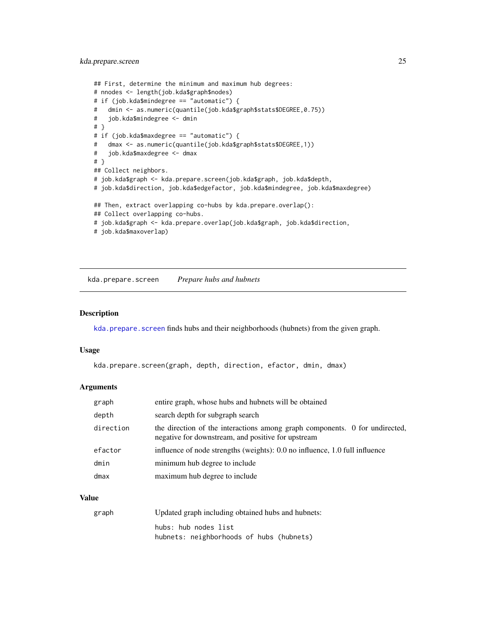## <span id="page-24-0"></span>kda.prepare.screen 25

```
## First, determine the minimum and maximum hub degrees:
# nnodes <- length(job.kda$graph$nodes)
# if (job.kda$mindegree == "automatic") {
# dmin <- as.numeric(quantile(job.kda$graph$stats$DEGREE,0.75))
# job.kda$mindegree <- dmin
# }
# if (job.kda$maxdegree == "automatic") {
# dmax <- as.numeric(quantile(job.kda$graph$stats$DEGREE,1))
# job.kda$maxdegree <- dmax
# }
## Collect neighbors.
# job.kda$graph <- kda.prepare.screen(job.kda$graph, job.kda$depth,
# job.kda$direction, job.kda$edgefactor, job.kda$mindegree, job.kda$maxdegree)
## Then, extract overlapping co-hubs by kda.prepare.overlap():
## Collect overlapping co-hubs.
# job.kda$graph <- kda.prepare.overlap(job.kda$graph, job.kda$direction,
# job.kda$maxoverlap)
```
<span id="page-24-1"></span>kda.prepare.screen *Prepare hubs and hubnets*

## Description

[kda.prepare.screen](#page-24-1) finds hubs and their neighborhoods (hubnets) from the given graph.

#### Usage

```
kda.prepare.screen(graph, depth, direction, efactor, dmin, dmax)
```
## Arguments

| graph     | entire graph, whose hubs and hubnets will be obtained                                                                             |
|-----------|-----------------------------------------------------------------------------------------------------------------------------------|
| depth     | search depth for subgraph search                                                                                                  |
| direction | the direction of the interactions among graph components. 0 for undirected,<br>negative for downstream, and positive for upstream |
| efactor   | influence of node strengths (weights): 0.0 no influence, 1.0 full influence                                                       |
| dmin      | minimum hub degree to include                                                                                                     |
| dmax      | maximum hub degree to include                                                                                                     |

## Value

| graph | Updated graph including obtained hubs and hubnets: |
|-------|----------------------------------------------------|
|       | hubs: hub nodes list                               |
|       | hubnets: neighborhoods of hubs (hubnets)           |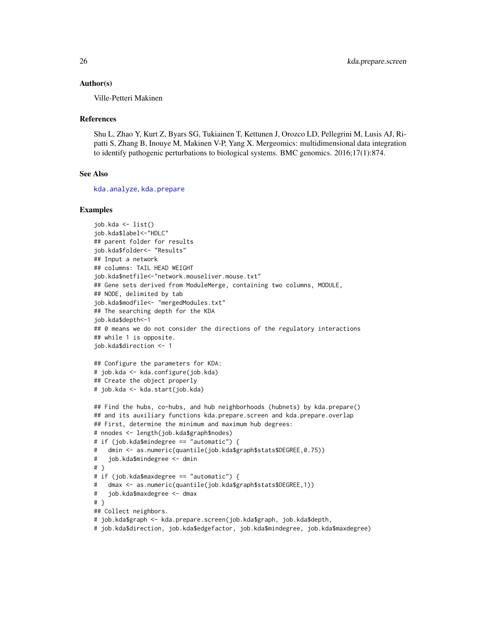## Author(s)

Ville-Petteri Makinen

#### References

Shu L, Zhao Y, Kurt Z, Byars SG, Tukiainen T, Kettunen J, Orozco LD, Pellegrini M, Lusis AJ, Ripatti S, Zhang B, Inouye M, Makinen V-P, Yang X. Mergeomics: multidimensional data integration to identify pathogenic perturbations to biological systems. BMC genomics. 2016;17(1):874.

## See Also

[kda.analyze](#page-4-1), [kda.prepare](#page-20-1)

```
job.kda <- list()
job.kda$label<-"HDLC"
## parent folder for results
job.kda$folder<- "Results"
## Input a network
## columns: TAIL HEAD WEIGHT
job.kda$netfile<-"network.mouseliver.mouse.txt"
## Gene sets derived from ModuleMerge, containing two columns, MODULE,
## NODE, delimited by tab
job.kda$modfile<- "mergedModules.txt"
## The searching depth for the KDA
job.kda$depth<-1
## 0 means we do not consider the directions of the regulatory interactions
## while 1 is opposite.
job.kda$direction <- 1
## Configure the parameters for KDA:
# job.kda <- kda.configure(job.kda)
## Create the object properly
# job.kda <- kda.start(job.kda)
## Find the hubs, co-hubs, and hub neighborhoods (hubnets) by kda.prepare()
## and its auxiliary functions kda.prepare.screen and kda.prepare.overlap
## First, determine the minimum and maximum hub degrees:
# nnodes <- length(job.kda$graph$nodes)
# if (job.kda$mindegree == "automatic") {
# dmin <- as.numeric(quantile(job.kda$graph$stats$DEGREE,0.75))
# job.kda$mindegree <- dmin
# }
# if (job.kda$maxdegree == "automatic") {
# dmax <- as.numeric(quantile(job.kda$graph$stats$DEGREE,1))
# job.kda$maxdegree <- dmax
# }
## Collect neighbors.
# job.kda$graph <- kda.prepare.screen(job.kda$graph, job.kda$depth,
# job.kda$direction, job.kda$edgefactor, job.kda$mindegree, job.kda$maxdegree)
```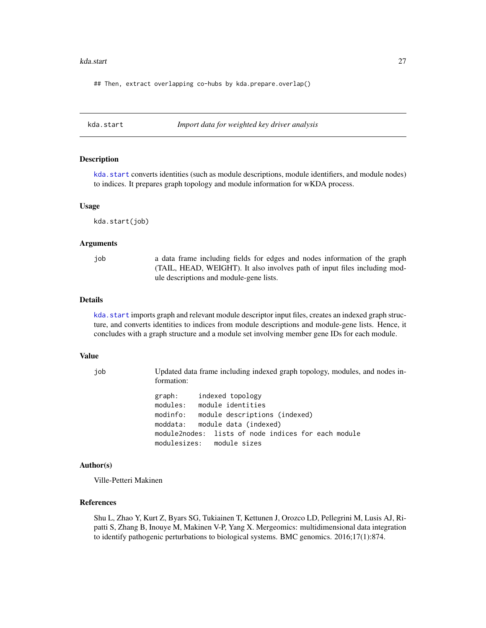#### <span id="page-26-0"></span>kda.start 27

## Then, extract overlapping co-hubs by kda.prepare.overlap()

<span id="page-26-1"></span>kda.start *Import data for weighted key driver analysis*

## Description

[kda.start](#page-26-1) converts identities (such as module descriptions, module identifiers, and module nodes) to indices. It prepares graph topology and module information for wKDA process.

## Usage

kda.start(job)

## Arguments

job a data frame including fields for edges and nodes information of the graph (TAIL, HEAD, WEIGHT). It also involves path of input files including module descriptions and module-gene lists.

## Details

kda. start imports graph and relevant module descriptor input files, creates an indexed graph structure, and converts identities to indices from module descriptions and module-gene lists. Hence, it concludes with a graph structure and a module set involving member gene IDs for each module.

#### Value

job Updated data frame including indexed graph topology, modules, and nodes information:

> graph: indexed topology modules: module identities modinfo: module descriptions (indexed) moddata: module data (indexed) module2nodes: lists of node indices for each module modulesizes: module sizes

#### Author(s)

Ville-Petteri Makinen

## References

Shu L, Zhao Y, Kurt Z, Byars SG, Tukiainen T, Kettunen J, Orozco LD, Pellegrini M, Lusis AJ, Ripatti S, Zhang B, Inouye M, Makinen V-P, Yang X. Mergeomics: multidimensional data integration to identify pathogenic perturbations to biological systems. BMC genomics. 2016;17(1):874.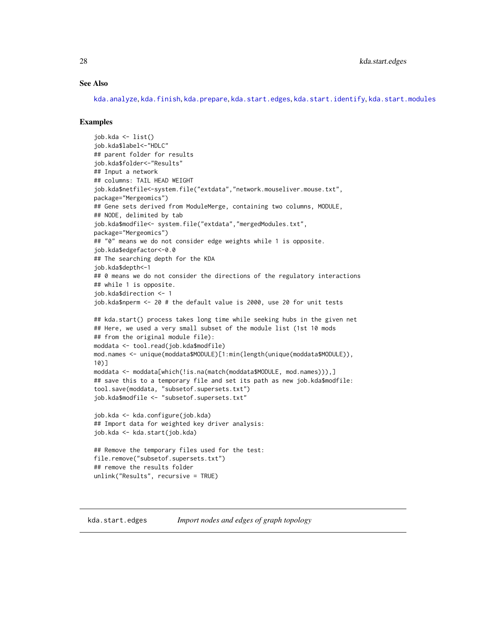## <span id="page-27-0"></span>See Also

[kda.analyze](#page-4-1), [kda.finish](#page-14-1), [kda.prepare](#page-20-1), [kda.start.edges](#page-27-1), [kda.start.identify](#page-29-1), [kda.start.modules](#page-30-1)

## Examples

```
job.kda <- list()
job.kda$label<-"HDLC"
## parent folder for results
job.kda$folder<-"Results"
## Input a network
## columns: TAIL HEAD WEIGHT
job.kda$netfile<-system.file("extdata","network.mouseliver.mouse.txt",
package="Mergeomics")
## Gene sets derived from ModuleMerge, containing two columns, MODULE,
## NODE, delimited by tab
job.kda$modfile<- system.file("extdata","mergedModules.txt",
package="Mergeomics")
## "0" means we do not consider edge weights while 1 is opposite.
job.kda$edgefactor<-0.0
## The searching depth for the KDA
job.kda$depth<-1
## 0 means we do not consider the directions of the regulatory interactions
## while 1 is opposite.
job.kda$direction <- 1
job.kda$nperm <- 20 # the default value is 2000, use 20 for unit tests
## kda.start() process takes long time while seeking hubs in the given net
## Here, we used a very small subset of the module list (1st 10 mods
## from the original module file):
moddata <- tool.read(job.kda$modfile)
mod.names <- unique(moddata$MODULE)[1:min(length(unique(moddata$MODULE)),
10)]
moddata <- moddata[which(!is.na(match(moddata$MODULE, mod.names))),]
## save this to a temporary file and set its path as new job.kda$modfile:
tool.save(moddata, "subsetof.supersets.txt")
job.kda$modfile <- "subsetof.supersets.txt"
job.kda <- kda.configure(job.kda)
## Import data for weighted key driver analysis:
job.kda <- kda.start(job.kda)
## Remove the temporary files used for the test:
file.remove("subsetof.supersets.txt")
## remove the results folder
unlink("Results", recursive = TRUE)
```
<span id="page-27-1"></span>kda.start.edges *Import nodes and edges of graph topology*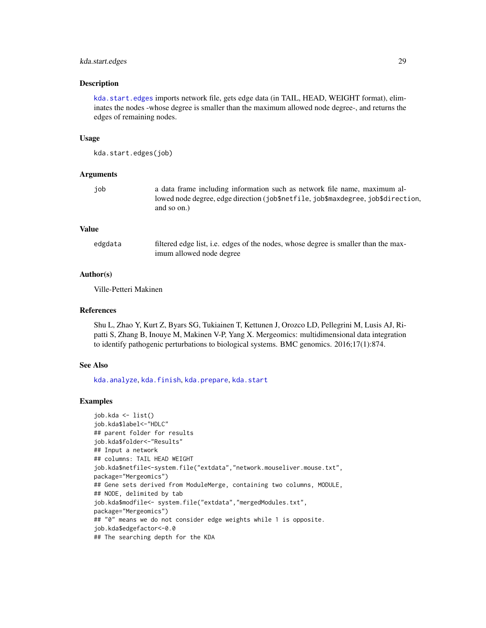## kda.start.edges 29

## Description

[kda.start.edges](#page-27-1) imports network file, gets edge data (in TAIL, HEAD, WEIGHT format), eliminates the nodes -whose degree is smaller than the maximum allowed node degree-, and returns the edges of remaining nodes.

## Usage

kda.start.edges(job)

## Arguments

| ٠<br>۰.<br>$\sim$<br>ł<br>۰,<br>× |
|-----------------------------------|
|                                   |
|                                   |
|                                   |
|                                   |
|                                   |
|                                   |
|                                   |

job a data frame including information such as network file name, maximum allowed node degree, edge direction (job\$netfile, job\$maxdegree, job\$direction, and so on.)

## Value

| edgdata | filtered edge list, i.e. edges of the nodes, whose degree is smaller than the max- |
|---------|------------------------------------------------------------------------------------|
|         | imum allowed node degree                                                           |

## Author(s)

Ville-Petteri Makinen

## References

Shu L, Zhao Y, Kurt Z, Byars SG, Tukiainen T, Kettunen J, Orozco LD, Pellegrini M, Lusis AJ, Ripatti S, Zhang B, Inouye M, Makinen V-P, Yang X. Mergeomics: multidimensional data integration to identify pathogenic perturbations to biological systems. BMC genomics. 2016;17(1):874.

## See Also

[kda.analyze](#page-4-1), [kda.finish](#page-14-1), [kda.prepare](#page-20-1), [kda.start](#page-26-1)

```
job.kda <- list()
job.kda$label<-"HDLC"
## parent folder for results
job.kda$folder<-"Results"
## Input a network
## columns: TAIL HEAD WEIGHT
job.kda$netfile<-system.file("extdata","network.mouseliver.mouse.txt",
package="Mergeomics")
## Gene sets derived from ModuleMerge, containing two columns, MODULE,
## NODE, delimited by tab
job.kda$modfile<- system.file("extdata","mergedModules.txt",
package="Mergeomics")
## "0" means we do not consider edge weights while 1 is opposite.
job.kda$edgefactor<-0.0
## The searching depth for the KDA
```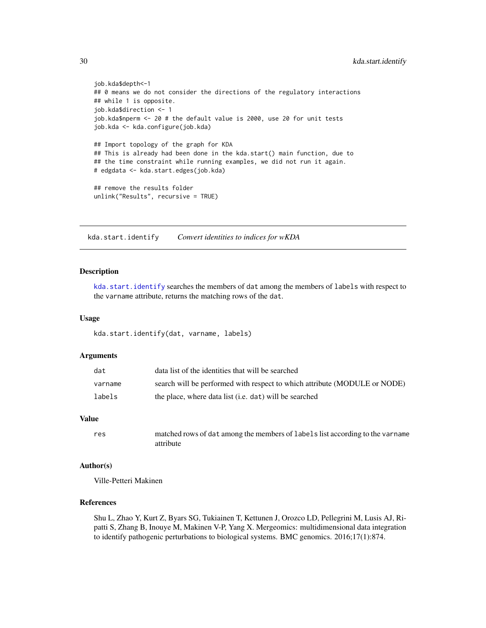```
job.kda$depth<-1
## 0 means we do not consider the directions of the regulatory interactions
## while 1 is opposite.
job.kda$direction <- 1
job.kda$nperm <- 20 # the default value is 2000, use 20 for unit tests
job.kda <- kda.configure(job.kda)
## Import topology of the graph for KDA
## This is already had been done in the kda.start() main function, due to
## the time constraint while running examples, we did not run it again.
# edgdata <- kda.start.edges(job.kda)
## remove the results folder
unlink("Results", recursive = TRUE)
```
<span id="page-29-1"></span>kda.start.identify *Convert identities to indices for wKDA*

#### **Description**

[kda.start.identify](#page-29-1) searches the members of dat among the members of labels with respect to the varname attribute, returns the matching rows of the dat.

#### Usage

kda.start.identify(dat, varname, labels)

#### Arguments

| dat     | data list of the identities that will be searched                         |
|---------|---------------------------------------------------------------------------|
| varname | search will be performed with respect to which attribute (MODULE or NODE) |
| labels  | the place, where data list (i.e. dat) will be searched                    |

## Value

```
res matched rows of dat among the members of labels list according to the varname
                attribute
```
## Author(s)

Ville-Petteri Makinen

## References

Shu L, Zhao Y, Kurt Z, Byars SG, Tukiainen T, Kettunen J, Orozco LD, Pellegrini M, Lusis AJ, Ripatti S, Zhang B, Inouye M, Makinen V-P, Yang X. Mergeomics: multidimensional data integration to identify pathogenic perturbations to biological systems. BMC genomics. 2016;17(1):874.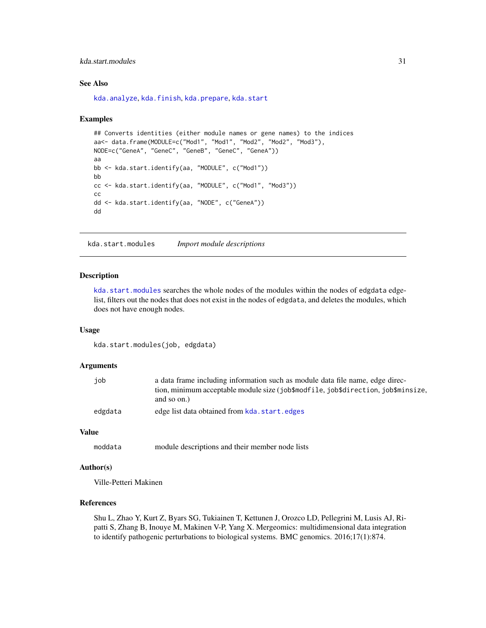## <span id="page-30-0"></span>kda.start.modules 31

## See Also

[kda.analyze](#page-4-1), [kda.finish](#page-14-1), [kda.prepare](#page-20-1), [kda.start](#page-26-1)

## Examples

```
## Converts identities (either module names or gene names) to the indices
aa<- data.frame(MODULE=c("Mod1", "Mod1", "Mod2", "Mod2", "Mod3"),
NODE=c("GeneA", "GeneC", "GeneB", "GeneC", "GeneA"))
aa
bb <- kda.start.identify(aa, "MODULE", c("Mod1"))
bb
cc <- kda.start.identify(aa, "MODULE", c("Mod1", "Mod3"))
cc
dd <- kda.start.identify(aa, "NODE", c("GeneA"))
dd
```
<span id="page-30-1"></span>kda.start.modules *Import module descriptions*

#### Description

[kda.start.modules](#page-30-1) searches the whole nodes of the modules within the nodes of edgdata edgelist, filters out the nodes that does not exist in the nodes of edgdata, and deletes the modules, which does not have enough nodes.

#### Usage

kda.start.modules(job, edgdata)

#### Arguments

| iob     | a data frame including information such as module data file name, edge direc-     |
|---------|-----------------------------------------------------------------------------------|
|         | tion, minimum acceptable module size (job\$modfile, job\$direction, job\$minsize, |
|         | and so on.)                                                                       |
| edgdata | edge list data obtained from kda. start. edges                                    |

## Value

moddata module descriptions and their member node lists

## Author(s)

Ville-Petteri Makinen

## References

Shu L, Zhao Y, Kurt Z, Byars SG, Tukiainen T, Kettunen J, Orozco LD, Pellegrini M, Lusis AJ, Ripatti S, Zhang B, Inouye M, Makinen V-P, Yang X. Mergeomics: multidimensional data integration to identify pathogenic perturbations to biological systems. BMC genomics. 2016;17(1):874.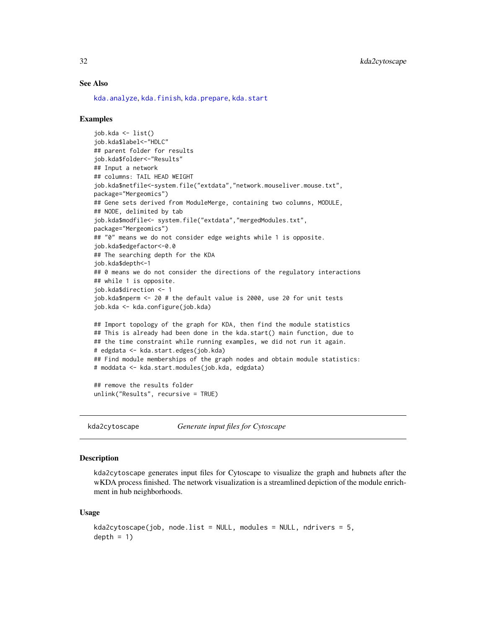## See Also

[kda.analyze](#page-4-1), [kda.finish](#page-14-1), [kda.prepare](#page-20-1), [kda.start](#page-26-1)

## Examples

```
job.kda <- list()
job.kda$label<-"HDLC"
## parent folder for results
job.kda$folder<-"Results"
## Input a network
## columns: TAIL HEAD WEIGHT
job.kda$netfile<-system.file("extdata","network.mouseliver.mouse.txt",
package="Mergeomics")
## Gene sets derived from ModuleMerge, containing two columns, MODULE,
## NODE, delimited by tab
job.kda$modfile<- system.file("extdata","mergedModules.txt",
package="Mergeomics")
## "0" means we do not consider edge weights while 1 is opposite.
job.kda$edgefactor<-0.0
## The searching depth for the KDA
job.kda$depth<-1
## 0 means we do not consider the directions of the regulatory interactions
## while 1 is opposite.
job.kda$direction <- 1
job.kda$nperm <- 20 # the default value is 2000, use 20 for unit tests
job.kda <- kda.configure(job.kda)
## Import topology of the graph for KDA, then find the module statistics
## This is already had been done in the kda.start() main function, due to
## the time constraint while running examples, we did not run it again.
# edgdata <- kda.start.edges(job.kda)
## Find module memberships of the graph nodes and obtain module statistics:
# moddata <- kda.start.modules(job.kda, edgdata)
## remove the results folder
unlink("Results", recursive = TRUE)
```
<span id="page-31-1"></span>kda2cytoscape *Generate input files for Cytoscape*

## Description

kda2cytoscape generates input files for Cytoscape to visualize the graph and hubnets after the wKDA process finished. The network visualization is a streamlined depiction of the module enrichment in hub neighborhoods.

#### Usage

```
kda2cytoscape(job, node.list = NULL, modules = NULL, ndrivers = 5,depth = 1)
```
<span id="page-31-0"></span>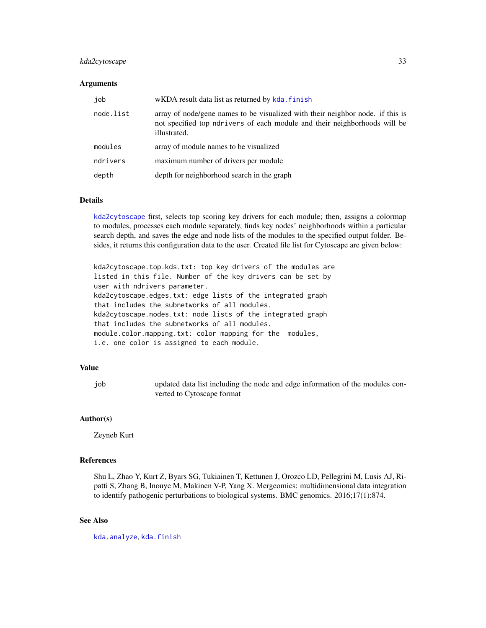## kda2cytoscape 33

## **Arguments**

| job       | wKDA result data list as returned by kda. finish                                                                                                                            |
|-----------|-----------------------------------------------------------------------------------------------------------------------------------------------------------------------------|
| node.list | array of node/gene names to be visualized with their neighbor node. if this is<br>not specified top ndrivers of each module and their neighborhoods will be<br>illustrated. |
| modules   | array of module names to be visualized                                                                                                                                      |
| ndrivers  | maximum number of drivers per module                                                                                                                                        |
| depth     | depth for neighborhood search in the graph                                                                                                                                  |

## Details

[kda2cytoscape](#page-31-1) first, selects top scoring key drivers for each module; then, assigns a colormap to modules, processes each module separately, finds key nodes' neighborhoods within a particular search depth, and saves the edge and node lists of the modules to the specified output folder. Besides, it returns this configuration data to the user. Created file list for Cytoscape are given below:

kda2cytoscape.top.kds.txt: top key drivers of the modules are listed in this file. Number of the key drivers can be set by user with ndrivers parameter. kda2cytoscape.edges.txt: edge lists of the integrated graph that includes the subnetworks of all modules. kda2cytoscape.nodes.txt: node lists of the integrated graph that includes the subnetworks of all modules. module.color.mapping.txt: color mapping for the modules, i.e. one color is assigned to each module.

## Value

job updated data list including the node and edge information of the modules converted to Cytoscape format

## Author(s)

Zeyneb Kurt

## References

Shu L, Zhao Y, Kurt Z, Byars SG, Tukiainen T, Kettunen J, Orozco LD, Pellegrini M, Lusis AJ, Ripatti S, Zhang B, Inouye M, Makinen V-P, Yang X. Mergeomics: multidimensional data integration to identify pathogenic perturbations to biological systems. BMC genomics. 2016;17(1):874.

## See Also

[kda.analyze](#page-4-1), [kda.finish](#page-14-1)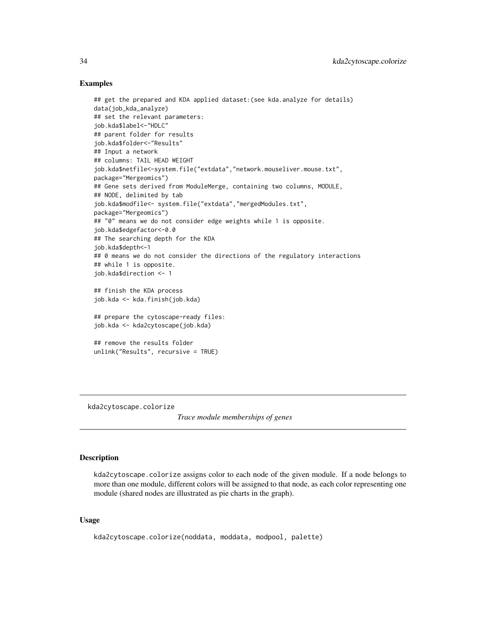## Examples

```
## get the prepared and KDA applied dataset:(see kda.analyze for details)
data(job_kda_analyze)
## set the relevant parameters:
job.kda$label<-"HDLC"
## parent folder for results
job.kda$folder<-"Results"
## Input a network
## columns: TAIL HEAD WEIGHT
job.kda$netfile<-system.file("extdata","network.mouseliver.mouse.txt",
package="Mergeomics")
## Gene sets derived from ModuleMerge, containing two columns, MODULE,
## NODE, delimited by tab
job.kda$modfile<- system.file("extdata","mergedModules.txt",
package="Mergeomics")
## "0" means we do not consider edge weights while 1 is opposite.
job.kda$edgefactor<-0.0
## The searching depth for the KDA
job.kda$depth<-1
## 0 means we do not consider the directions of the regulatory interactions
## while 1 is opposite.
job.kda$direction <- 1
## finish the KDA process
job.kda <- kda.finish(job.kda)
## prepare the cytoscape-ready files:
job.kda <- kda2cytoscape(job.kda)
## remove the results folder
unlink("Results", recursive = TRUE)
```
kda2cytoscape.colorize

*Trace module memberships of genes*

## **Description**

kda2cytoscape.colorize assigns color to each node of the given module. If a node belongs to more than one module, different colors will be assigned to that node, as each color representing one module (shared nodes are illustrated as pie charts in the graph).

## Usage

```
kda2cytoscape.colorize(noddata, moddata, modpool, palette)
```
<span id="page-33-0"></span>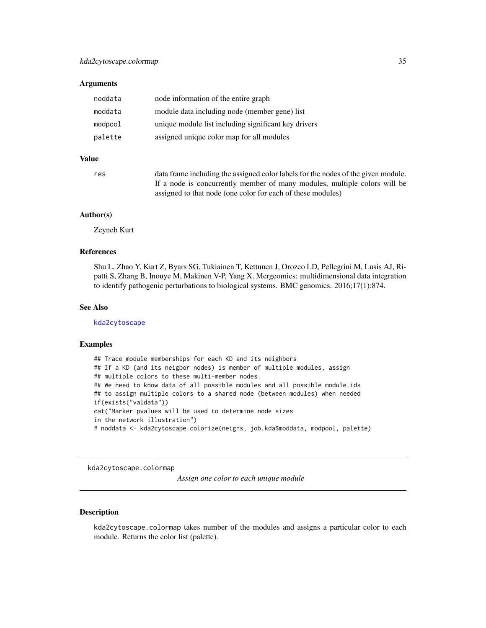## <span id="page-34-0"></span>**Arguments**

| node information of the entire graph                 |
|------------------------------------------------------|
| module data including node (member gene) list        |
| unique module list including significant key drivers |
| assigned unique color map for all modules            |
|                                                      |

## Value

| res | data frame including the assigned color labels for the nodes of the given module. |
|-----|-----------------------------------------------------------------------------------|
|     | If a node is concurrently member of many modules, multiple colors will be         |
|     | assigned to that node (one color for each of these modules)                       |

## Author(s)

Zeyneb Kurt

## References

Shu L, Zhao Y, Kurt Z, Byars SG, Tukiainen T, Kettunen J, Orozco LD, Pellegrini M, Lusis AJ, Ripatti S, Zhang B, Inouye M, Makinen V-P, Yang X. Mergeomics: multidimensional data integration to identify pathogenic perturbations to biological systems. BMC genomics. 2016;17(1):874.

## See Also

[kda2cytoscape](#page-31-1)

## Examples

```
## Trace module memberships for each KD and its neighbors
## If a KD (and its neigbor nodes) is member of multiple modules, assign
## multiple colors to these multi-member nodes.
## We need to know data of all possible modules and all possible module ids
## to assign multiple colors to a shared node (between modules) when needed
if(exists("valdata"))
cat("Marker pvalues will be used to determine node sizes
in the network illustration")
# noddata <- kda2cytoscape.colorize(neighs, job.kda$moddata, modpool, palette)
```
kda2cytoscape.colormap

*Assign one color to each unique module*

## Description

kda2cytoscape.colormap takes number of the modules and assigns a particular color to each module. Returns the color list (palette).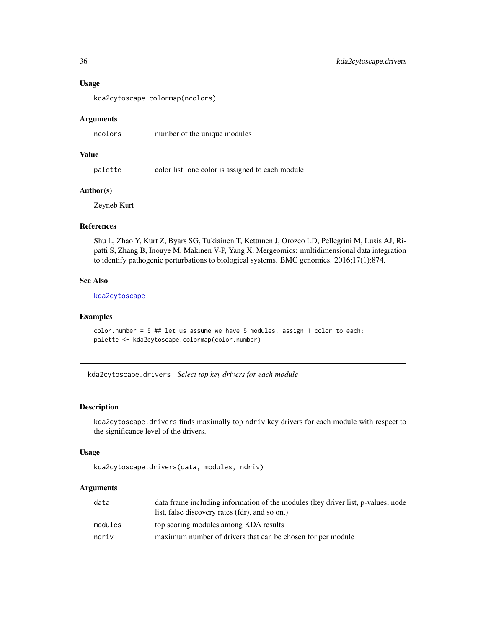## Usage

kda2cytoscape.colormap(ncolors)

## **Arguments**

ncolors number of the unique modules

## Value

palette color list: one color is assigned to each module

## Author(s)

Zeyneb Kurt

## References

Shu L, Zhao Y, Kurt Z, Byars SG, Tukiainen T, Kettunen J, Orozco LD, Pellegrini M, Lusis AJ, Ripatti S, Zhang B, Inouye M, Makinen V-P, Yang X. Mergeomics: multidimensional data integration to identify pathogenic perturbations to biological systems. BMC genomics. 2016;17(1):874.

## See Also

[kda2cytoscape](#page-31-1)

## Examples

```
color.number = 5 ## let us assume we have 5 modules, assign 1 color to each:
palette <- kda2cytoscape.colormap(color.number)
```
kda2cytoscape.drivers *Select top key drivers for each module*

## Description

kda2cytoscape.drivers finds maximally top ndriv key drivers for each module with respect to the significance level of the drivers.

#### Usage

```
kda2cytoscape.drivers(data, modules, ndriv)
```
## Arguments

| data    | data frame including information of the modules (key driver list, p-values, node |
|---------|----------------------------------------------------------------------------------|
|         | list, false discovery rates (fdr), and so on.)                                   |
| modules | top scoring modules among KDA results                                            |
| ndriv   | maximum number of drivers that can be chosen for per module                      |

<span id="page-35-0"></span>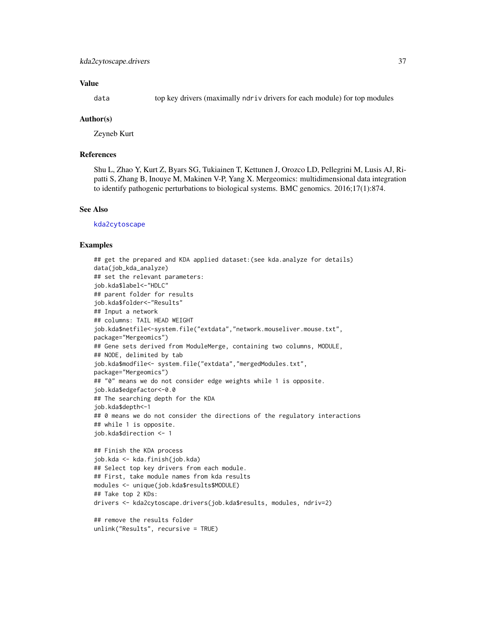# Value

data top key drivers (maximally ndriv drivers for each module) for top modules

#### Author(s)

Zeyneb Kurt

# **References**

Shu L, Zhao Y, Kurt Z, Byars SG, Tukiainen T, Kettunen J, Orozco LD, Pellegrini M, Lusis AJ, Ripatti S, Zhang B, Inouye M, Makinen V-P, Yang X. Mergeomics: multidimensional data integration to identify pathogenic perturbations to biological systems. BMC genomics. 2016;17(1):874.

#### See Also

[kda2cytoscape](#page-31-0)

```
## get the prepared and KDA applied dataset:(see kda.analyze for details)
data(job_kda_analyze)
## set the relevant parameters:
job.kda$label<-"HDLC"
## parent folder for results
job.kda$folder<-"Results"
## Input a network
## columns: TAIL HEAD WEIGHT
job.kda$netfile<-system.file("extdata","network.mouseliver.mouse.txt",
package="Mergeomics")
## Gene sets derived from ModuleMerge, containing two columns, MODULE,
## NODE, delimited by tab
job.kda$modfile<- system.file("extdata","mergedModules.txt",
package="Mergeomics")
## "0" means we do not consider edge weights while 1 is opposite.
job.kda$edgefactor<-0.0
## The searching depth for the KDA
job.kda$depth<-1
## 0 means we do not consider the directions of the regulatory interactions
## while 1 is opposite.
job.kda$direction <- 1
## Finish the KDA process
job.kda <- kda.finish(job.kda)
## Select top key drivers from each module.
## First, take module names from kda results
modules <- unique(job.kda$results$MODULE)
## Take top 2 KDs:
drivers <- kda2cytoscape.drivers(job.kda$results, modules, ndriv=2)
## remove the results folder
```

```
unlink("Results", recursive = TRUE)
```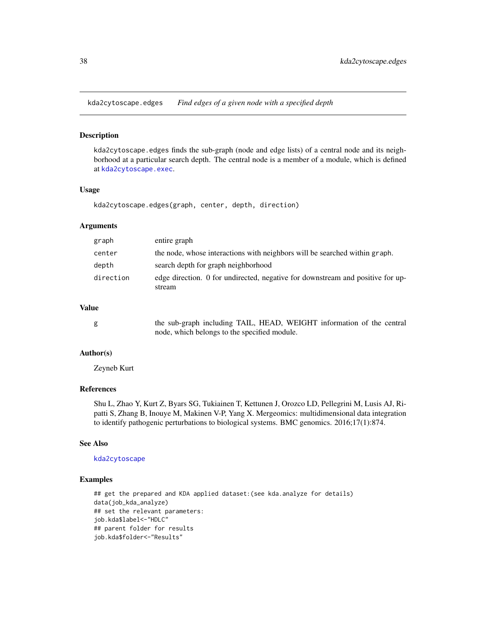kda2cytoscape.edges *Find edges of a given node with a specified depth*

## Description

kda2cytoscape.edges finds the sub-graph (node and edge lists) of a central node and its neighborhood at a particular search depth. The central node is a member of a module, which is defined at [kda2cytoscape.exec](#page-38-0).

### Usage

kda2cytoscape.edges(graph, center, depth, direction)

## Arguments

| graph     | entire graph                                                                             |
|-----------|------------------------------------------------------------------------------------------|
| center    | the node, whose interactions with neighbors will be searched within graph.               |
| depth     | search depth for graph neighborhood                                                      |
| direction | edge direction. 0 for undirected, negative for downstream and positive for up-<br>stream |

### Value

| the sub-graph including TAIL, HEAD, WEIGHT information of the central |
|-----------------------------------------------------------------------|
| node, which belongs to the specified module.                          |

# Author(s)

Zeyneb Kurt

# References

Shu L, Zhao Y, Kurt Z, Byars SG, Tukiainen T, Kettunen J, Orozco LD, Pellegrini M, Lusis AJ, Ripatti S, Zhang B, Inouye M, Makinen V-P, Yang X. Mergeomics: multidimensional data integration to identify pathogenic perturbations to biological systems. BMC genomics. 2016;17(1):874.

## See Also

### [kda2cytoscape](#page-31-0)

```
## get the prepared and KDA applied dataset:(see kda.analyze for details)
data(job_kda_analyze)
## set the relevant parameters:
job.kda$label<-"HDLC"
## parent folder for results
job.kda$folder<-"Results"
```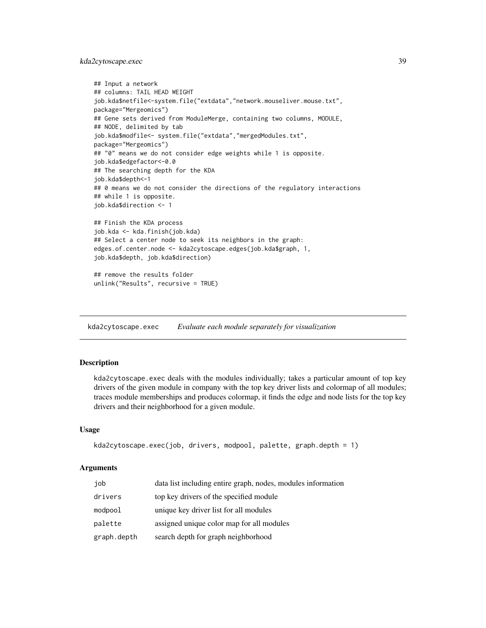# kda2cytoscape.exec 39

```
## Input a network
## columns: TAIL HEAD WEIGHT
job.kda$netfile<-system.file("extdata","network.mouseliver.mouse.txt",
package="Mergeomics")
## Gene sets derived from ModuleMerge, containing two columns, MODULE,
## NODE, delimited by tab
job.kda$modfile<- system.file("extdata","mergedModules.txt",
package="Mergeomics")
## "0" means we do not consider edge weights while 1 is opposite.
job.kda$edgefactor<-0.0
## The searching depth for the KDA
job.kda$depth<-1
## 0 means we do not consider the directions of the regulatory interactions
## while 1 is opposite.
job.kda$direction <- 1
## Finish the KDA process
job.kda <- kda.finish(job.kda)
## Select a center node to seek its neighbors in the graph:
edges.of.center.node <- kda2cytoscape.edges(job.kda$graph, 1,
job.kda$depth, job.kda$direction)
## remove the results folder
unlink("Results", recursive = TRUE)
```
<span id="page-38-0"></span>kda2cytoscape.exec *Evaluate each module separately for visualization*

# **Description**

kda2cytoscape.exec deals with the modules individually; takes a particular amount of top key drivers of the given module in company with the top key driver lists and colormap of all modules; traces module memberships and produces colormap, it finds the edge and node lists for the top key drivers and their neighborhood for a given module.

# Usage

```
kda2cytoscape.exec(job, drivers, modpool, palette, graph.depth = 1)
```
### Arguments

| job         | data list including entire graph, nodes, modules information |
|-------------|--------------------------------------------------------------|
| drivers     | top key drivers of the specified module                      |
| modpool     | unique key driver list for all modules                       |
| palette     | assigned unique color map for all modules                    |
| graph.depth | search depth for graph neighborhood                          |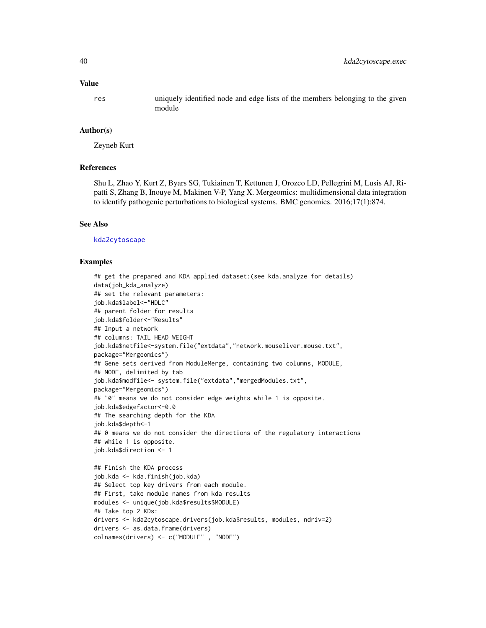#### Value

res uniquely identified node and edge lists of the members belonging to the given module

# Author(s)

Zeyneb Kurt

## References

Shu L, Zhao Y, Kurt Z, Byars SG, Tukiainen T, Kettunen J, Orozco LD, Pellegrini M, Lusis AJ, Ripatti S, Zhang B, Inouye M, Makinen V-P, Yang X. Mergeomics: multidimensional data integration to identify pathogenic perturbations to biological systems. BMC genomics. 2016;17(1):874.

#### See Also

[kda2cytoscape](#page-31-0)

```
## get the prepared and KDA applied dataset:(see kda.analyze for details)
data(job_kda_analyze)
## set the relevant parameters:
job.kda$label<-"HDLC"
## parent folder for results
job.kda$folder<-"Results"
## Input a network
## columns: TAIL HEAD WEIGHT
job.kda$netfile<-system.file("extdata","network.mouseliver.mouse.txt",
package="Mergeomics")
## Gene sets derived from ModuleMerge, containing two columns, MODULE,
## NODE, delimited by tab
job.kda$modfile<- system.file("extdata","mergedModules.txt",
package="Mergeomics")
## "0" means we do not consider edge weights while 1 is opposite.
job.kda$edgefactor<-0.0
## The searching depth for the KDA
job.kda$depth<-1
## 0 means we do not consider the directions of the regulatory interactions
## while 1 is opposite.
job.kda$direction <- 1
## Finish the KDA process
job.kda <- kda.finish(job.kda)
## Select top key drivers from each module.
## First, take module names from kda results
modules <- unique(job.kda$results$MODULE)
## Take top 2 KDs:
drivers <- kda2cytoscape.drivers(job.kda$results, modules, ndriv=2)
drivers <- as.data.frame(drivers)
colnames(drivers) <- c("MODULE" , "NODE")
```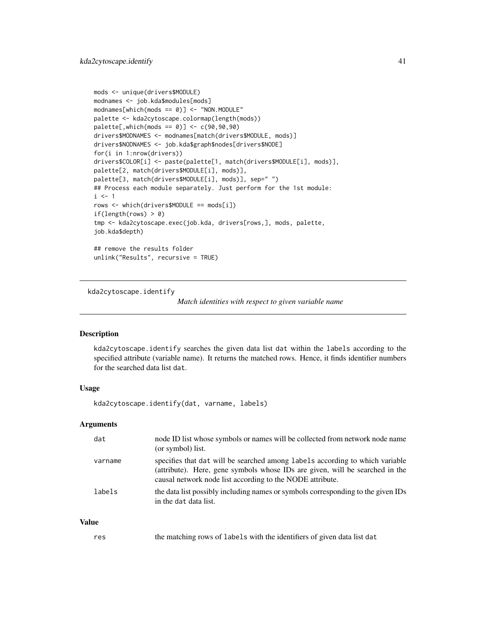```
mods <- unique(drivers$MODULE)
modnames <- job.kda$modules[mods]
modnames[which(mods == 0)] \leftarrow "NON.MODULE"palette <- kda2cytoscape.colormap(length(mods))
palette[,which(mods == 0)] <- c(90,90,90)
drivers$MODNAMES <- modnames[match(drivers$MODULE, mods)]
drivers$NODNAMES <- job.kda$graph$nodes[drivers$NODE]
for(i in 1:nrow(drivers))
drivers$COLOR[i] <- paste(palette[1, match(drivers$MODULE[i], mods)],
palette[2, match(drivers$MODULE[i], mods)],
palette[3, match(drivers$MODULE[i], mods)], sep=" ")
## Process each module separately. Just perform for the 1st module:
i \leq 1rows <- which(drivers$MODULE == mods[i])
if(length(rows) > 0)
tmp <- kda2cytoscape.exec(job.kda, drivers[rows,], mods, palette,
job.kda$depth)
## remove the results folder
unlink("Results", recursive = TRUE)
```
kda2cytoscape.identify

*Match identities with respect to given variable name*

# Description

kda2cytoscape.identify searches the given data list dat within the labels according to the specified attribute (variable name). It returns the matched rows. Hence, it finds identifier numbers for the searched data list dat.

# Usage

kda2cytoscape.identify(dat, varname, labels)

## Arguments

| dat     | node ID list whose symbols or names will be collected from network node name<br>(or symbol) list.                                                                                                                         |
|---------|---------------------------------------------------------------------------------------------------------------------------------------------------------------------------------------------------------------------------|
| varname | specifies that dat will be searched among labels according to which variable<br>(attribute). Here, gene symbols whose IDs are given, will be searched in the<br>causal network node list according to the NODE attribute. |
| labels  | the data list possibly including names or symbols corresponding to the given IDs<br>in the dat data list.                                                                                                                 |

# Value

| res |  | the matching rows of labels with the identifiers of given data list dat |
|-----|--|-------------------------------------------------------------------------|
|-----|--|-------------------------------------------------------------------------|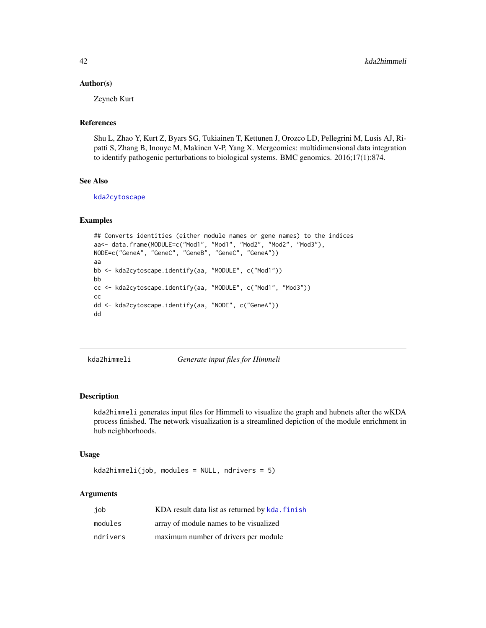## Author(s)

Zeyneb Kurt

# References

Shu L, Zhao Y, Kurt Z, Byars SG, Tukiainen T, Kettunen J, Orozco LD, Pellegrini M, Lusis AJ, Ripatti S, Zhang B, Inouye M, Makinen V-P, Yang X. Mergeomics: multidimensional data integration to identify pathogenic perturbations to biological systems. BMC genomics. 2016;17(1):874.

## See Also

[kda2cytoscape](#page-31-0)

## Examples

```
## Converts identities (either module names or gene names) to the indices
aa<- data.frame(MODULE=c("Mod1", "Mod1", "Mod2", "Mod2", "Mod3"),
NODE=c("GeneA", "GeneC", "GeneB", "GeneC", "GeneA"))
aa
bb <- kda2cytoscape.identify(aa, "MODULE", c("Mod1"))
bb
cc <- kda2cytoscape.identify(aa, "MODULE", c("Mod1", "Mod3"))
cc
dd <- kda2cytoscape.identify(aa, "NODE", c("GeneA"))
dd
```
<span id="page-41-0"></span>kda2himmeli *Generate input files for Himmeli*

# Description

kda2himmeli generates input files for Himmeli to visualize the graph and hubnets after the wKDA process finished. The network visualization is a streamlined depiction of the module enrichment in hub neighborhoods.

### Usage

kda2himmeli(job, modules = NULL, ndrivers = 5)

### Arguments

| job      | KDA result data list as returned by kda. finish |
|----------|-------------------------------------------------|
| modules  | array of module names to be visualized          |
| ndrivers | maximum number of drivers per module            |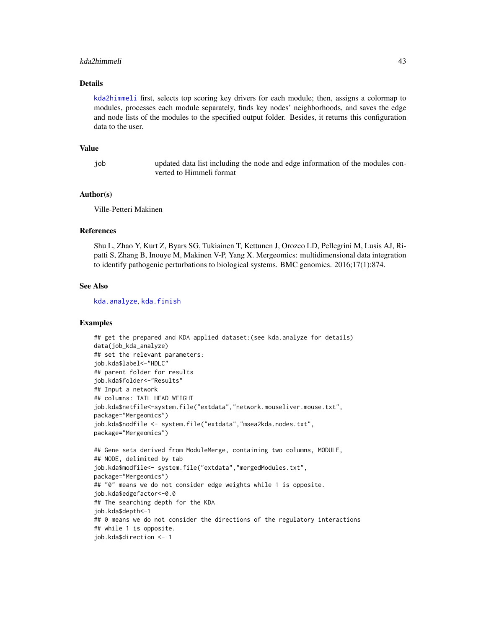#### kda2himmeli 43

### Details

[kda2himmeli](#page-41-0) first, selects top scoring key drivers for each module; then, assigns a colormap to modules, processes each module separately, finds key nodes' neighborhoods, and saves the edge and node lists of the modules to the specified output folder. Besides, it returns this configuration data to the user.

#### Value

job updated data list including the node and edge information of the modules converted to Himmeli format

### Author(s)

Ville-Petteri Makinen

# References

Shu L, Zhao Y, Kurt Z, Byars SG, Tukiainen T, Kettunen J, Orozco LD, Pellegrini M, Lusis AJ, Ripatti S, Zhang B, Inouye M, Makinen V-P, Yang X. Mergeomics: multidimensional data integration to identify pathogenic perturbations to biological systems. BMC genomics. 2016;17(1):874.

## See Also

[kda.analyze](#page-4-0), [kda.finish](#page-14-0)

```
## get the prepared and KDA applied dataset:(see kda.analyze for details)
data(job_kda_analyze)
## set the relevant parameters:
job.kda$label<-"HDLC"
## parent folder for results
job.kda$folder<-"Results"
## Input a network
## columns: TAIL HEAD WEIGHT
job.kda$netfile<-system.file("extdata","network.mouseliver.mouse.txt",
package="Mergeomics")
job.kda$nodfile <- system.file("extdata","msea2kda.nodes.txt",
package="Mergeomics")
## Gene sets derived from ModuleMerge, containing two columns, MODULE,
## NODE, delimited by tab
job.kda$modfile<- system.file("extdata","mergedModules.txt",
package="Mergeomics")
## "0" means we do not consider edge weights while 1 is opposite.
job.kda$edgefactor<-0.0
## The searching depth for the KDA
job.kda$depth<-1
## 0 means we do not consider the directions of the regulatory interactions
## while 1 is opposite.
job.kda$direction <- 1
```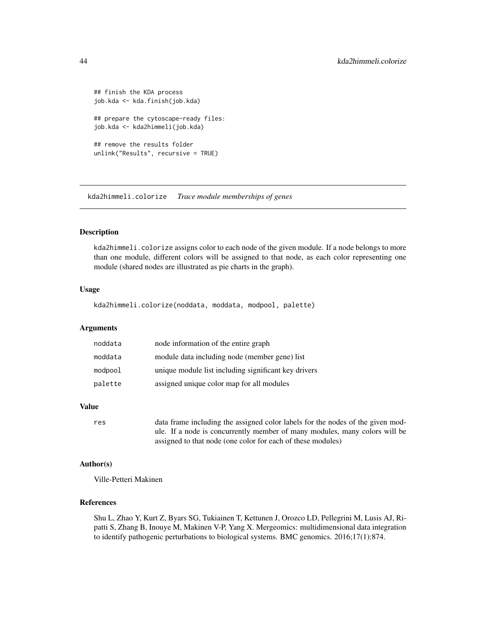```
## finish the KDA process
job.kda <- kda.finish(job.kda)
## prepare the cytoscape-ready files:
job.kda <- kda2himmeli(job.kda)
## remove the results folder
unlink("Results", recursive = TRUE)
```
kda2himmeli.colorize *Trace module memberships of genes*

### **Description**

kda2himmeli.colorize assigns color to each node of the given module. If a node belongs to more than one module, different colors will be assigned to that node, as each color representing one module (shared nodes are illustrated as pie charts in the graph).

## Usage

kda2himmeli.colorize(noddata, moddata, modpool, palette)

## Arguments

| noddata | node information of the entire graph                 |
|---------|------------------------------------------------------|
| moddata | module data including node (member gene) list        |
| modpool | unique module list including significant key drivers |
| palette | assigned unique color map for all modules            |

## Value

```
res data frame including the assigned color labels for the nodes of the given mod-
                 ule. If a node is concurrently member of many modules, many colors will be
                 assigned to that node (one color for each of these modules)
```
### Author(s)

Ville-Petteri Makinen

#### References

Shu L, Zhao Y, Kurt Z, Byars SG, Tukiainen T, Kettunen J, Orozco LD, Pellegrini M, Lusis AJ, Ripatti S, Zhang B, Inouye M, Makinen V-P, Yang X. Mergeomics: multidimensional data integration to identify pathogenic perturbations to biological systems. BMC genomics. 2016;17(1):874.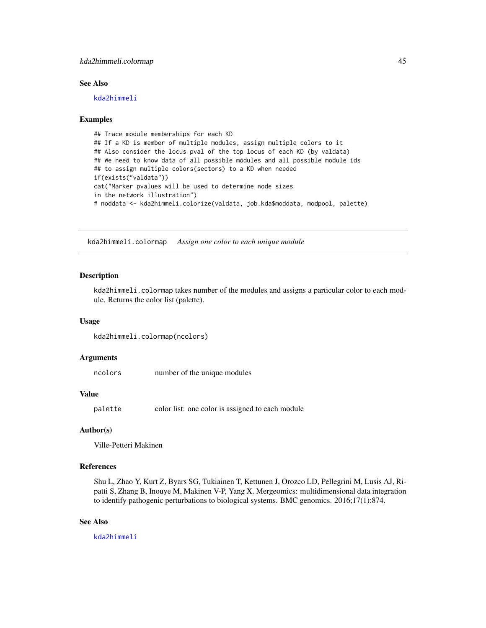# kda2himmeli.colormap 45

### See Also

[kda2himmeli](#page-41-0)

## Examples

```
## Trace module memberships for each KD
## If a KD is member of multiple modules, assign multiple colors to it
## Also consider the locus pval of the top locus of each KD (by valdata)
## We need to know data of all possible modules and all possible module ids
## to assign multiple colors(sectors) to a KD when needed
if(exists("valdata"))
cat("Marker pvalues will be used to determine node sizes
in the network illustration")
# noddata <- kda2himmeli.colorize(valdata, job.kda$moddata, modpool, palette)
```
kda2himmeli.colormap *Assign one color to each unique module*

### Description

kda2himmeli.colormap takes number of the modules and assigns a particular color to each module. Returns the color list (palette).

### Usage

```
kda2himmeli.colormap(ncolors)
```
### Arguments

ncolors number of the unique modules

## Value

palette color list: one color is assigned to each module

# Author(s)

Ville-Petteri Makinen

### References

Shu L, Zhao Y, Kurt Z, Byars SG, Tukiainen T, Kettunen J, Orozco LD, Pellegrini M, Lusis AJ, Ripatti S, Zhang B, Inouye M, Makinen V-P, Yang X. Mergeomics: multidimensional data integration to identify pathogenic perturbations to biological systems. BMC genomics. 2016;17(1):874.

# See Also

[kda2himmeli](#page-41-0)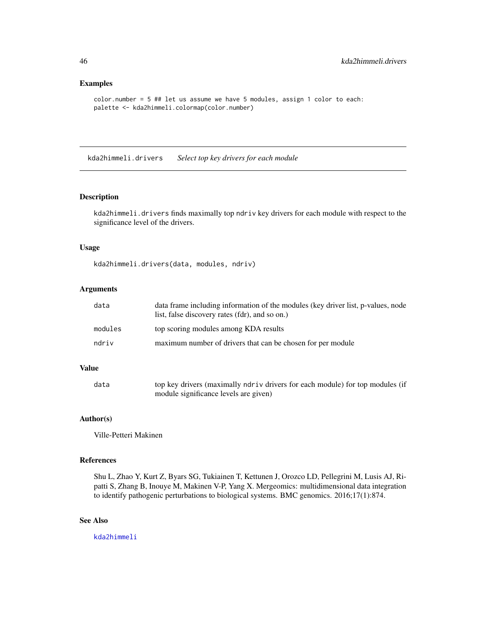### Examples

```
color.number = 5 ## let us assume we have 5 modules, assign 1 color to each:
palette <- kda2himmeli.colormap(color.number)
```
kda2himmeli.drivers *Select top key drivers for each module*

# Description

kda2himmeli.drivers finds maximally top ndriv key drivers for each module with respect to the significance level of the drivers.

# Usage

kda2himmeli.drivers(data, modules, ndriv)

### Arguments

| data    | data frame including information of the modules (key driver list, p-values, node<br>list, false discovery rates (fdr), and so on.) |
|---------|------------------------------------------------------------------------------------------------------------------------------------|
| modules | top scoring modules among KDA results                                                                                              |
| ndriv   | maximum number of drivers that can be chosen for per module                                                                        |

# Value

| data | top key drivers (maximally ndriv drivers for each module) for top modules (if |
|------|-------------------------------------------------------------------------------|
|      | module significance levels are given)                                         |

# Author(s)

Ville-Petteri Makinen

#### References

Shu L, Zhao Y, Kurt Z, Byars SG, Tukiainen T, Kettunen J, Orozco LD, Pellegrini M, Lusis AJ, Ripatti S, Zhang B, Inouye M, Makinen V-P, Yang X. Mergeomics: multidimensional data integration to identify pathogenic perturbations to biological systems. BMC genomics. 2016;17(1):874.

# See Also

[kda2himmeli](#page-41-0)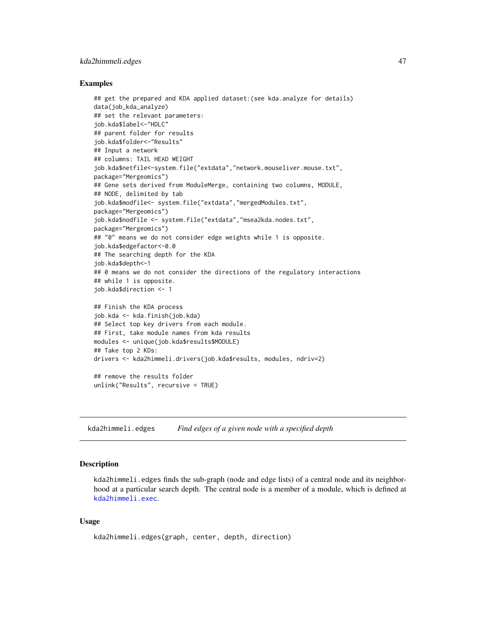# kda2himmeli.edges 47

### Examples

```
## get the prepared and KDA applied dataset:(see kda.analyze for details)
data(job_kda_analyze)
## set the relevant parameters:
job.kda$label<-"HDLC"
## parent folder for results
job.kda$folder<-"Results"
## Input a network
## columns: TAIL HEAD WEIGHT
job.kda$netfile<-system.file("extdata","network.mouseliver.mouse.txt",
package="Mergeomics")
## Gene sets derived from ModuleMerge, containing two columns, MODULE,
## NODE, delimited by tab
job.kda$modfile<- system.file("extdata","mergedModules.txt",
package="Mergeomics")
job.kda$nodfile <- system.file("extdata","msea2kda.nodes.txt",
package="Mergeomics")
## "0" means we do not consider edge weights while 1 is opposite.
job.kda$edgefactor<-0.0
## The searching depth for the KDA
job.kda$depth<-1
## 0 means we do not consider the directions of the regulatory interactions
## while 1 is opposite.
job.kda$direction <- 1
## Finish the KDA process
job.kda <- kda.finish(job.kda)
## Select top key drivers from each module.
## First, take module names from kda results
modules <- unique(job.kda$results$MODULE)
## Take top 2 KDs:
drivers <- kda2himmeli.drivers(job.kda$results, modules, ndriv=2)
## remove the results folder
unlink("Results", recursive = TRUE)
```
kda2himmeli.edges *Find edges of a given node with a specified depth*

#### Description

kda2himmeli.edges finds the sub-graph (node and edge lists) of a central node and its neighborhood at a particular search depth. The central node is a member of a module, which is defined at [kda2himmeli.exec](#page-48-0).

# Usage

```
kda2himmeli.edges(graph, center, depth, direction)
```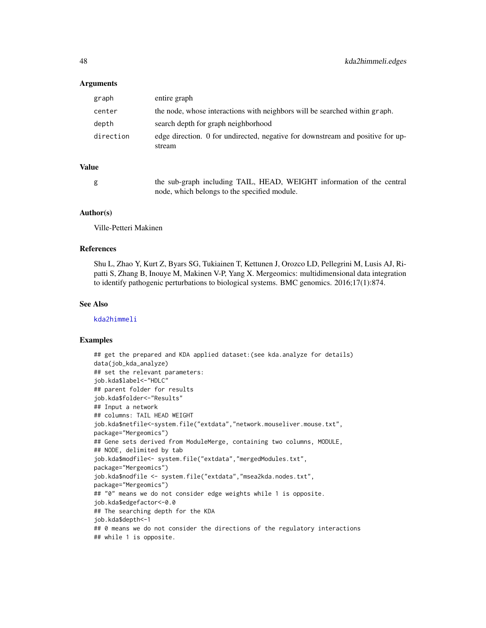### Arguments

| graph     | entire graph                                                                             |
|-----------|------------------------------------------------------------------------------------------|
| center    | the node, whose interactions with neighbors will be searched within graph.               |
| depth     | search depth for graph neighborhood                                                      |
| direction | edge direction. 0 for undirected, negative for downstream and positive for up-<br>stream |
| ue        |                                                                                          |

# Val

g the sub-graph including TAIL, HEAD, WEIGHT information of the central node, which belongs to the specified module.

# Author(s)

Ville-Petteri Makinen

### References

Shu L, Zhao Y, Kurt Z, Byars SG, Tukiainen T, Kettunen J, Orozco LD, Pellegrini M, Lusis AJ, Ripatti S, Zhang B, Inouye M, Makinen V-P, Yang X. Mergeomics: multidimensional data integration to identify pathogenic perturbations to biological systems. BMC genomics. 2016;17(1):874.

### See Also

[kda2himmeli](#page-41-0)

```
## get the prepared and KDA applied dataset:(see kda.analyze for details)
data(job_kda_analyze)
## set the relevant parameters:
job.kda$label<-"HDLC"
## parent folder for results
job.kda$folder<-"Results"
## Input a network
## columns: TAIL HEAD WEIGHT
job.kda$netfile<-system.file("extdata","network.mouseliver.mouse.txt",
package="Mergeomics")
## Gene sets derived from ModuleMerge, containing two columns, MODULE,
## NODE, delimited by tab
job.kda$modfile<- system.file("extdata","mergedModules.txt",
package="Mergeomics")
job.kda$nodfile <- system.file("extdata","msea2kda.nodes.txt",
package="Mergeomics")
## "0" means we do not consider edge weights while 1 is opposite.
job.kda$edgefactor<-0.0
## The searching depth for the KDA
job.kda$depth<-1
## 0 means we do not consider the directions of the regulatory interactions
## while 1 is opposite.
```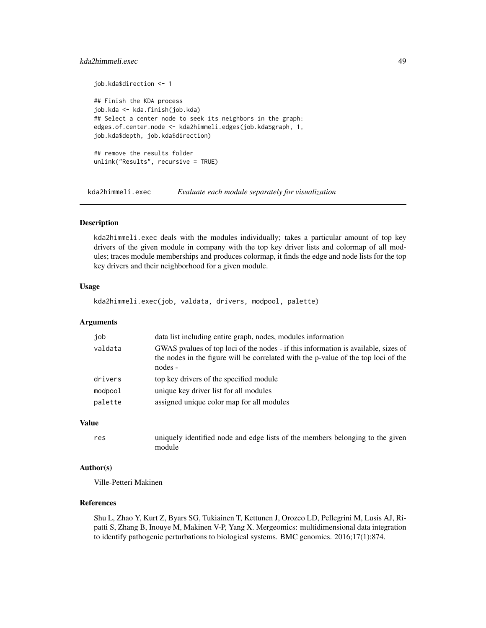# kda2himmeli.exec 49

```
job.kda$direction <- 1
## Finish the KDA process
job.kda <- kda.finish(job.kda)
## Select a center node to seek its neighbors in the graph:
edges.of.center.node <- kda2himmeli.edges(job.kda$graph, 1,
job.kda$depth, job.kda$direction)
## remove the results folder
unlink("Results", recursive = TRUE)
```
<span id="page-48-0"></span>kda2himmeli.exec *Evaluate each module separately for visualization*

# **Description**

kda2himmeli.exec deals with the modules individually; takes a particular amount of top key drivers of the given module in company with the top key driver lists and colormap of all modules; traces module memberships and produces colormap, it finds the edge and node lists for the top key drivers and their neighborhood for a given module.

## Usage

kda2himmeli.exec(job, valdata, drivers, modpool, palette)

### Arguments

| job     | data list including entire graph, nodes, modules information                                                                                                                        |
|---------|-------------------------------------------------------------------------------------------------------------------------------------------------------------------------------------|
| valdata | GWAS pvalues of top loci of the nodes - if this information is available, sizes of<br>the nodes in the figure will be correlated with the p-value of the top loci of the<br>nodes - |
| drivers | top key drivers of the specified module                                                                                                                                             |
| modpool | unique key driver list for all modules                                                                                                                                              |
| palette | assigned unique color map for all modules                                                                                                                                           |
|         |                                                                                                                                                                                     |

## Value

```
res uniquely identified node and edge lists of the members belonging to the given
               module
```
#### Author(s)

Ville-Petteri Makinen

# References

Shu L, Zhao Y, Kurt Z, Byars SG, Tukiainen T, Kettunen J, Orozco LD, Pellegrini M, Lusis AJ, Ripatti S, Zhang B, Inouye M, Makinen V-P, Yang X. Mergeomics: multidimensional data integration to identify pathogenic perturbations to biological systems. BMC genomics. 2016;17(1):874.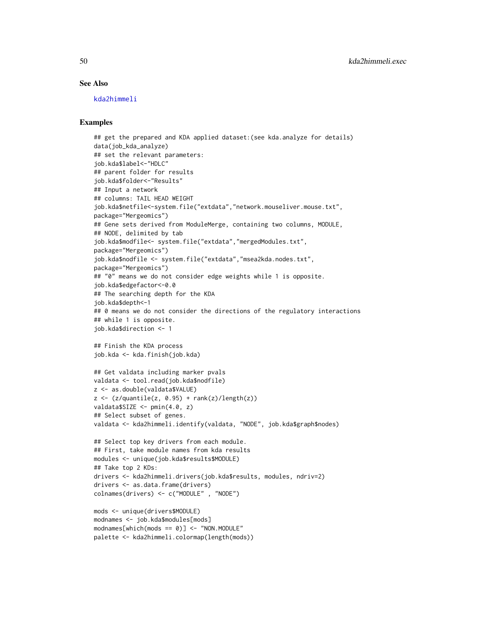### See Also

[kda2himmeli](#page-41-0)

# Examples

```
## get the prepared and KDA applied dataset:(see kda.analyze for details)
data(job_kda_analyze)
## set the relevant parameters:
job.kda$label<-"HDLC"
## parent folder for results
job.kda$folder<-"Results"
## Input a network
## columns: TAIL HEAD WEIGHT
job.kda$netfile<-system.file("extdata","network.mouseliver.mouse.txt",
package="Mergeomics")
## Gene sets derived from ModuleMerge, containing two columns, MODULE,
## NODE, delimited by tab
job.kda$modfile<- system.file("extdata","mergedModules.txt",
package="Mergeomics")
job.kda$nodfile <- system.file("extdata","msea2kda.nodes.txt",
package="Mergeomics")
## "0" means we do not consider edge weights while 1 is opposite.
job.kda$edgefactor<-0.0
## The searching depth for the KDA
job.kda$depth<-1
## 0 means we do not consider the directions of the regulatory interactions
## while 1 is opposite.
job.kda$direction <- 1
## Finish the KDA process
job.kda <- kda.finish(job.kda)
## Get valdata including marker pvals
valdata <- tool.read(job.kda$nodfile)
z <- as.double(valdata$VALUE)
z \leftarrow (z/quantile(z, 0.95) + rank(z)/length(z))valdata$SIZE <- pmin(4.0, z)
## Select subset of genes.
valdata <- kda2himmeli.identify(valdata, "NODE", job.kda$graph$nodes)
## Select top key drivers from each module.
## First, take module names from kda results
modules <- unique(job.kda$results$MODULE)
## Take top 2 KDs:
drivers <- kda2himmeli.drivers(job.kda$results, modules, ndriv=2)
drivers <- as.data.frame(drivers)
colnames(drivers) <- c("MODULE" , "NODE")
mods <- unique(drivers$MODULE)
modnames <- job.kda$modules[mods]
```
 $modnames[which(mods == 0)] \leftarrow "NON.MODULE"$ palette <- kda2himmeli.colormap(length(mods))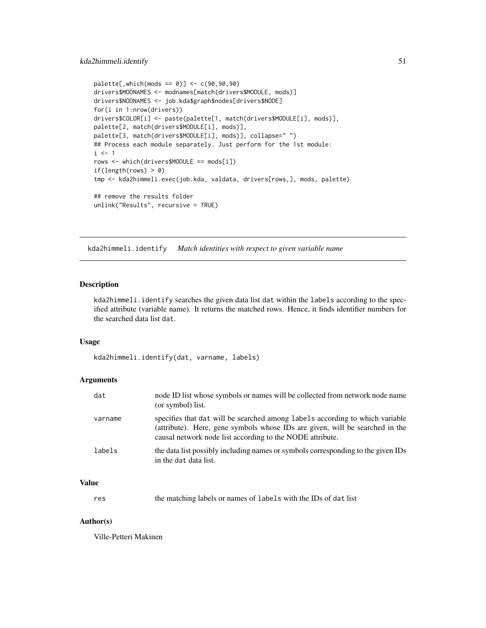```
palette[, which (mods == 0)] < -c(90, 90, 90)drivers$MODNAMES <- modnames[match(drivers$MODULE, mods)]
drivers$NODNAMES <- job.kda$graph$nodes[drivers$NODE]
for(i in 1:nrow(drivers))
drivers$COLOR[i] <- paste(palette[1, match(drivers$MODULE[i], mods)],
palette[2, match(drivers$MODULE[i], mods)],
palette[3, match(drivers$MODULE[i], mods)], collapse=" ")
## Process each module separately. Just perform for the 1st module:
i \leq 1rows <- which(drivers$MODULE == mods[i])
if(length(rows) > 0)
tmp <- kda2himmeli.exec(job.kda, valdata, drivers[rows,], mods, palette)
## remove the results folder
unlink("Results", recursive = TRUE)
```
kda2himmeli.identify *Match identities with respect to given variable name*

### **Description**

kda2himmeli.identify searches the given data list dat within the labels according to the specified attribute (variable name). It returns the matched rows. Hence, it finds identifier numbers for the searched data list dat.

# Usage

kda2himmeli.identify(dat, varname, labels)

# Arguments

| dat     | node ID list whose symbols or names will be collected from network node name<br>(or symbol) list.                                                                                                                         |
|---------|---------------------------------------------------------------------------------------------------------------------------------------------------------------------------------------------------------------------------|
| varname | specifies that dat will be searched among labels according to which variable<br>(attribute). Here, gene symbols whose IDs are given, will be searched in the<br>causal network node list according to the NODE attribute. |
| labels  | the data list possibly including names or symbols corresponding to the given IDs<br>in the dat data list.                                                                                                                 |

# Value

res the matching labels or names of labels with the IDs of dat list

# Author(s)

Ville-Petteri Makinen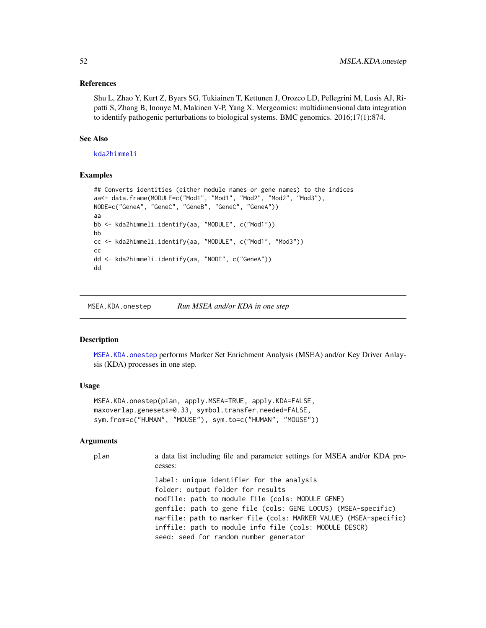## References

Shu L, Zhao Y, Kurt Z, Byars SG, Tukiainen T, Kettunen J, Orozco LD, Pellegrini M, Lusis AJ, Ripatti S, Zhang B, Inouye M, Makinen V-P, Yang X. Mergeomics: multidimensional data integration to identify pathogenic perturbations to biological systems. BMC genomics. 2016;17(1):874.

# See Also

[kda2himmeli](#page-41-0)

## Examples

```
## Converts identities (either module names or gene names) to the indices
aa<- data.frame(MODULE=c("Mod1", "Mod1", "Mod2", "Mod2", "Mod3"),
NODE=c("GeneA", "GeneC", "GeneB", "GeneC", "GeneA"))
aa
bb <- kda2himmeli.identify(aa, "MODULE", c("Mod1"))
bb
cc <- kda2himmeli.identify(aa, "MODULE", c("Mod1", "Mod3"))
cc
dd <- kda2himmeli.identify(aa, "NODE", c("GeneA"))
dd
```
<span id="page-51-0"></span>MSEA.KDA.onestep *Run MSEA and/or KDA in one step*

# Description

[MSEA.KDA.onestep](#page-51-0) performs Marker Set Enrichment Analysis (MSEA) and/or Key Driver Anlaysis (KDA) processes in one step.

## Usage

```
MSEA.KDA.onestep(plan, apply.MSEA=TRUE, apply.KDA=FALSE,
maxoverlap.genesets=0.33, symbol.transfer.needed=FALSE,
sym.from=c("HUMAN", "MOUSE"), sym.to=c("HUMAN", "MOUSE"))
```
# Arguments

| plan | a data list including file and parameter settings for MSEA and/or KDA pro-<br>cesses:                                                                                                                                                                                                                                              |
|------|------------------------------------------------------------------------------------------------------------------------------------------------------------------------------------------------------------------------------------------------------------------------------------------------------------------------------------|
|      | label: unique identifier for the analysis<br>folder: output folder for results<br>modfile: path to module file (cols: MODULE GENE)<br>genfile: path to gene file (cols: GENE LOCUS) (MSEA-specific)<br>marfile: path to marker file (cols: MARKER VALUE) (MSEA-specific)<br>inffile: path to module info file (cols: MODULE DESCR) |
|      | seed: seed for random number generator                                                                                                                                                                                                                                                                                             |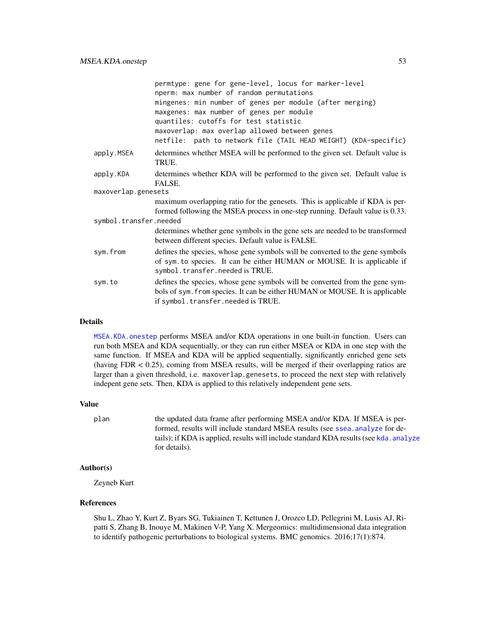|                        | permtype: gene for gene-level, locus for marker-level<br>nperm: max number of random permutations<br>mingenes: min number of genes per module (after merging)<br>maxgenes: max number of genes per module<br>quantiles: cutoffs for test statistic<br>maxoverlap: max overlap allowed between genes<br>netfile: path to network file (TAIL HEAD WEIGHT) (KDA-specific) |
|------------------------|------------------------------------------------------------------------------------------------------------------------------------------------------------------------------------------------------------------------------------------------------------------------------------------------------------------------------------------------------------------------|
| apply.MSEA             | determines whether MSEA will be performed to the given set. Default value is<br>TRUE.                                                                                                                                                                                                                                                                                  |
| apply.KDA              | determines whether KDA will be performed to the given set. Default value is<br>FALSE.                                                                                                                                                                                                                                                                                  |
| maxoverlap.genesets    |                                                                                                                                                                                                                                                                                                                                                                        |
|                        | maximum overlapping ratio for the genesets. This is applicable if KDA is per-<br>formed following the MSEA process in one-step running. Default value is 0.33.                                                                                                                                                                                                         |
| symbol.transfer.needed |                                                                                                                                                                                                                                                                                                                                                                        |
|                        | determines whether gene symbols in the gene sets are needed to be transformed<br>between different species. Default value is FALSE.                                                                                                                                                                                                                                    |
| sym.from               | defines the species, whose gene symbols will be converted to the gene symbols<br>of sym. to species. It can be either HUMAN or MOUSE. It is applicable if<br>symbol.transfer.needed is TRUE.                                                                                                                                                                           |
| sym.to                 | defines the species, whose gene symbols will be converted from the gene sym-<br>bols of sym. from species. It can be either HUMAN or MOUSE. It is applicable<br>if symbol.transfer.needed is TRUE.                                                                                                                                                                     |

### Details

[MSEA.KDA.onestep](#page-51-0) performs MSEA and/or KDA operations in one built-in function. Users can run both MSEA and KDA sequentially, or they can run either MSEA or KDA in one step with the same function. If MSEA and KDA will be applied sequentially, significantly enriched gene sets (having FDR < 0.25), coming from MSEA results, will be merged if their overlapping ratios are larger than a given threshold, i.e. maxoverlap.genesets, to proceed the next step with relatively indepent gene sets. Then, KDA is applied to this relatively independent gene sets.

#### Value

plan the updated data frame after performing MSEA and/or KDA. If MSEA is performed, results will include standard MSEA results (see [ssea.analyze](#page-53-0) for details); if KDA is applied, results will include standard KDA results (see [kda.analyze](#page-4-0) for details).

# Author(s)

Zeyneb Kurt

# References

Shu L, Zhao Y, Kurt Z, Byars SG, Tukiainen T, Kettunen J, Orozco LD, Pellegrini M, Lusis AJ, Ripatti S, Zhang B, Inouye M, Makinen V-P, Yang X. Mergeomics: multidimensional data integration to identify pathogenic perturbations to biological systems. BMC genomics. 2016;17(1):874.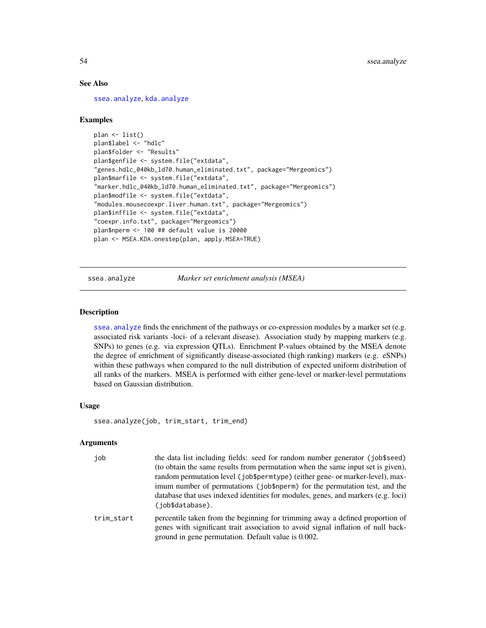# See Also

[ssea.analyze](#page-53-0), [kda.analyze](#page-4-0)

# Examples

```
plan <- list()
plan$label <- "hdlc"
plan$folder <- "Results"
plan$genfile <- system.file("extdata",
"genes.hdlc_040kb_ld70.human_eliminated.txt", package="Mergeomics")
plan$marfile <- system.file("extdata",
"marker.hdlc_040kb_ld70.human_eliminated.txt", package="Mergeomics")
plan$modfile <- system.file("extdata",
"modules.mousecoexpr.liver.human.txt", package="Mergeomics")
plan$inffile <- system.file("extdata",
"coexpr.info.txt", package="Mergeomics")
plan$nperm <- 100 ## default value is 20000
plan <- MSEA.KDA.onestep(plan, apply.MSEA=TRUE)
```
<span id="page-53-0"></span>ssea.analyze *Marker set enrichment analysis (MSEA)*

#### **Description**

ssea. analyze finds the enrichment of the pathways or co-expression modules by a marker set (e.g. associated risk variants -loci- of a relevant disease). Association study by mapping markers (e.g. SNPs) to genes (e.g. via expression QTLs). Enrichment P-values obtained by the MSEA denote the degree of enrichment of significantly disease-associated (high ranking) markers (e.g. eSNPs) within these pathways when compared to the null distribution of expected uniform distribution of all ranks of the markers. MSEA is performed with either gene-level or marker-level permutations based on Gaussian distribution.

### Usage

```
ssea.analyze(job, trim_start, trim_end)
```
# Arguments

| job        | the data list including fields: seed for random number generator (job\$seed)<br>(to obtain the same results from permutation when the same input set is given),<br>random permutation level (job\$permtype) (either gene- or marker-level), max-<br>imum number of permutations (job\$nperm) for the permutation test, and the |
|------------|--------------------------------------------------------------------------------------------------------------------------------------------------------------------------------------------------------------------------------------------------------------------------------------------------------------------------------|
|            | database that uses indexed identities for modules, genes, and markers (e.g. loci)<br>(iob\$database).                                                                                                                                                                                                                          |
| trim start | percentile taken from the beginning for trimming away a defined proportion of<br>genes with significant trait association to avoid signal inflation of null back-                                                                                                                                                              |

ground in gene permutation. Default value is 0.002.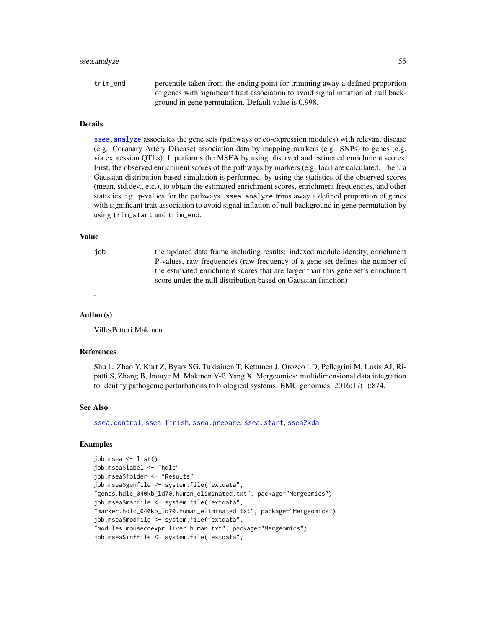#### ssea.analyze 55

trim\_end percentile taken from the ending point for trimming away a defined proportion of genes with significant trait association to avoid signal inflation of null background in gene permutation. Default value is 0.998.

# **Details**

[ssea.analyze](#page-53-0) associates the gene sets (pathways or co-expression modules) with relevant disease (e.g. Coronary Artery Disease) association data by mapping markers (e.g. SNPs) to genes (e.g. via expression QTLs). It performs the MSEA by using observed and estimated enrichment scores. First, the observed enrichment scores of the pathways by markers (e.g. loci) are calculated. Then, a Gaussian distribution based simulation is performed, by using the statistics of the observed scores (mean, std.dev., etc.), to obtain the estimated enrichment scores, enrichment frequencies, and other statistics e.g. p-values for the pathways. ssea.analyze trims away a defined proportion of genes with significant trait association to avoid signal inflation of null background in gene permutation by using trim\_start and trim\_end.

#### Value

job the updated data frame including results: indexed module identity, enrichment P-values, raw frequencies (raw frequency of a gene set defines the number of the estimated enrichment scores that are larger than this gene set's enrichment score under the null distribution based on Gaussian function)

#### Author(s)

.

Ville-Petteri Makinen

# References

Shu L, Zhao Y, Kurt Z, Byars SG, Tukiainen T, Kettunen J, Orozco LD, Pellegrini M, Lusis AJ, Ripatti S, Zhang B, Inouye M, Makinen V-P, Yang X. Mergeomics: multidimensional data integration to identify pathogenic perturbations to biological systems. BMC genomics. 2016;17(1):874.

#### See Also

[ssea.control](#page-66-0), [ssea.finish](#page-68-0), [ssea.prepare](#page-78-0), [ssea.start](#page-84-0), [ssea2kda](#page-92-0)

```
job.msea <- list()
job.msea$label <- "hdlc"
job.msea$folder <- "Results"
job.msea$genfile <- system.file("extdata",
"genes.hdlc_040kb_ld70.human_eliminated.txt", package="Mergeomics")
job.msea$marfile <- system.file("extdata",
"marker.hdlc_040kb_ld70.human_eliminated.txt", package="Mergeomics")
job.msea$modfile <- system.file("extdata",
"modules.mousecoexpr.liver.human.txt", package="Mergeomics")
job.msea$inffile <- system.file("extdata",
```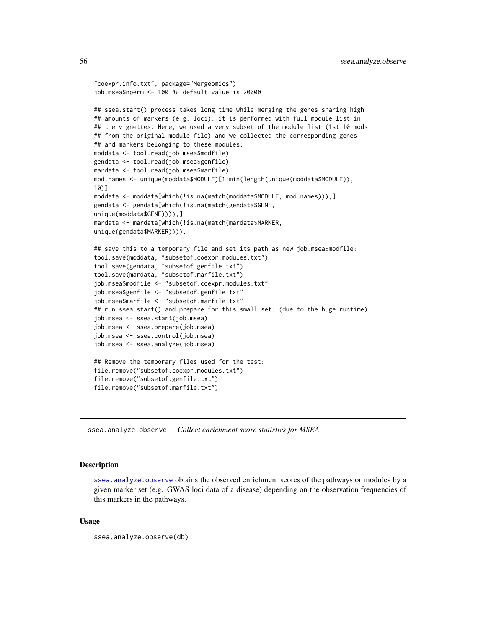```
"coexpr.info.txt", package="Mergeomics")
job.msea$nperm <- 100 ## default value is 20000
## ssea.start() process takes long time while merging the genes sharing high
## amounts of markers (e.g. loci). it is performed with full module list in
## the vignettes. Here, we used a very subset of the module list (1st 10 mods
## from the original module file) and we collected the corresponding genes
## and markers belonging to these modules:
moddata <- tool.read(job.msea$modfile)
gendata <- tool.read(job.msea$genfile)
mardata <- tool.read(job.msea$marfile)
mod.names <- unique(moddata$MODULE)[1:min(length(unique(moddata$MODULE)),
10)]
moddata <- moddata[which(!is.na(match(moddata$MODULE, mod.names))),]
gendata <- gendata[which(!is.na(match(gendata$GENE,
unique(moddata$GENE)))),]
mardata <- mardata[which(!is.na(match(mardata$MARKER,
unique(gendata$MARKER)))),]
## save this to a temporary file and set its path as new job.msea$modfile:
tool.save(moddata, "subsetof.coexpr.modules.txt")
tool.save(gendata, "subsetof.genfile.txt")
tool.save(mardata, "subsetof.marfile.txt")
job.msea$modfile <- "subsetof.coexpr.modules.txt"
job.msea$genfile <- "subsetof.genfile.txt"
job.msea$marfile <- "subsetof.marfile.txt"
## run ssea.start() and prepare for this small set: (due to the huge runtime)
job.msea <- ssea.start(job.msea)
job.msea <- ssea.prepare(job.msea)
job.msea <- ssea.control(job.msea)
job.msea <- ssea.analyze(job.msea)
## Remove the temporary files used for the test:
file.remove("subsetof.coexpr.modules.txt")
file.remove("subsetof.genfile.txt")
file.remove("subsetof.marfile.txt")
```
<span id="page-55-0"></span>ssea.analyze.observe *Collect enrichment score statistics for MSEA*

# **Description**

ssea. analyze. observe obtains the observed enrichment scores of the pathways or modules by a given marker set (e.g. GWAS loci data of a disease) depending on the observation frequencies of this markers in the pathways.

## Usage

```
ssea.analyze.observe(db)
```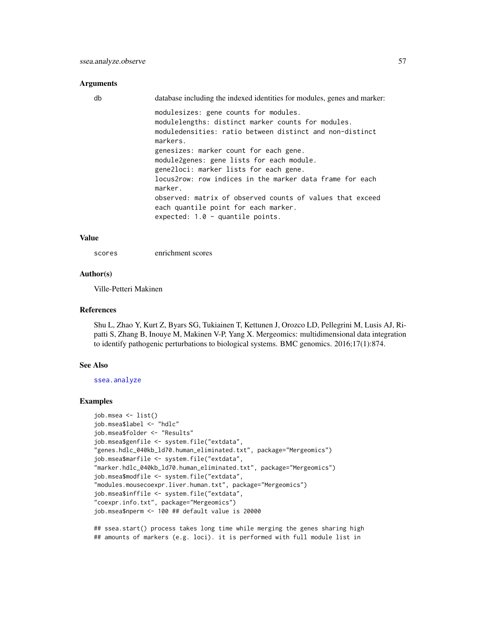#### Arguments

| db | database including the indexed identities for modules, genes and marker:                                                                                            |
|----|---------------------------------------------------------------------------------------------------------------------------------------------------------------------|
|    | modulesizes: gene counts for modules.<br>modulelengths: distinct marker counts for modules.<br>moduledensities: ratio between distinct and non-distinct<br>markers. |
|    | genesizes: marker count for each gene.<br>module2genes: gene lists for each module.<br>gene2loci: marker lists for each gene.                                       |
|    | locus2row: row indices in the marker data frame for each<br>marker.                                                                                                 |
|    | observed: matrix of observed counts of values that exceed<br>each quantile point for each marker.                                                                   |
|    | expected: $1.0 -$ quantile points.                                                                                                                                  |

### Value

scores enrichment scores

### Author(s)

Ville-Petteri Makinen

## References

Shu L, Zhao Y, Kurt Z, Byars SG, Tukiainen T, Kettunen J, Orozco LD, Pellegrini M, Lusis AJ, Ripatti S, Zhang B, Inouye M, Makinen V-P, Yang X. Mergeomics: multidimensional data integration to identify pathogenic perturbations to biological systems. BMC genomics. 2016;17(1):874.

#### See Also

[ssea.analyze](#page-53-0)

### Examples

```
job.msea <- list()
job.msea$label <- "hdlc"
job.msea$folder <- "Results"
job.msea$genfile <- system.file("extdata",
"genes.hdlc_040kb_ld70.human_eliminated.txt", package="Mergeomics")
job.msea$marfile <- system.file("extdata",
"marker.hdlc_040kb_ld70.human_eliminated.txt", package="Mergeomics")
job.msea$modfile <- system.file("extdata",
"modules.mousecoexpr.liver.human.txt", package="Mergeomics")
job.msea$inffile <- system.file("extdata",
"coexpr.info.txt", package="Mergeomics")
job.msea$nperm <- 100 ## default value is 20000
```
## ssea.start() process takes long time while merging the genes sharing high ## amounts of markers (e.g. loci). it is performed with full module list in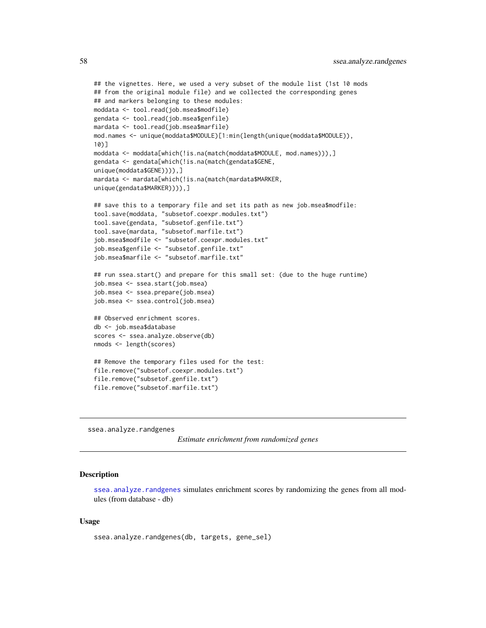```
## the vignettes. Here, we used a very subset of the module list (1st 10 mods
## from the original module file) and we collected the corresponding genes
## and markers belonging to these modules:
moddata <- tool.read(job.msea$modfile)
gendata <- tool.read(job.msea$genfile)
mardata <- tool.read(job.msea$marfile)
mod.names <- unique(moddata$MODULE)[1:min(length(unique(moddata$MODULE)),
10)]
moddata <- moddata[which(!is.na(match(moddata$MODULE, mod.names))),]
gendata <- gendata[which(!is.na(match(gendata$GENE,
unique(moddata$GENE)))),]
mardata <- mardata[which(!is.na(match(mardata$MARKER,
unique(gendata$MARKER)))),]
## save this to a temporary file and set its path as new job.msea$modfile:
tool.save(moddata, "subsetof.coexpr.modules.txt")
tool.save(gendata, "subsetof.genfile.txt")
tool.save(mardata, "subsetof.marfile.txt")
job.msea$modfile <- "subsetof.coexpr.modules.txt"
job.msea$genfile <- "subsetof.genfile.txt"
job.msea$marfile <- "subsetof.marfile.txt"
## run ssea.start() and prepare for this small set: (due to the huge runtime)
job.msea <- ssea.start(job.msea)
job.msea <- ssea.prepare(job.msea)
job.msea <- ssea.control(job.msea)
## Observed enrichment scores.
db <- job.msea$database
scores <- ssea.analyze.observe(db)
nmods <- length(scores)
## Remove the temporary files used for the test:
file.remove("subsetof.coexpr.modules.txt")
file.remove("subsetof.genfile.txt")
file.remove("subsetof.marfile.txt")
```
<span id="page-57-0"></span>ssea.analyze.randgenes

*Estimate enrichment from randomized genes*

## **Description**

[ssea.analyze.randgenes](#page-57-0) simulates enrichment scores by randomizing the genes from all modules (from database - db)

# Usage

```
ssea.analyze.randgenes(db, targets, gene_sel)
```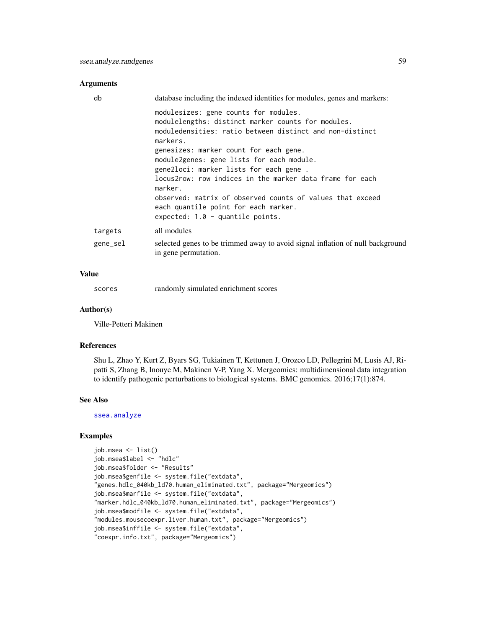## Arguments

| db                  | database including the indexed identities for modules, genes and markers:                                                                                           |
|---------------------|---------------------------------------------------------------------------------------------------------------------------------------------------------------------|
|                     | modulesizes: gene counts for modules.<br>modulelengths: distinct marker counts for modules.<br>moduledensities: ratio between distinct and non-distinct<br>markers. |
|                     | genesizes: marker count for each gene.<br>module2genes: gene lists for each module.<br>gene2loci: marker lists for each gene.                                       |
|                     | locus2row: row indices in the marker data frame for each<br>marker.                                                                                                 |
|                     | observed: matrix of observed counts of values that exceed<br>each quantile point for each marker.<br>expected: $1.0 -$ quantile points.                             |
| targets<br>gene_sel | all modules<br>selected genes to be trimmed away to avoid signal inflation of null background<br>in gene permutation.                                               |
|                     |                                                                                                                                                                     |

# Value

| scores |  |  | randomly simulated enrichment scores |  |
|--------|--|--|--------------------------------------|--|
|--------|--|--|--------------------------------------|--|

# Author(s)

Ville-Petteri Makinen

#### References

Shu L, Zhao Y, Kurt Z, Byars SG, Tukiainen T, Kettunen J, Orozco LD, Pellegrini M, Lusis AJ, Ripatti S, Zhang B, Inouye M, Makinen V-P, Yang X. Mergeomics: multidimensional data integration to identify pathogenic perturbations to biological systems. BMC genomics. 2016;17(1):874.

#### See Also

[ssea.analyze](#page-53-0)

```
job.msea <- list()
job.msea$label <- "hdlc"
job.msea$folder <- "Results"
job.msea$genfile <- system.file("extdata",
"genes.hdlc_040kb_ld70.human_eliminated.txt", package="Mergeomics")
job.msea$marfile <- system.file("extdata",
"marker.hdlc_040kb_ld70.human_eliminated.txt", package="Mergeomics")
job.msea$modfile <- system.file("extdata",
"modules.mousecoexpr.liver.human.txt", package="Mergeomics")
job.msea$inffile <- system.file("extdata",
"coexpr.info.txt", package="Mergeomics")
```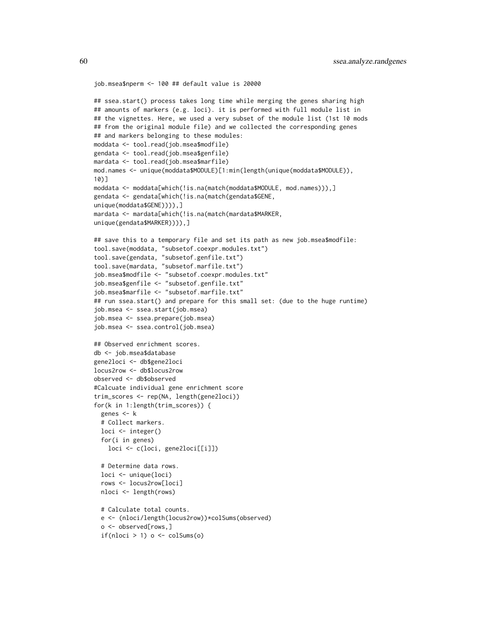```
job.msea$nperm <- 100 ## default value is 20000
## ssea.start() process takes long time while merging the genes sharing high
## amounts of markers (e.g. loci). it is performed with full module list in
## the vignettes. Here, we used a very subset of the module list (1st 10 mods
## from the original module file) and we collected the corresponding genes
## and markers belonging to these modules:
moddata <- tool.read(job.msea$modfile)
gendata <- tool.read(job.msea$genfile)
mardata <- tool.read(job.msea$marfile)
mod.names <- unique(moddata$MODULE)[1:min(length(unique(moddata$MODULE)),
10)]
moddata <- moddata[which(!is.na(match(moddata$MODULE, mod.names))),]
gendata <- gendata[which(!is.na(match(gendata$GENE,
unique(moddata$GENE)))),]
mardata <- mardata[which(!is.na(match(mardata$MARKER,
unique(gendata$MARKER)))),]
## save this to a temporary file and set its path as new job.msea$modfile:
tool.save(moddata, "subsetof.coexpr.modules.txt")
tool.save(gendata, "subsetof.genfile.txt")
tool.save(mardata, "subsetof.marfile.txt")
job.msea$modfile <- "subsetof.coexpr.modules.txt"
job.msea$genfile <- "subsetof.genfile.txt"
job.msea$marfile <- "subsetof.marfile.txt"
## run ssea.start() and prepare for this small set: (due to the huge runtime)
job.msea <- ssea.start(job.msea)
job.msea <- ssea.prepare(job.msea)
job.msea <- ssea.control(job.msea)
## Observed enrichment scores.
db <- job.msea$database
gene2loci <- db$gene2loci
locus2row <- db$locus2row
observed <- db$observed
#Calcuate individual gene enrichment score
trim_scores <- rep(NA, length(gene2loci))
for(k in 1:length(trim_scores)) {
 genes <- k
 # Collect markers.
 loci <- integer()
 for(i in genes)
   loci <- c(loci, gene2loci[[i]])
 # Determine data rows.
 loci <- unique(loci)
 rows <- locus2row[loci]
 nloci <- length(rows)
 # Calculate total counts.
 e <- (nloci/length(locus2row))*colSums(observed)
 o <- observed[rows,]
 if(nloci > 1) o \leftarrow colSums(o)
```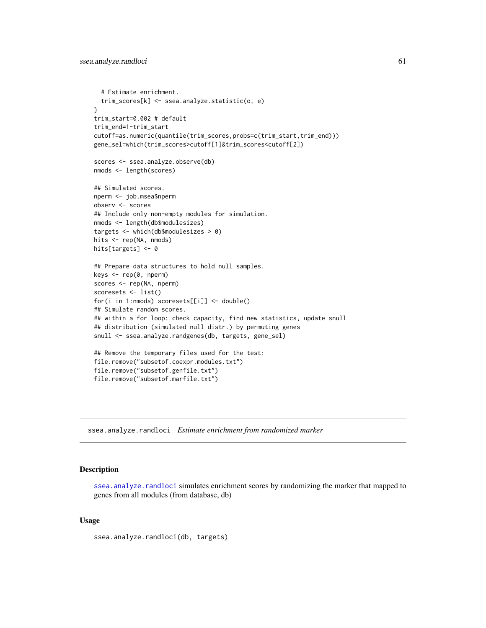```
# Estimate enrichment.
  trim_scores[k] <- ssea.analyze.statistic(o, e)
}
trim_start=0.002 # default
trim_end=1-trim_start
cutoff=as.numeric(quantile(trim_scores,probs=c(trim_start,trim_end)))
gene_sel=which(trim_scores>cutoff[1]&trim_scores<cutoff[2])
scores <- ssea.analyze.observe(db)
nmods <- length(scores)
## Simulated scores.
nperm <- job.msea$nperm
observ <- scores
## Include only non-empty modules for simulation.
nmods <- length(db$modulesizes)
targets <- which(db$modulesizes > 0)
hits <- rep(NA, nmods)
hits[targets] <- 0
## Prepare data structures to hold null samples.
keys <- rep(0, nperm)
scores <- rep(NA, nperm)
scoresets <- list()
for(i in 1:nmods) scoresets[[i]] <- double()
## Simulate random scores.
## within a for loop: check capacity, find new statistics, update snull
## distribution (simulated null distr.) by permuting genes
snull <- ssea.analyze.randgenes(db, targets, gene_sel)
## Remove the temporary files used for the test:
file.remove("subsetof.coexpr.modules.txt")
file.remove("subsetof.genfile.txt")
file.remove("subsetof.marfile.txt")
```
<span id="page-60-0"></span>ssea.analyze.randloci *Estimate enrichment from randomized marker*

# Description

[ssea.analyze.randloci](#page-60-0) simulates enrichment scores by randomizing the marker that mapped to genes from all modules (from database, db)

## Usage

ssea.analyze.randloci(db, targets)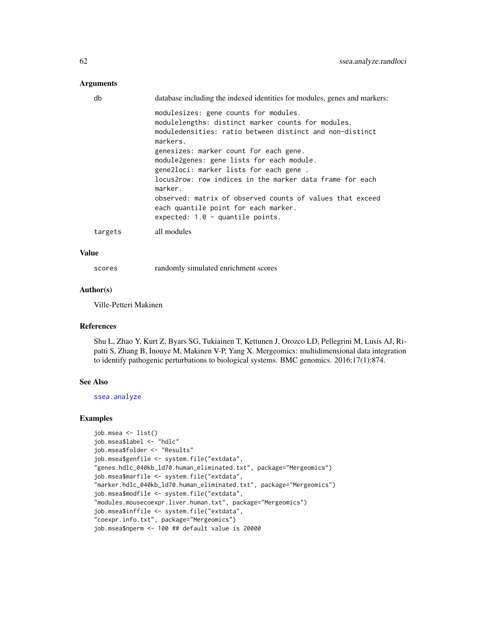# Arguments

| db      | database including the indexed identities for modules, genes and markers:                                                                                                                 |
|---------|-------------------------------------------------------------------------------------------------------------------------------------------------------------------------------------------|
|         | modulesizes: gene counts for modules.<br>modulelengths: distinct marker counts for modules.<br>moduledensities: ratio between distinct and non-distinct<br>markers.                       |
|         | genesizes: marker count for each gene.<br>module2genes: gene lists for each module.<br>gene2loci: marker lists for each gene.<br>locus2row: row indices in the marker data frame for each |
|         | marker.<br>observed: matrix of observed counts of values that exceed<br>each quantile point for each marker.<br>expected: $1.0 -$ quantile points.                                        |
| targets | all modules                                                                                                                                                                               |

# Value

scores randomly simulated enrichment scores

## Author(s)

Ville-Petteri Makinen

# References

Shu L, Zhao Y, Kurt Z, Byars SG, Tukiainen T, Kettunen J, Orozco LD, Pellegrini M, Lusis AJ, Ripatti S, Zhang B, Inouye M, Makinen V-P, Yang X. Mergeomics: multidimensional data integration to identify pathogenic perturbations to biological systems. BMC genomics. 2016;17(1):874.

#### See Also

[ssea.analyze](#page-53-0)

```
job.msea <- list()
job.msea$label <- "hdlc"
job.msea$folder <- "Results"
job.msea$genfile <- system.file("extdata",
"genes.hdlc_040kb_ld70.human_eliminated.txt", package="Mergeomics")
job.msea$marfile <- system.file("extdata",
"marker.hdlc_040kb_ld70.human_eliminated.txt", package="Mergeomics")
job.msea$modfile <- system.file("extdata",
"modules.mousecoexpr.liver.human.txt", package="Mergeomics")
job.msea$inffile <- system.file("extdata",
"coexpr.info.txt", package="Mergeomics")
job.msea$nperm <- 100 ## default value is 20000
```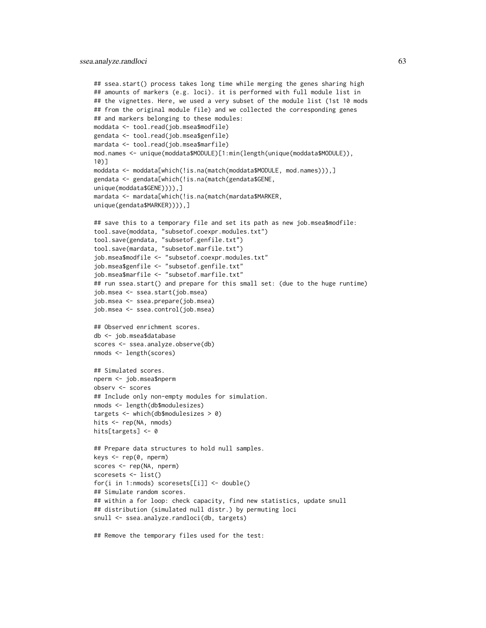```
## ssea.start() process takes long time while merging the genes sharing high
## amounts of markers (e.g. loci). it is performed with full module list in
## the vignettes. Here, we used a very subset of the module list (1st 10 mods
## from the original module file) and we collected the corresponding genes
## and markers belonging to these modules:
moddata <- tool.read(job.msea$modfile)
gendata <- tool.read(job.msea$genfile)
mardata <- tool.read(job.msea$marfile)
mod.names <- unique(moddata$MODULE)[1:min(length(unique(moddata$MODULE)),
10)]
moddata <- moddata[which(!is.na(match(moddata$MODULE, mod.names))),]
gendata <- gendata[which(!is.na(match(gendata$GENE,
unique(moddata$GENE)))),]
mardata <- mardata[which(!is.na(match(mardata$MARKER,
unique(gendata$MARKER)))),]
## save this to a temporary file and set its path as new job.msea$modfile:
tool.save(moddata, "subsetof.coexpr.modules.txt")
tool.save(gendata, "subsetof.genfile.txt")
tool.save(mardata, "subsetof.marfile.txt")
job.msea$modfile <- "subsetof.coexpr.modules.txt"
job.msea$genfile <- "subsetof.genfile.txt"
job.msea$marfile <- "subsetof.marfile.txt"
## run ssea.start() and prepare for this small set: (due to the huge runtime)
job.msea <- ssea.start(job.msea)
job.msea <- ssea.prepare(job.msea)
job.msea <- ssea.control(job.msea)
## Observed enrichment scores.
db <- job.msea$database
scores <- ssea.analyze.observe(db)
nmods <- length(scores)
## Simulated scores.
nperm <- job.msea$nperm
observ <- scores
## Include only non-empty modules for simulation.
nmods <- length(db$modulesizes)
targets <- which(db$modulesizes > 0)
hits <- rep(NA, nmods)
hits[targets] <- 0
## Prepare data structures to hold null samples.
keys <- rep(0, nperm)
scores <- rep(NA, nperm)
scoresets <- list()
for(i in 1:nmods) scoresets[[i]] <- double()
## Simulate random scores.
## within a for loop: check capacity, find new statistics, update snull
## distribution (simulated null distr.) by permuting loci
snull <- ssea.analyze.randloci(db, targets)
## Remove the temporary files used for the test:
```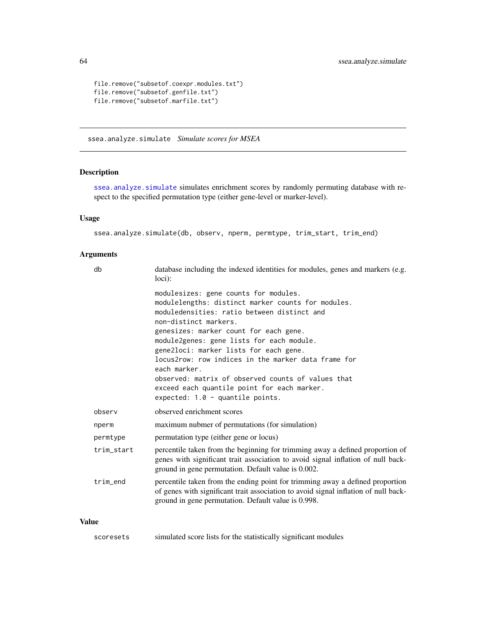```
file.remove("subsetof.coexpr.modules.txt")
file.remove("subsetof.genfile.txt")
file.remove("subsetof.marfile.txt")
```
<span id="page-63-0"></span>ssea.analyze.simulate *Simulate scores for MSEA*

# Description

[ssea.analyze.simulate](#page-63-0) simulates enrichment scores by randomly permuting database with respect to the specified permutation type (either gene-level or marker-level).

# Usage

```
ssea.analyze.simulate(db, observ, nperm, permtype, trim_start, trim_end)
```
# Arguments

| db         | database including the indexed identities for modules, genes and markers (e.g.<br>$loci)$ :                                                                                                                                                                                                                                                                                                                                                                                                                            |
|------------|------------------------------------------------------------------------------------------------------------------------------------------------------------------------------------------------------------------------------------------------------------------------------------------------------------------------------------------------------------------------------------------------------------------------------------------------------------------------------------------------------------------------|
|            | modulesizes: gene counts for modules.<br>modulelengths: distinct marker counts for modules.<br>moduledensities: ratio between distinct and<br>non-distinct markers.<br>genesizes: marker count for each gene.<br>module2genes: gene lists for each module.<br>gene2loci: marker lists for each gene.<br>locus2row: row indices in the marker data frame for<br>each marker.<br>observed: matrix of observed counts of values that<br>exceed each quantile point for each marker.<br>expected: $1.0 -$ quantile points. |
| observ     | observed enrichment scores                                                                                                                                                                                                                                                                                                                                                                                                                                                                                             |
| nperm      | maximum nubmer of permutations (for simulation)                                                                                                                                                                                                                                                                                                                                                                                                                                                                        |
| permtype   | permutation type (either gene or locus)                                                                                                                                                                                                                                                                                                                                                                                                                                                                                |
| trim_start | percentile taken from the beginning for trimming away a defined proportion of<br>genes with significant trait association to avoid signal inflation of null back-<br>ground in gene permutation. Default value is 0.002.                                                                                                                                                                                                                                                                                               |
| trim end   | percentile taken from the ending point for trimming away a defined proportion<br>of genes with significant trait association to avoid signal inflation of null back-<br>ground in gene permutation. Default value is 0.998.                                                                                                                                                                                                                                                                                            |
|            |                                                                                                                                                                                                                                                                                                                                                                                                                                                                                                                        |

# Value

```
scoresets simulated score lists for the statistically significant modules
```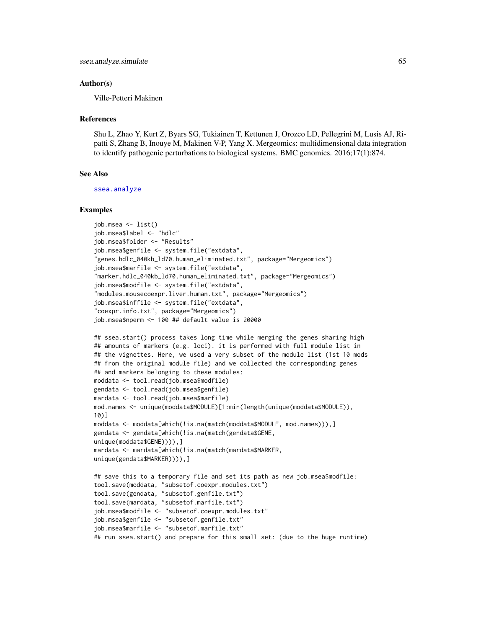#### Author(s)

Ville-Petteri Makinen

#### References

Shu L, Zhao Y, Kurt Z, Byars SG, Tukiainen T, Kettunen J, Orozco LD, Pellegrini M, Lusis AJ, Ripatti S, Zhang B, Inouye M, Makinen V-P, Yang X. Mergeomics: multidimensional data integration to identify pathogenic perturbations to biological systems. BMC genomics. 2016;17(1):874.

# See Also

[ssea.analyze](#page-53-0)

```
job.msea <- list()
job.msea$label <- "hdlc"
job.msea$folder <- "Results"
job.msea$genfile <- system.file("extdata",
"genes.hdlc_040kb_ld70.human_eliminated.txt", package="Mergeomics")
job.msea$marfile <- system.file("extdata",
"marker.hdlc_040kb_ld70.human_eliminated.txt", package="Mergeomics")
job.msea$modfile <- system.file("extdata",
"modules.mousecoexpr.liver.human.txt", package="Mergeomics")
job.msea$inffile <- system.file("extdata",
"coexpr.info.txt", package="Mergeomics")
job.msea$nperm <- 100 ## default value is 20000
## ssea.start() process takes long time while merging the genes sharing high
## amounts of markers (e.g. loci). it is performed with full module list in
## the vignettes. Here, we used a very subset of the module list (1st 10 mods
## from the original module file) and we collected the corresponding genes
## and markers belonging to these modules:
moddata <- tool.read(job.msea$modfile)
gendata <- tool.read(job.msea$genfile)
mardata <- tool.read(job.msea$marfile)
mod.names <- unique(moddata$MODULE)[1:min(length(unique(moddata$MODULE)),
10)]
moddata <- moddata[which(!is.na(match(moddata$MODULE, mod.names))),]
gendata <- gendata[which(!is.na(match(gendata$GENE,
unique(moddata$GENE)))),]
mardata <- mardata[which(!is.na(match(mardata$MARKER,
unique(gendata$MARKER)))),]
## save this to a temporary file and set its path as new job.msea$modfile:
tool.save(moddata, "subsetof.coexpr.modules.txt")
tool.save(gendata, "subsetof.genfile.txt")
tool.save(mardata, "subsetof.marfile.txt")
job.msea$modfile <- "subsetof.coexpr.modules.txt"
job.msea$genfile <- "subsetof.genfile.txt"
job.msea$marfile <- "subsetof.marfile.txt"
## run ssea.start() and prepare for this small set: (due to the huge runtime)
```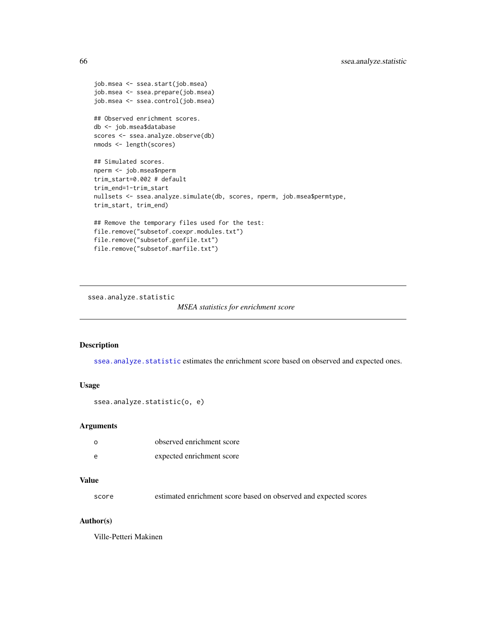```
job.msea <- ssea.start(job.msea)
job.msea <- ssea.prepare(job.msea)
job.msea <- ssea.control(job.msea)
## Observed enrichment scores.
db <- job.msea$database
scores <- ssea.analyze.observe(db)
nmods <- length(scores)
## Simulated scores.
nperm <- job.msea$nperm
trim_start=0.002 # default
trim_end=1-trim_start
nullsets <- ssea.analyze.simulate(db, scores, nperm, job.msea$permtype,
trim_start, trim_end)
## Remove the temporary files used for the test:
file.remove("subsetof.coexpr.modules.txt")
file.remove("subsetof.genfile.txt")
file.remove("subsetof.marfile.txt")
```
<span id="page-65-0"></span>ssea.analyze.statistic

```
MSEA statistics for enrichment score
```
# Description

[ssea.analyze.statistic](#page-65-0) estimates the enrichment score based on observed and expected ones.

## Usage

```
ssea.analyze.statistic(o, e)
```
#### Arguments

| $\Omega$ | observed enrichment score |
|----------|---------------------------|
| e        | expected enrichment score |

# Value

score estimated enrichment score based on observed and expected scores

## Author(s)

Ville-Petteri Makinen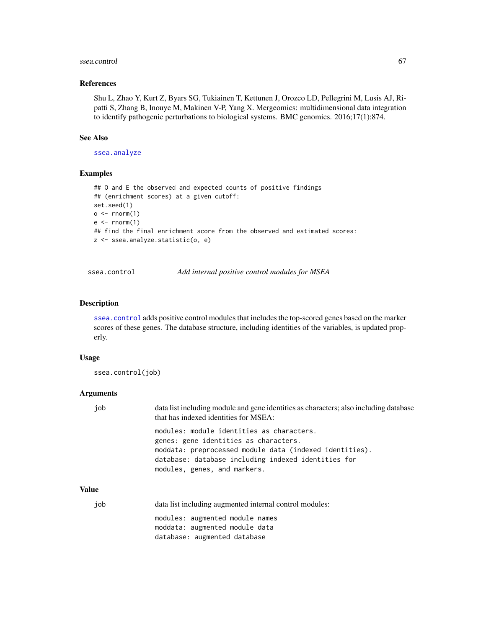#### ssea.control 67

## References

Shu L, Zhao Y, Kurt Z, Byars SG, Tukiainen T, Kettunen J, Orozco LD, Pellegrini M, Lusis AJ, Ripatti S, Zhang B, Inouye M, Makinen V-P, Yang X. Mergeomics: multidimensional data integration to identify pathogenic perturbations to biological systems. BMC genomics. 2016;17(1):874.

#### See Also

[ssea.analyze](#page-53-0)

# Examples

```
## O and E the observed and expected counts of positive findings
## (enrichment scores) at a given cutoff:
set.seed(1)
o \leftarrow \text{norm}(1)e \leftarrow \text{rnorm}(1)## find the final enrichment score from the observed and estimated scores:
z <- ssea.analyze.statistic(o, e)
```
<span id="page-66-0"></span>ssea.control *Add internal positive control modules for MSEA*

## Description

[ssea.control](#page-66-0) adds positive control modules that includes the top-scored genes based on the marker scores of these genes. The database structure, including identities of the variables, is updated properly.

### Usage

ssea.control(job)

#### Arguments

| job          | data list including module and gene identities as characters; also including database<br>that has indexed identities for MSEA:                                                                                                       |
|--------------|--------------------------------------------------------------------------------------------------------------------------------------------------------------------------------------------------------------------------------------|
|              | modules: module identities as characters.<br>genes: gene identities as characters.<br>moddata: preprocessed module data (indexed identities).<br>database: database including indexed identities for<br>modules, genes, and markers. |
| <b>Value</b> |                                                                                                                                                                                                                                      |
| job          | data list including augmented internal control modules:                                                                                                                                                                              |
|              | modules: augmented module names<br>moddata: augmented module data<br>database: augmented database                                                                                                                                    |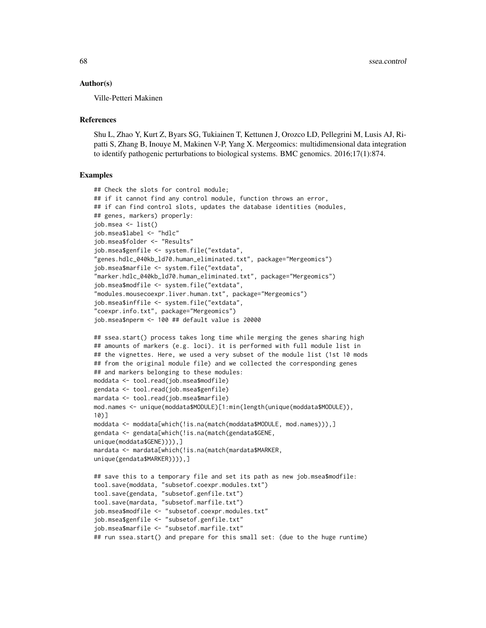#### Author(s)

Ville-Petteri Makinen

#### **References**

Shu L, Zhao Y, Kurt Z, Byars SG, Tukiainen T, Kettunen J, Orozco LD, Pellegrini M, Lusis AJ, Ripatti S, Zhang B, Inouye M, Makinen V-P, Yang X. Mergeomics: multidimensional data integration to identify pathogenic perturbations to biological systems. BMC genomics. 2016;17(1):874.

```
## Check the slots for control module;
## if it cannot find any control module, function throws an error,
## if can find control slots, updates the database identities (modules,
## genes, markers) properly:
job.msea <- list()
job.msea$label <- "hdlc"
job.msea$folder <- "Results"
job.msea$genfile <- system.file("extdata",
"genes.hdlc_040kb_ld70.human_eliminated.txt", package="Mergeomics")
job.msea$marfile <- system.file("extdata",
"marker.hdlc_040kb_ld70.human_eliminated.txt", package="Mergeomics")
job.msea$modfile <- system.file("extdata",
"modules.mousecoexpr.liver.human.txt", package="Mergeomics")
job.msea$inffile <- system.file("extdata",
"coexpr.info.txt", package="Mergeomics")
job.msea$nperm <- 100 ## default value is 20000
## ssea.start() process takes long time while merging the genes sharing high
## amounts of markers (e.g. loci). it is performed with full module list in
## the vignettes. Here, we used a very subset of the module list (1st 10 mods
## from the original module file) and we collected the corresponding genes
## and markers belonging to these modules:
moddata <- tool.read(job.msea$modfile)
gendata <- tool.read(job.msea$genfile)
mardata <- tool.read(job.msea$marfile)
mod.names <- unique(moddata$MODULE)[1:min(length(unique(moddata$MODULE)),
10)]
moddata <- moddata[which(!is.na(match(moddata$MODULE, mod.names))),]
gendata <- gendata[which(!is.na(match(gendata$GENE,
unique(moddata$GENE)))),]
mardata <- mardata[which(!is.na(match(mardata$MARKER,
unique(gendata$MARKER)))),]
## save this to a temporary file and set its path as new job.msea$modfile:
tool.save(moddata, "subsetof.coexpr.modules.txt")
tool.save(gendata, "subsetof.genfile.txt")
tool.save(mardata, "subsetof.marfile.txt")
```

```
job.msea$modfile <- "subsetof.coexpr.modules.txt"
job.msea$genfile <- "subsetof.genfile.txt"
```

```
job.msea$marfile <- "subsetof.marfile.txt"
```

```
## run ssea.start() and prepare for this small set: (due to the huge runtime)
```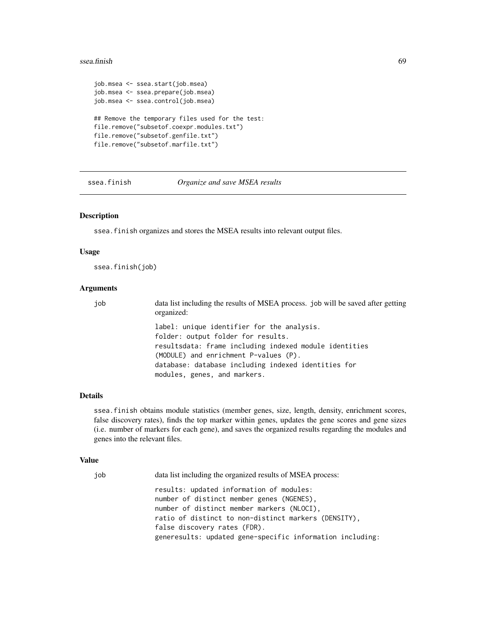#### ssea.finish 69

```
job.msea <- ssea.start(job.msea)
job.msea <- ssea.prepare(job.msea)
job.msea <- ssea.control(job.msea)
## Remove the temporary files used for the test:
file.remove("subsetof.coexpr.modules.txt")
file.remove("subsetof.genfile.txt")
file.remove("subsetof.marfile.txt")
```
<span id="page-68-0"></span>ssea.finish *Organize and save MSEA results*

# Description

ssea.finish organizes and stores the MSEA results into relevant output files.

## Usage

ssea.finish(job)

## Arguments

job data list including the results of MSEA process. job will be saved after getting organized: label: unique identifier for the analysis. folder: output folder for results. resultsdata: frame including indexed module identities (MODULE) and enrichment P-values (P). database: database including indexed identities for modules, genes, and markers.

### Details

ssea.finish obtains module statistics (member genes, size, length, density, enrichment scores, false discovery rates), finds the top marker within genes, updates the gene scores and gene sizes (i.e. number of markers for each gene), and saves the organized results regarding the modules and genes into the relevant files.

### Value

| job | data list including the organized results of MSEA process:                                                                                                                                  |
|-----|---------------------------------------------------------------------------------------------------------------------------------------------------------------------------------------------|
|     | results: updated information of modules:<br>number of distinct member genes (NGENES),<br>number of distinct member markers (NLOCI),<br>ratio of distinct to non-distinct markers (DENSITY), |
|     | false discovery rates (FDR).                                                                                                                                                                |
|     | generesults: updated gene-specific information including:                                                                                                                                   |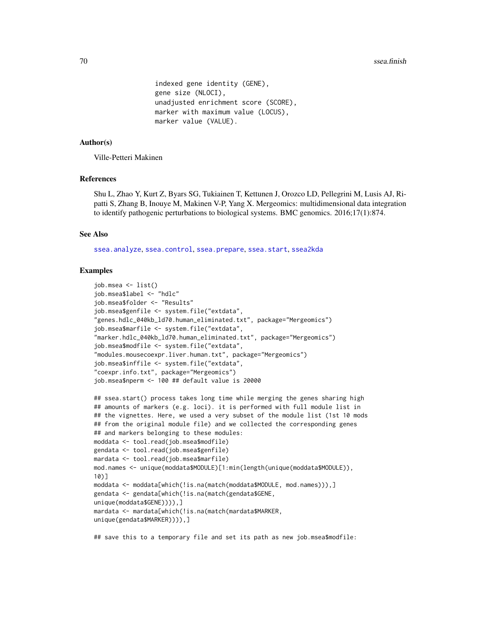```
indexed gene identity (GENE),
gene size (NLOCI),
unadjusted enrichment score (SCORE),
marker with maximum value (LOCUS),
marker value (VALUE).
```
### Author(s)

Ville-Petteri Makinen

# References

Shu L, Zhao Y, Kurt Z, Byars SG, Tukiainen T, Kettunen J, Orozco LD, Pellegrini M, Lusis AJ, Ripatti S, Zhang B, Inouye M, Makinen V-P, Yang X. Mergeomics: multidimensional data integration to identify pathogenic perturbations to biological systems. BMC genomics. 2016;17(1):874.

### See Also

[ssea.analyze](#page-53-0), [ssea.control](#page-66-0), [ssea.prepare](#page-78-0), [ssea.start](#page-84-0), [ssea2kda](#page-92-0)

### Examples

```
job.msea <- list()
job.msea$label <- "hdlc"
job.msea$folder <- "Results"
job.msea$genfile <- system.file("extdata",
"genes.hdlc_040kb_ld70.human_eliminated.txt", package="Mergeomics")
job.msea$marfile <- system.file("extdata",
"marker.hdlc_040kb_ld70.human_eliminated.txt", package="Mergeomics")
job.msea$modfile <- system.file("extdata",
"modules.mousecoexpr.liver.human.txt", package="Mergeomics")
job.msea$inffile <- system.file("extdata",
"coexpr.info.txt", package="Mergeomics")
job.msea$nperm <- 100 ## default value is 20000
```

```
## ssea.start() process takes long time while merging the genes sharing high
## amounts of markers (e.g. loci). it is performed with full module list in
## the vignettes. Here, we used a very subset of the module list (1st 10 mods
## from the original module file) and we collected the corresponding genes
## and markers belonging to these modules:
moddata <- tool.read(job.msea$modfile)
gendata <- tool.read(job.msea$genfile)
mardata <- tool.read(job.msea$marfile)
mod.names <- unique(moddata$MODULE)[1:min(length(unique(moddata$MODULE)),
10)]
moddata <- moddata[which(!is.na(match(moddata$MODULE, mod.names))),]
gendata <- gendata[which(!is.na(match(gendata$GENE,
unique(moddata$GENE)))),]
mardata <- mardata[which(!is.na(match(mardata$MARKER,
unique(gendata$MARKER)))),]
```
## save this to a temporary file and set its path as new job.msea\$modfile: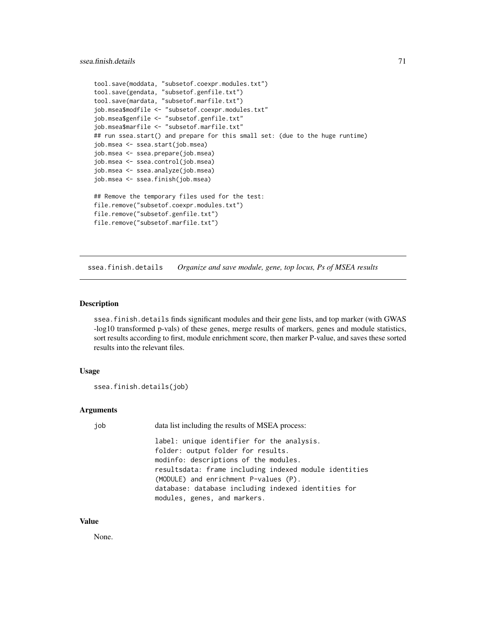```
tool.save(moddata, "subsetof.coexpr.modules.txt")
tool.save(gendata, "subsetof.genfile.txt")
tool.save(mardata, "subsetof.marfile.txt")
job.msea$modfile <- "subsetof.coexpr.modules.txt"
job.msea$genfile <- "subsetof.genfile.txt"
job.msea$marfile <- "subsetof.marfile.txt"
## run ssea.start() and prepare for this small set: (due to the huge runtime)
job.msea <- ssea.start(job.msea)
job.msea <- ssea.prepare(job.msea)
job.msea <- ssea.control(job.msea)
job.msea <- ssea.analyze(job.msea)
job.msea <- ssea.finish(job.msea)
## Remove the temporary files used for the test:
file.remove("subsetof.coexpr.modules.txt")
file.remove("subsetof.genfile.txt")
file.remove("subsetof.marfile.txt")
```
ssea.finish.details *Organize and save module, gene, top locus, Ps of MSEA results*

# Description

ssea.finish.details finds significant modules and their gene lists, and top marker (with GWAS -log10 transformed p-vals) of these genes, merge results of markers, genes and module statistics, sort results according to first, module enrichment score, then marker P-value, and saves these sorted results into the relevant files.

# Usage

```
ssea.finish.details(job)
```
# Arguments

| job | data list including the results of MSEA process:       |
|-----|--------------------------------------------------------|
|     | label: unique identifier for the analysis.             |
|     | folder: output folder for results.                     |
|     | modinfo: descriptions of the modules.                  |
|     | resultsdata: frame including indexed module identities |
|     | (MODULE) and enrichment P-values (P).                  |
|     | database: database including indexed identities for    |
|     | modules, genes, and markers.                           |

#### Value

None.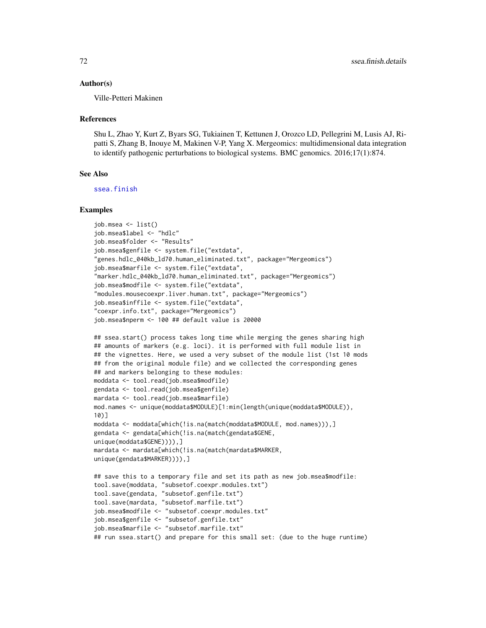#### Author(s)

Ville-Petteri Makinen

#### References

Shu L, Zhao Y, Kurt Z, Byars SG, Tukiainen T, Kettunen J, Orozco LD, Pellegrini M, Lusis AJ, Ripatti S, Zhang B, Inouye M, Makinen V-P, Yang X. Mergeomics: multidimensional data integration to identify pathogenic perturbations to biological systems. BMC genomics. 2016;17(1):874.

# See Also

[ssea.finish](#page-68-0)

```
job.msea <- list()
job.msea$label <- "hdlc"
job.msea$folder <- "Results"
job.msea$genfile <- system.file("extdata",
"genes.hdlc_040kb_ld70.human_eliminated.txt", package="Mergeomics")
job.msea$marfile <- system.file("extdata",
"marker.hdlc_040kb_ld70.human_eliminated.txt", package="Mergeomics")
job.msea$modfile <- system.file("extdata",
"modules.mousecoexpr.liver.human.txt", package="Mergeomics")
job.msea$inffile <- system.file("extdata",
"coexpr.info.txt", package="Mergeomics")
job.msea$nperm <- 100 ## default value is 20000
## ssea.start() process takes long time while merging the genes sharing high
## amounts of markers (e.g. loci). it is performed with full module list in
## the vignettes. Here, we used a very subset of the module list (1st 10 mods
## from the original module file) and we collected the corresponding genes
## and markers belonging to these modules:
moddata <- tool.read(job.msea$modfile)
gendata <- tool.read(job.msea$genfile)
mardata <- tool.read(job.msea$marfile)
mod.names <- unique(moddata$MODULE)[1:min(length(unique(moddata$MODULE)),
10)]
moddata <- moddata[which(!is.na(match(moddata$MODULE, mod.names))),]
gendata <- gendata[which(!is.na(match(gendata$GENE,
unique(moddata$GENE)))),]
mardata <- mardata[which(!is.na(match(mardata$MARKER,
unique(gendata$MARKER)))),]
## save this to a temporary file and set its path as new job.msea$modfile:
tool.save(moddata, "subsetof.coexpr.modules.txt")
tool.save(gendata, "subsetof.genfile.txt")
tool.save(mardata, "subsetof.marfile.txt")
job.msea$modfile <- "subsetof.coexpr.modules.txt"
job.msea$genfile <- "subsetof.genfile.txt"
job.msea$marfile <- "subsetof.marfile.txt"
## run ssea.start() and prepare for this small set: (due to the huge runtime)
```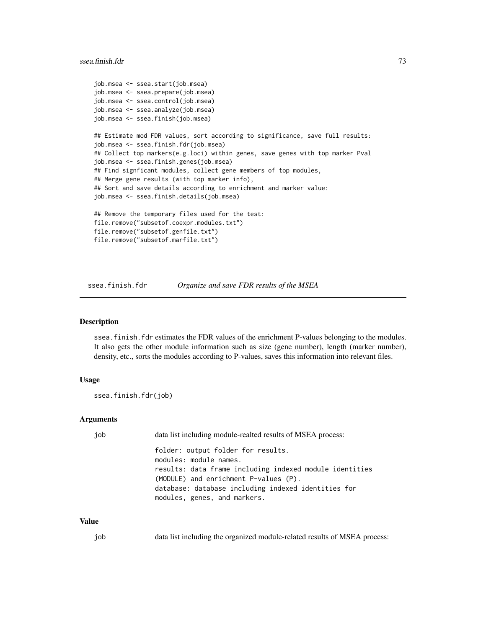```
job.msea <- ssea.start(job.msea)
job.msea <- ssea.prepare(job.msea)
job.msea <- ssea.control(job.msea)
job.msea <- ssea.analyze(job.msea)
job.msea <- ssea.finish(job.msea)
## Estimate mod FDR values, sort according to significance, save full results:
job.msea <- ssea.finish.fdr(job.msea)
## Collect top markers(e.g.loci) within genes, save genes with top marker Pval
job.msea <- ssea.finish.genes(job.msea)
## Find signficant modules, collect gene members of top modules,
## Merge gene results (with top marker info),
## Sort and save details according to enrichment and marker value:
job.msea <- ssea.finish.details(job.msea)
## Remove the temporary files used for the test:
file.remove("subsetof.coexpr.modules.txt")
file.remove("subsetof.genfile.txt")
file.remove("subsetof.marfile.txt")
```
ssea.finish.fdr *Organize and save FDR results of the MSEA*

## Description

ssea.finish.fdr estimates the FDR values of the enrichment P-values belonging to the modules. It also gets the other module information such as size (gene number), length (marker number), density, etc., sorts the modules according to P-values, saves this information into relevant files.

# Usage

ssea.finish.fdr(job)

# Arguments

| job | data list including module-realted results of MSEA process:  |
|-----|--------------------------------------------------------------|
|     | folder: output folder for results.<br>modules: module names. |
|     | results: data frame including indexed module identities      |
|     | (MODULE) and enrichment P-values (P).                        |
|     | database: database including indexed identities for          |
|     | modules, genes, and markers.                                 |

## Value

job data list including the organized module-related results of MSEA process: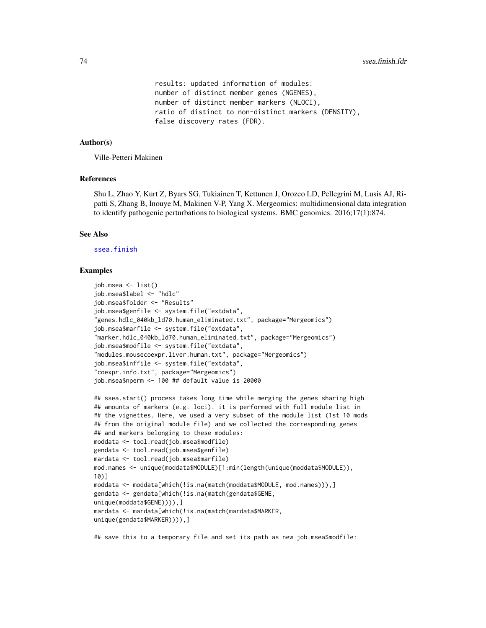```
results: updated information of modules:
number of distinct member genes (NGENES),
number of distinct member markers (NLOCI),
ratio of distinct to non-distinct markers (DENSITY),
false discovery rates (FDR).
```
# Author(s)

Ville-Petteri Makinen

# References

Shu L, Zhao Y, Kurt Z, Byars SG, Tukiainen T, Kettunen J, Orozco LD, Pellegrini M, Lusis AJ, Ripatti S, Zhang B, Inouye M, Makinen V-P, Yang X. Mergeomics: multidimensional data integration to identify pathogenic perturbations to biological systems. BMC genomics. 2016;17(1):874.

# See Also

## [ssea.finish](#page-68-0)

## Examples

```
job.msea <- list()
job.msea$label <- "hdlc"
job.msea$folder <- "Results"
job.msea$genfile <- system.file("extdata",
"genes.hdlc_040kb_ld70.human_eliminated.txt", package="Mergeomics")
job.msea$marfile <- system.file("extdata",
"marker.hdlc_040kb_ld70.human_eliminated.txt", package="Mergeomics")
job.msea$modfile <- system.file("extdata",
"modules.mousecoexpr.liver.human.txt", package="Mergeomics")
job.msea$inffile <- system.file("extdata",
"coexpr.info.txt", package="Mergeomics")
job.msea$nperm <- 100 ## default value is 20000
```

```
## ssea.start() process takes long time while merging the genes sharing high
## amounts of markers (e.g. loci). it is performed with full module list in
## the vignettes. Here, we used a very subset of the module list (1st 10 mods
## from the original module file) and we collected the corresponding genes
## and markers belonging to these modules:
moddata <- tool.read(job.msea$modfile)
gendata <- tool.read(job.msea$genfile)
mardata <- tool.read(job.msea$marfile)
mod.names <- unique(moddata$MODULE)[1:min(length(unique(moddata$MODULE)),
10)]
moddata <- moddata[which(!is.na(match(moddata$MODULE, mod.names))),]
gendata <- gendata[which(!is.na(match(gendata$GENE,
unique(moddata$GENE)))),]
mardata <- mardata[which(!is.na(match(mardata$MARKER,
unique(gendata$MARKER)))),]
```
## save this to a temporary file and set its path as new job.msea\$modfile: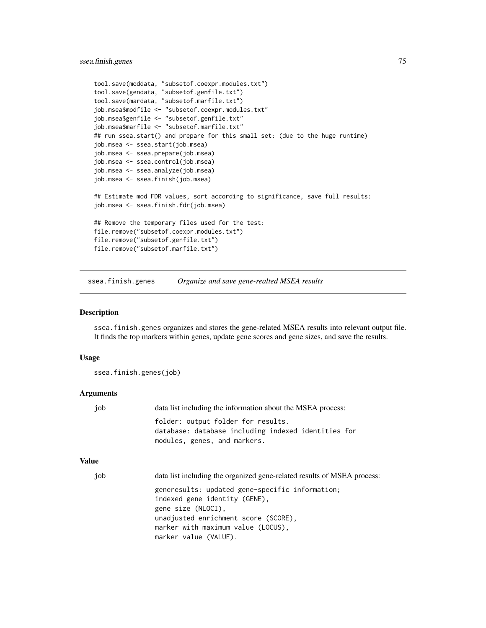# ssea.finish.genes 75

```
tool.save(moddata, "subsetof.coexpr.modules.txt")
tool.save(gendata, "subsetof.genfile.txt")
tool.save(mardata, "subsetof.marfile.txt")
job.msea$modfile <- "subsetof.coexpr.modules.txt"
job.msea$genfile <- "subsetof.genfile.txt"
job.msea$marfile <- "subsetof.marfile.txt"
## run ssea.start() and prepare for this small set: (due to the huge runtime)
job.msea <- ssea.start(job.msea)
job.msea <- ssea.prepare(job.msea)
job.msea <- ssea.control(job.msea)
job.msea <- ssea.analyze(job.msea)
job.msea <- ssea.finish(job.msea)
## Estimate mod FDR values, sort according to significance, save full results:
job.msea <- ssea.finish.fdr(job.msea)
## Remove the temporary files used for the test:
file.remove("subsetof.coexpr.modules.txt")
file.remove("subsetof.genfile.txt")
file.remove("subsetof.marfile.txt")
```
ssea.finish.genes *Organize and save gene-realted MSEA results*

#### Description

ssea.finish.genes organizes and stores the gene-related MSEA results into relevant output file. It finds the top markers within genes, update gene scores and gene sizes, and save the results.

## Usage

ssea.finish.genes(job)

## **Arguments**

| job          | data list including the information about the MSEA process:                                                                                                                          |
|--------------|--------------------------------------------------------------------------------------------------------------------------------------------------------------------------------------|
|              | folder: output folder for results.<br>database: database including indexed identities for<br>modules, genes, and markers.                                                            |
| <b>Value</b> |                                                                                                                                                                                      |
| job          | data list including the organized gene-related results of MSEA process:                                                                                                              |
|              | generesults: updated gene-specific information;<br>indexed gene identity (GENE).<br>gene size (NLOCI).<br>unadjusted enrichment score (SCORE),<br>marker with maximum value (LOCUS), |

marker value (VALUE).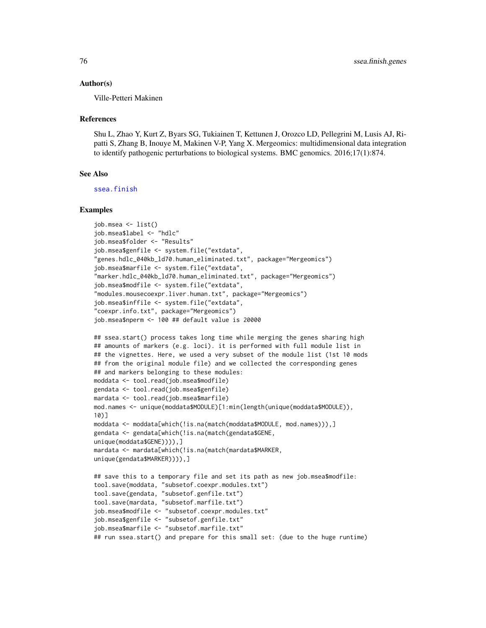#### Author(s)

Ville-Petteri Makinen

## References

Shu L, Zhao Y, Kurt Z, Byars SG, Tukiainen T, Kettunen J, Orozco LD, Pellegrini M, Lusis AJ, Ripatti S, Zhang B, Inouye M, Makinen V-P, Yang X. Mergeomics: multidimensional data integration to identify pathogenic perturbations to biological systems. BMC genomics. 2016;17(1):874.

# See Also

[ssea.finish](#page-68-0)

```
job.msea <- list()
job.msea$label <- "hdlc"
job.msea$folder <- "Results"
job.msea$genfile <- system.file("extdata",
"genes.hdlc_040kb_ld70.human_eliminated.txt", package="Mergeomics")
job.msea$marfile <- system.file("extdata",
"marker.hdlc_040kb_ld70.human_eliminated.txt", package="Mergeomics")
job.msea$modfile <- system.file("extdata",
"modules.mousecoexpr.liver.human.txt", package="Mergeomics")
job.msea$inffile <- system.file("extdata",
"coexpr.info.txt", package="Mergeomics")
job.msea$nperm <- 100 ## default value is 20000
## ssea.start() process takes long time while merging the genes sharing high
## amounts of markers (e.g. loci). it is performed with full module list in
## the vignettes. Here, we used a very subset of the module list (1st 10 mods
## from the original module file) and we collected the corresponding genes
## and markers belonging to these modules:
moddata <- tool.read(job.msea$modfile)
gendata <- tool.read(job.msea$genfile)
mardata <- tool.read(job.msea$marfile)
mod.names <- unique(moddata$MODULE)[1:min(length(unique(moddata$MODULE)),
10)]
moddata <- moddata[which(!is.na(match(moddata$MODULE, mod.names))),]
gendata <- gendata[which(!is.na(match(gendata$GENE,
unique(moddata$GENE)))),]
mardata <- mardata[which(!is.na(match(mardata$MARKER,
unique(gendata$MARKER)))),]
## save this to a temporary file and set its path as new job.msea$modfile:
tool.save(moddata, "subsetof.coexpr.modules.txt")
tool.save(gendata, "subsetof.genfile.txt")
tool.save(mardata, "subsetof.marfile.txt")
job.msea$modfile <- "subsetof.coexpr.modules.txt"
job.msea$genfile <- "subsetof.genfile.txt"
job.msea$marfile <- "subsetof.marfile.txt"
## run ssea.start() and prepare for this small set: (due to the huge runtime)
```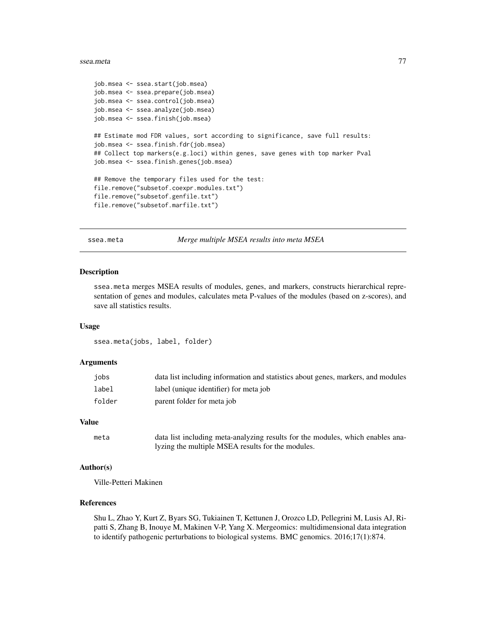## ssea.meta 77

```
job.msea <- ssea.start(job.msea)
job.msea <- ssea.prepare(job.msea)
job.msea <- ssea.control(job.msea)
job.msea <- ssea.analyze(job.msea)
job.msea <- ssea.finish(job.msea)
## Estimate mod FDR values, sort according to significance, save full results:
job.msea <- ssea.finish.fdr(job.msea)
## Collect top markers(e.g.loci) within genes, save genes with top marker Pval
job.msea <- ssea.finish.genes(job.msea)
## Remove the temporary files used for the test:
file.remove("subsetof.coexpr.modules.txt")
file.remove("subsetof.genfile.txt")
file.remove("subsetof.marfile.txt")
```
ssea.meta *Merge multiple MSEA results into meta MSEA*

#### Description

ssea.meta merges MSEA results of modules, genes, and markers, constructs hierarchical representation of genes and modules, calculates meta P-values of the modules (based on z-scores), and save all statistics results.

## Usage

ssea.meta(jobs, label, folder)

#### Arguments

| iobs   | data list including information and statistics about genes, markers, and modules |
|--------|----------------------------------------------------------------------------------|
| label  | label (unique identifier) for meta job                                           |
| folder | parent folder for meta job                                                       |

## Value

```
meta data list including meta-analyzing results for the modules, which enables ana-
                 lyzing the multiple MSEA results for the modules.
```
# Author(s)

Ville-Petteri Makinen

# References

Shu L, Zhao Y, Kurt Z, Byars SG, Tukiainen T, Kettunen J, Orozco LD, Pellegrini M, Lusis AJ, Ripatti S, Zhang B, Inouye M, Makinen V-P, Yang X. Mergeomics: multidimensional data integration to identify pathogenic perturbations to biological systems. BMC genomics. 2016;17(1):874.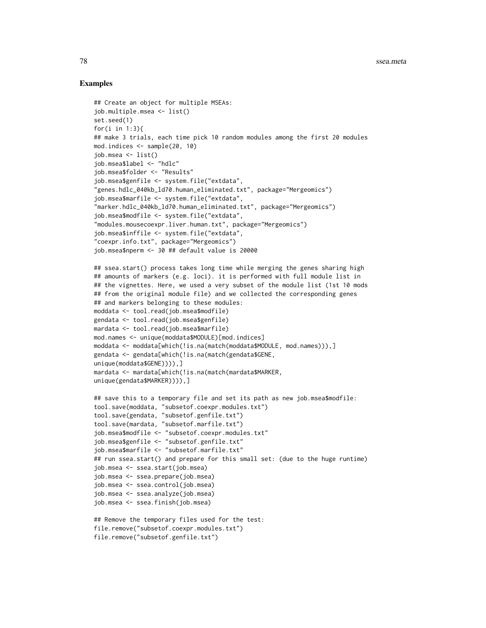# Examples

```
## Create an object for multiple MSEAs:
job.multiple.msea <- list()
set.seed(1)
for(i in 1:3){
## make 3 trials, each time pick 10 random modules among the first 20 modules
mod.indices <- sample(20, 10)
job.msea <- list()
job.msea$label <- "hdlc"
job.msea$folder <- "Results"
job.msea$genfile <- system.file("extdata",
"genes.hdlc_040kb_ld70.human_eliminated.txt", package="Mergeomics")
job.msea$marfile <- system.file("extdata",
"marker.hdlc_040kb_ld70.human_eliminated.txt", package="Mergeomics")
job.msea$modfile <- system.file("extdata",
"modules.mousecoexpr.liver.human.txt", package="Mergeomics")
job.msea$inffile <- system.file("extdata",
"coexpr.info.txt", package="Mergeomics")
job.msea$nperm <- 30 ## default value is 20000
## ssea.start() process takes long time while merging the genes sharing high
## amounts of markers (e.g. loci). it is performed with full module list in
## the vignettes. Here, we used a very subset of the module list (1st 10 mods
## from the original module file) and we collected the corresponding genes
## and markers belonging to these modules:
moddata <- tool.read(job.msea$modfile)
gendata <- tool.read(job.msea$genfile)
mardata <- tool.read(job.msea$marfile)
mod.names <- unique(moddata$MODULE)[mod.indices]
moddata <- moddata[which(!is.na(match(moddata$MODULE, mod.names))),]
gendata <- gendata[which(!is.na(match(gendata$GENE,
unique(moddata$GENE)))),]
mardata <- mardata[which(!is.na(match(mardata$MARKER,
unique(gendata$MARKER)))),]
## save this to a temporary file and set its path as new job.msea$modfile:
tool.save(moddata, "subsetof.coexpr.modules.txt")
tool.save(gendata, "subsetof.genfile.txt")
tool.save(mardata, "subsetof.marfile.txt")
job.msea$modfile <- "subsetof.coexpr.modules.txt"
job.msea$genfile <- "subsetof.genfile.txt"
job.msea$marfile <- "subsetof.marfile.txt"
## run ssea.start() and prepare for this small set: (due to the huge runtime)
job.msea <- ssea.start(job.msea)
job.msea <- ssea.prepare(job.msea)
job.msea <- ssea.control(job.msea)
job.msea <- ssea.analyze(job.msea)
job.msea <- ssea.finish(job.msea)
## Remove the temporary files used for the test:
file.remove("subsetof.coexpr.modules.txt")
```
file.remove("subsetof.genfile.txt")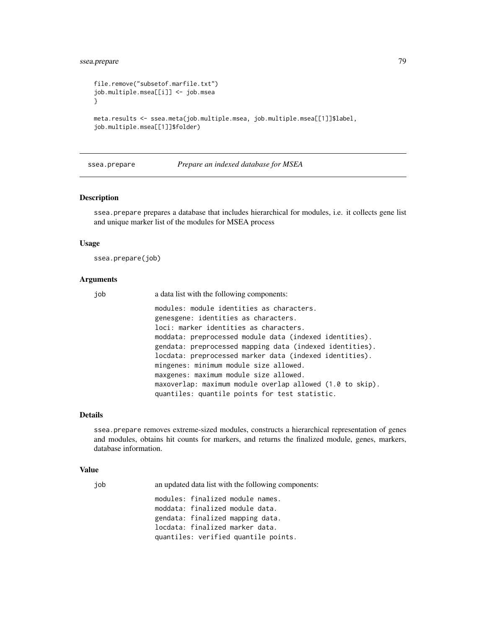# ssea.prepare 79

```
file.remove("subsetof.marfile.txt")
job.multiple.msea[[i]] <- job.msea
}
meta.results <- ssea.meta(job.multiple.msea, job.multiple.msea[[1]]$label,
job.multiple.msea[[1]]$folder)
```
## <span id="page-78-0"></span>ssea.prepare *Prepare an indexed database for MSEA*

## **Description**

ssea.prepare prepares a database that includes hierarchical for modules, i.e. it collects gene list and unique marker list of the modules for MSEA process

#### Usage

ssea.prepare(job)

## Arguments

job a data list with the following components:

modules: module identities as characters. genesgene: identities as characters. loci: marker identities as characters. moddata: preprocessed module data (indexed identities). gendata: preprocessed mapping data (indexed identities). locdata: preprocessed marker data (indexed identities). mingenes: minimum module size allowed. maxgenes: maximum module size allowed. maxoverlap: maximum module overlap allowed (1.0 to skip). quantiles: quantile points for test statistic.

# Details

ssea.prepare removes extreme-sized modules, constructs a hierarchical representation of genes and modules, obtains hit counts for markers, and returns the finalized module, genes, markers, database information.

#### Value

job an updated data list with the following components: modules: finalized module names. moddata: finalized module data. gendata: finalized mapping data. locdata: finalized marker data. quantiles: verified quantile points.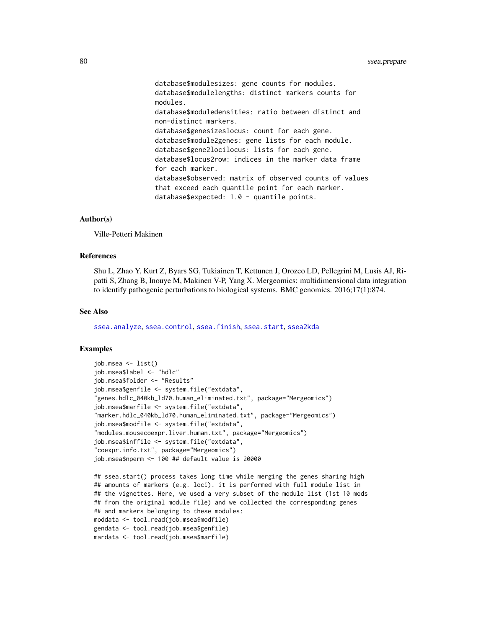database\$modulesizes: gene counts for modules. database\$modulelengths: distinct markers counts for modules. database\$moduledensities: ratio between distinct and non-distinct markers. database\$genesizeslocus: count for each gene. database\$module2genes: gene lists for each module. database\$gene2locilocus: lists for each gene. database\$locus2row: indices in the marker data frame for each marker. database\$observed: matrix of observed counts of values that exceed each quantile point for each marker. database\$expected: 1.0 - quantile points.

## Author(s)

Ville-Petteri Makinen

## References

Shu L, Zhao Y, Kurt Z, Byars SG, Tukiainen T, Kettunen J, Orozco LD, Pellegrini M, Lusis AJ, Ripatti S, Zhang B, Inouye M, Makinen V-P, Yang X. Mergeomics: multidimensional data integration to identify pathogenic perturbations to biological systems. BMC genomics. 2016;17(1):874.

## See Also

[ssea.analyze](#page-53-0), [ssea.control](#page-66-0), [ssea.finish](#page-68-0), [ssea.start](#page-84-0), [ssea2kda](#page-92-0)

```
job.msea <- list()
job.msea$label <- "hdlc"
job.msea$folder <- "Results"
job.msea$genfile <- system.file("extdata",
"genes.hdlc_040kb_ld70.human_eliminated.txt", package="Mergeomics")
job.msea$marfile <- system.file("extdata",
"marker.hdlc_040kb_ld70.human_eliminated.txt", package="Mergeomics")
job.msea$modfile <- system.file("extdata",
"modules.mousecoexpr.liver.human.txt", package="Mergeomics")
job.msea$inffile <- system.file("extdata",
"coexpr.info.txt", package="Mergeomics")
job.msea$nperm <- 100 ## default value is 20000
```

```
## ssea.start() process takes long time while merging the genes sharing high
## amounts of markers (e.g. loci). it is performed with full module list in
## the vignettes. Here, we used a very subset of the module list (1st 10 mods
## from the original module file) and we collected the corresponding genes
## and markers belonging to these modules:
moddata <- tool.read(job.msea$modfile)
gendata <- tool.read(job.msea$genfile)
mardata <- tool.read(job.msea$marfile)
```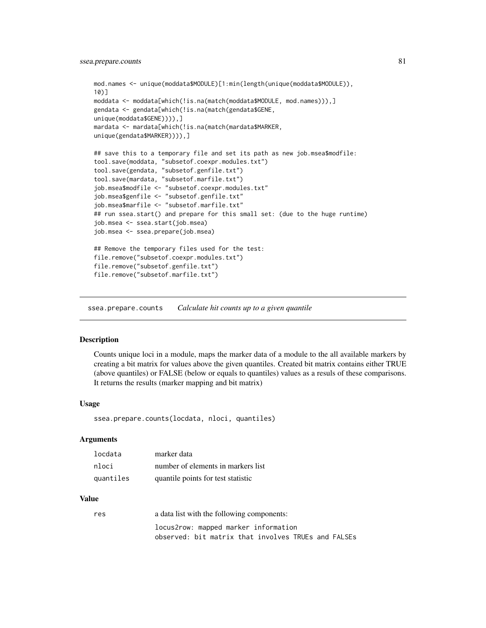```
mod.names <- unique(moddata$MODULE)[1:min(length(unique(moddata$MODULE)),
10)]
moddata <- moddata[which(!is.na(match(moddata$MODULE, mod.names))),]
gendata <- gendata[which(!is.na(match(gendata$GENE,
unique(moddata$GENE)))),]
mardata <- mardata[which(!is.na(match(mardata$MARKER,
unique(gendata$MARKER)))),]
## save this to a temporary file and set its path as new job.msea$modfile:
tool.save(moddata, "subsetof.coexpr.modules.txt")
tool.save(gendata, "subsetof.genfile.txt")
tool.save(mardata, "subsetof.marfile.txt")
job.msea$modfile <- "subsetof.coexpr.modules.txt"
job.msea$genfile <- "subsetof.genfile.txt"
job.msea$marfile <- "subsetof.marfile.txt"
## run ssea.start() and prepare for this small set: (due to the huge runtime)
job.msea <- ssea.start(job.msea)
job.msea <- ssea.prepare(job.msea)
## Remove the temporary files used for the test:
file.remove("subsetof.coexpr.modules.txt")
file.remove("subsetof.genfile.txt")
file.remove("subsetof.marfile.txt")
```
ssea.prepare.counts *Calculate hit counts up to a given quantile*

# Description

Counts unique loci in a module, maps the marker data of a module to the all available markers by creating a bit matrix for values above the given quantiles. Created bit matrix contains either TRUE (above quantiles) or FALSE (below or equals to quantiles) values as a resuls of these comparisons. It returns the results (marker mapping and bit matrix)

## Usage

ssea.prepare.counts(locdata, nloci, quantiles)

## Arguments

| locdata   | marker data                        |
|-----------|------------------------------------|
| nloci     | number of elements in markers list |
| quantiles | quantile points for test statistic |

## Value

| res | a data list with the following components:          |
|-----|-----------------------------------------------------|
|     | locus2row: mapped marker information                |
|     | observed: bit matrix that involves TRUEs and FALSEs |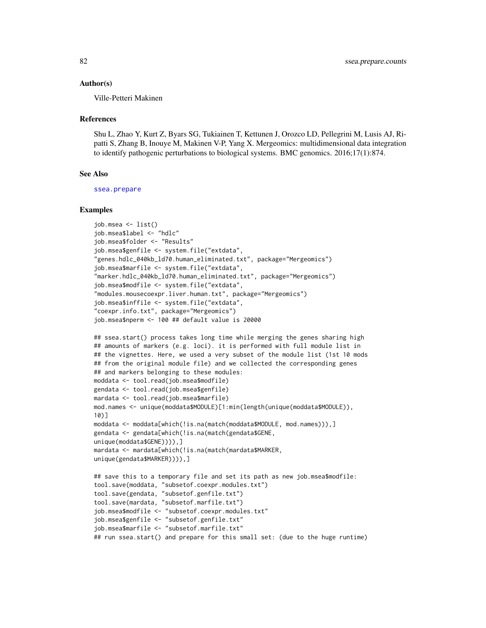#### Author(s)

Ville-Petteri Makinen

#### References

Shu L, Zhao Y, Kurt Z, Byars SG, Tukiainen T, Kettunen J, Orozco LD, Pellegrini M, Lusis AJ, Ripatti S, Zhang B, Inouye M, Makinen V-P, Yang X. Mergeomics: multidimensional data integration to identify pathogenic perturbations to biological systems. BMC genomics. 2016;17(1):874.

# See Also

[ssea.prepare](#page-78-0)

```
job.msea <- list()
job.msea$label <- "hdlc"
job.msea$folder <- "Results"
job.msea$genfile <- system.file("extdata",
"genes.hdlc_040kb_ld70.human_eliminated.txt", package="Mergeomics")
job.msea$marfile <- system.file("extdata",
"marker.hdlc_040kb_ld70.human_eliminated.txt", package="Mergeomics")
job.msea$modfile <- system.file("extdata",
"modules.mousecoexpr.liver.human.txt", package="Mergeomics")
job.msea$inffile <- system.file("extdata",
"coexpr.info.txt", package="Mergeomics")
job.msea$nperm <- 100 ## default value is 20000
## ssea.start() process takes long time while merging the genes sharing high
## amounts of markers (e.g. loci). it is performed with full module list in
## the vignettes. Here, we used a very subset of the module list (1st 10 mods
## from the original module file) and we collected the corresponding genes
## and markers belonging to these modules:
moddata <- tool.read(job.msea$modfile)
gendata <- tool.read(job.msea$genfile)
mardata <- tool.read(job.msea$marfile)
mod.names <- unique(moddata$MODULE)[1:min(length(unique(moddata$MODULE)),
10)]
moddata <- moddata[which(!is.na(match(moddata$MODULE, mod.names))),]
gendata <- gendata[which(!is.na(match(gendata$GENE,
unique(moddata$GENE)))),]
mardata <- mardata[which(!is.na(match(mardata$MARKER,
unique(gendata$MARKER)))),]
## save this to a temporary file and set its path as new job.msea$modfile:
tool.save(moddata, "subsetof.coexpr.modules.txt")
tool.save(gendata, "subsetof.genfile.txt")
tool.save(mardata, "subsetof.marfile.txt")
job.msea$modfile <- "subsetof.coexpr.modules.txt"
job.msea$genfile <- "subsetof.genfile.txt"
job.msea$marfile <- "subsetof.marfile.txt"
## run ssea.start() and prepare for this small set: (due to the huge runtime)
```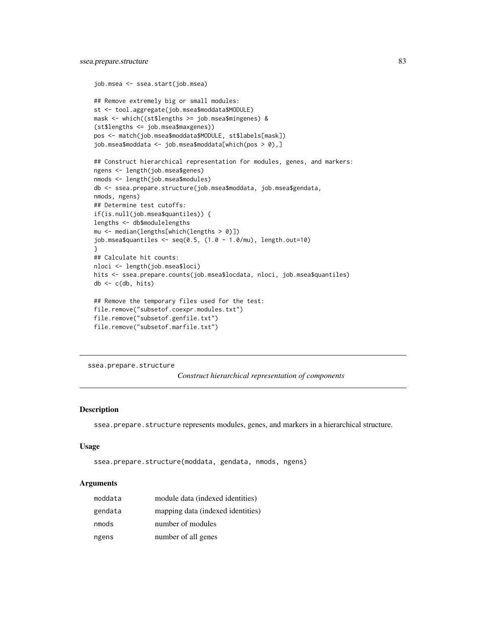```
job.msea <- ssea.start(job.msea)
## Remove extremely big or small modules:
st <- tool.aggregate(job.msea$moddata$MODULE)
mask <- which((st$lengths >= job.msea$mingenes) &
(st$lengths <= job.msea$maxgenes))
pos <- match(job.msea$moddata$MODULE, st$labels[mask])
job.msea$moddata <- job.msea$moddata[which(pos > 0),]
## Construct hierarchical representation for modules, genes, and markers:
ngens <- length(job.msea$genes)
nmods <- length(job.msea$modules)
db <- ssea.prepare.structure(job.msea$moddata, job.msea$gendata,
nmods, ngens)
## Determine test cutoffs:
if(is.null(job.msea$quantiles)) {
lengths <- db$modulelengths
mu <- median(lengths[which(lengths > 0)])
job.msea$quantiles <- seq(0.5, (1.0 - 1.0/mu), length.out=10)
}
## Calculate hit counts:
nloci <- length(job.msea$loci)
hits <- ssea.prepare.counts(job.msea$locdata, nloci, job.msea$quantiles)
db <- c(db, hits)
## Remove the temporary files used for the test:
file.remove("subsetof.coexpr.modules.txt")
file.remove("subsetof.genfile.txt")
file.remove("subsetof.marfile.txt")
```
ssea.prepare.structure

*Construct hierarchical representation of components*

# Description

ssea.prepare.structure represents modules, genes, and markers in a hierarchical structure.

## Usage

```
ssea.prepare.structure(moddata, gendata, nmods, ngens)
```
## Arguments

| moddata | module data (indexed identities)  |
|---------|-----------------------------------|
| gendata | mapping data (indexed identities) |
| nmods   | number of modules                 |
| ngens   | number of all genes               |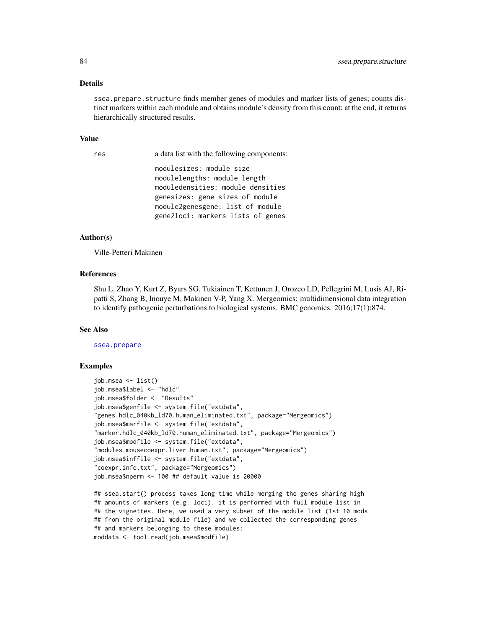#### Details

ssea.prepare.structure finds member genes of modules and marker lists of genes; counts distinct markers within each module and obtains module's density from this count; at the end, it returns hierarchically structured results.

# Value

res a data list with the following components:

modulesizes: module size modulelengths: module length moduledensities: module densities genesizes: gene sizes of module module2genesgene: list of module gene2loci: markers lists of genes

## Author(s)

Ville-Petteri Makinen

## References

Shu L, Zhao Y, Kurt Z, Byars SG, Tukiainen T, Kettunen J, Orozco LD, Pellegrini M, Lusis AJ, Ripatti S, Zhang B, Inouye M, Makinen V-P, Yang X. Mergeomics: multidimensional data integration to identify pathogenic perturbations to biological systems. BMC genomics. 2016;17(1):874.

#### See Also

[ssea.prepare](#page-78-0)

```
job.msea <- list()
job.msea$label <- "hdlc"
job.msea$folder <- "Results"
job.msea$genfile <- system.file("extdata",
"genes.hdlc_040kb_ld70.human_eliminated.txt", package="Mergeomics")
job.msea$marfile <- system.file("extdata",
"marker.hdlc_040kb_ld70.human_eliminated.txt", package="Mergeomics")
job.msea$modfile <- system.file("extdata",
"modules.mousecoexpr.liver.human.txt", package="Mergeomics")
job.msea$inffile <- system.file("extdata",
"coexpr.info.txt", package="Mergeomics")
job.msea$nperm <- 100 ## default value is 20000
```

```
## ssea.start() process takes long time while merging the genes sharing high
## amounts of markers (e.g. loci). it is performed with full module list in
## the vignettes. Here, we used a very subset of the module list (1st 10 mods
## from the original module file) and we collected the corresponding genes
## and markers belonging to these modules:
moddata <- tool.read(job.msea$modfile)
```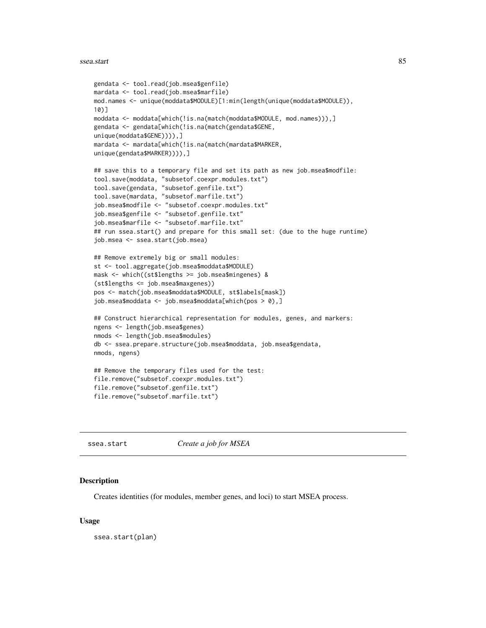```
gendata <- tool.read(job.msea$genfile)
mardata <- tool.read(job.msea$marfile)
mod.names <- unique(moddata$MODULE)[1:min(length(unique(moddata$MODULE)),
10)]
moddata <- moddata[which(!is.na(match(moddata$MODULE, mod.names))),]
gendata <- gendata[which(!is.na(match(gendata$GENE,
unique(moddata$GENE)))),]
mardata <- mardata[which(!is.na(match(mardata$MARKER,
unique(gendata$MARKER)))),]
## save this to a temporary file and set its path as new job.msea$modfile:
tool.save(moddata, "subsetof.coexpr.modules.txt")
tool.save(gendata, "subsetof.genfile.txt")
tool.save(mardata, "subsetof.marfile.txt")
job.msea$modfile <- "subsetof.coexpr.modules.txt"
job.msea$genfile <- "subsetof.genfile.txt"
job.msea$marfile <- "subsetof.marfile.txt"
## run ssea.start() and prepare for this small set: (due to the huge runtime)
job.msea <- ssea.start(job.msea)
## Remove extremely big or small modules:
st <- tool.aggregate(job.msea$moddata$MODULE)
mask <- which((st$lengths >= job.msea$mingenes) &
(st$lengths <= job.msea$maxgenes))
pos <- match(job.msea$moddata$MODULE, st$labels[mask])
job.msea$moddata <- job.msea$moddata[which(pos > 0),]
## Construct hierarchical representation for modules, genes, and markers:
ngens <- length(job.msea$genes)
nmods <- length(job.msea$modules)
db <- ssea.prepare.structure(job.msea$moddata, job.msea$gendata,
nmods, ngens)
## Remove the temporary files used for the test:
file.remove("subsetof.coexpr.modules.txt")
file.remove("subsetof.genfile.txt")
file.remove("subsetof.marfile.txt")
```

```
ssea.start Create a job for MSEA
```
## **Description**

Creates identities (for modules, member genes, and loci) to start MSEA process.

#### Usage

ssea.start(plan)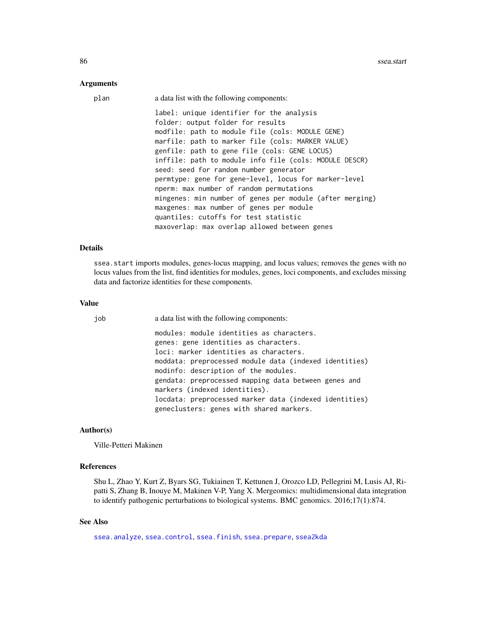## Arguments

| plan | a data list with the following components:                                     |
|------|--------------------------------------------------------------------------------|
|      | label: unique identifier for the analysis<br>folder: output folder for results |
|      | modfile: path to module file (cols: MODULE GENE)                               |
|      | marfile: path to marker file (cols: MARKER VALUE)                              |
|      | genfile: path to gene file (cols: GENE LOCUS)                                  |
|      | inffile: path to module info file (cols: MODULE DESCR)                         |
|      | seed: seed for random number generator                                         |
|      | permtype: gene for gene-level, locus for marker-level                          |
|      | nperm: max number of random permutations                                       |
|      | mingenes: min number of genes per module (after merging)                       |
|      | maxgenes: max number of genes per module                                       |
|      | quantiles: cutoffs for test statistic                                          |
|      | maxoverlap: max overlap allowed between genes                                  |

# Details

ssea.start imports modules, genes-locus mapping, and locus values; removes the genes with no locus values from the list, find identities for modules, genes, loci components, and excludes missing data and factorize identities for these components.

#### Value

| job | a data list with the following components:             |
|-----|--------------------------------------------------------|
|     | modules: module identities as characters.              |
|     | genes: gene identities as characters.                  |
|     | loci: marker identities as characters.                 |
|     | moddata: preprocessed module data (indexed identities) |
|     | modinfo: description of the modules.                   |
|     | gendata: preprocessed mapping data between genes and   |
|     | markers (indexed identities).                          |
|     | locdata: preprocessed marker data (indexed identities) |
|     | geneclusters: genes with shared markers.               |

#### Author(s)

Ville-Petteri Makinen

# References

Shu L, Zhao Y, Kurt Z, Byars SG, Tukiainen T, Kettunen J, Orozco LD, Pellegrini M, Lusis AJ, Ripatti S, Zhang B, Inouye M, Makinen V-P, Yang X. Mergeomics: multidimensional data integration to identify pathogenic perturbations to biological systems. BMC genomics. 2016;17(1):874.

# See Also

[ssea.analyze](#page-53-0), [ssea.control](#page-66-0), [ssea.finish](#page-68-0), [ssea.prepare](#page-78-0), [ssea2kda](#page-92-0)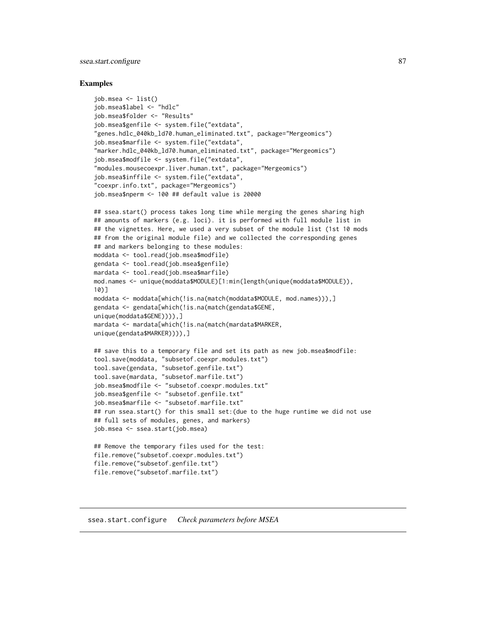# ssea.start.configure 87

## Examples

```
job.msea <- list()
job.msea$label <- "hdlc"
job.msea$folder <- "Results"
job.msea$genfile <- system.file("extdata",
"genes.hdlc_040kb_ld70.human_eliminated.txt", package="Mergeomics")
job.msea$marfile <- system.file("extdata",
"marker.hdlc_040kb_ld70.human_eliminated.txt", package="Mergeomics")
job.msea$modfile <- system.file("extdata",
"modules.mousecoexpr.liver.human.txt", package="Mergeomics")
job.msea$inffile <- system.file("extdata",
"coexpr.info.txt", package="Mergeomics")
job.msea$nperm <- 100 ## default value is 20000
```

```
## ssea.start() process takes long time while merging the genes sharing high
## amounts of markers (e.g. loci). it is performed with full module list in
## the vignettes. Here, we used a very subset of the module list (1st 10 mods
## from the original module file) and we collected the corresponding genes
## and markers belonging to these modules:
moddata <- tool.read(job.msea$modfile)
gendata <- tool.read(job.msea$genfile)
mardata <- tool.read(job.msea$marfile)
mod.names <- unique(moddata$MODULE)[1:min(length(unique(moddata$MODULE)),
10)]
moddata <- moddata[which(!is.na(match(moddata$MODULE, mod.names))),]
gendata <- gendata[which(!is.na(match(gendata$GENE,
unique(moddata$GENE)))),]
mardata <- mardata[which(!is.na(match(mardata$MARKER,
unique(gendata$MARKER)))),]
## save this to a temporary file and set its path as new job.msea$modfile:
tool.save(moddata, "subsetof.coexpr.modules.txt")
tool.save(gendata, "subsetof.genfile.txt")
tool.save(mardata, "subsetof.marfile.txt")
job.msea$modfile <- "subsetof.coexpr.modules.txt"
job.msea$genfile <- "subsetof.genfile.txt"
job.msea$marfile <- "subsetof.marfile.txt"
```

```
## run ssea.start() for this small set:(due to the huge runtime we did not use
## full sets of modules, genes, and markers)
job.msea <- ssea.start(job.msea)
```

```
## Remove the temporary files used for the test:
file.remove("subsetof.coexpr.modules.txt")
file.remove("subsetof.genfile.txt")
file.remove("subsetof.marfile.txt")
```
#### ssea.start.configure *Check parameters before MSEA*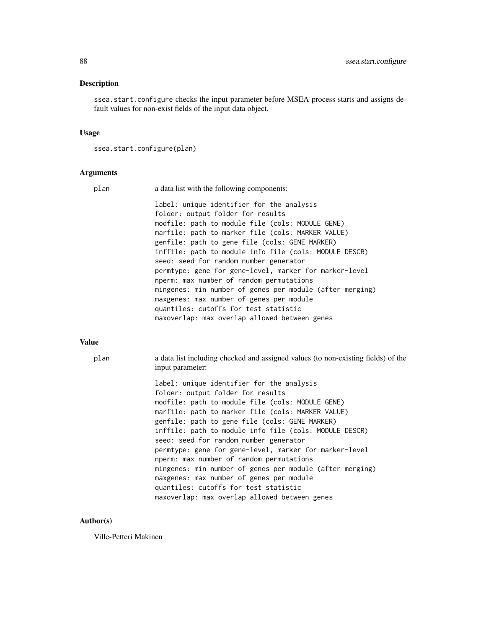# Description

ssea.start.configure checks the input parameter before MSEA process starts and assigns default values for non-exist fields of the input data object.

# Usage

```
ssea.start.configure(plan)
```
## Arguments

| plan | a data list with the following components:                                                                                         |
|------|------------------------------------------------------------------------------------------------------------------------------------|
|      | label: unique identifier for the analysis<br>folder: output folder for results<br>modfile: path to module file (cols: MODULE GENE) |
|      | marfile: path to marker file (cols: MARKER VALUE)<br>genfile: path to gene file (cols: GENE MARKER)                                |
|      | inffile: path to module info file (cols: MODULE DESCR)                                                                             |
|      | seed: seed for random number generator<br>permtype: gene for gene-level, marker for marker-level                                   |
|      | nperm: max number of random permutations                                                                                           |
|      | mingenes: min number of genes per module (after merging)                                                                           |
|      | maxgenes: max number of genes per module                                                                                           |
|      | quantiles: cutoffs for test statistic<br>maxoverlap: max overlap allowed between genes                                             |
|      |                                                                                                                                    |

# Value

| plan | a data list including checked and assigned values (to non-existing fields) of the |
|------|-----------------------------------------------------------------------------------|
|      | input parameter:                                                                  |

label: unique identifier for the analysis folder: output folder for results modfile: path to module file (cols: MODULE GENE) marfile: path to marker file (cols: MARKER VALUE) genfile: path to gene file (cols: GENE MARKER) inffile: path to module info file (cols: MODULE DESCR) seed: seed for random number generator permtype: gene for gene-level, marker for marker-level nperm: max number of random permutations mingenes: min number of genes per module (after merging) maxgenes: max number of genes per module quantiles: cutoffs for test statistic maxoverlap: max overlap allowed between genes

## Author(s)

Ville-Petteri Makinen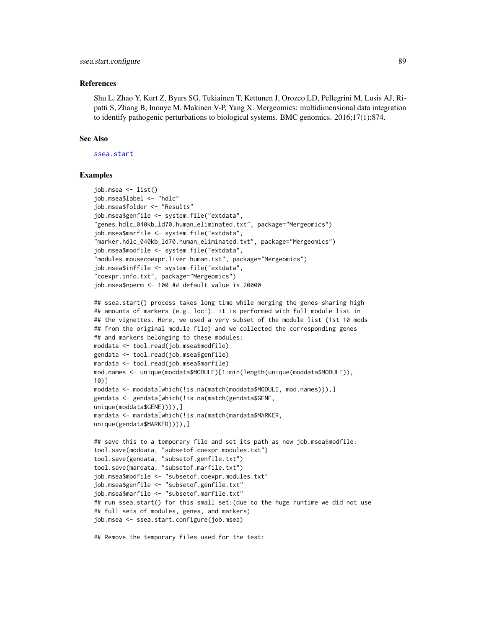## References

Shu L, Zhao Y, Kurt Z, Byars SG, Tukiainen T, Kettunen J, Orozco LD, Pellegrini M, Lusis AJ, Ripatti S, Zhang B, Inouye M, Makinen V-P, Yang X. Mergeomics: multidimensional data integration to identify pathogenic perturbations to biological systems. BMC genomics. 2016;17(1):874.

# See Also

[ssea.start](#page-84-0)

# Examples

```
job.msea <- list()
job.msea$label <- "hdlc"
job.msea$folder <- "Results"
job.msea$genfile <- system.file("extdata",
"genes.hdlc_040kb_ld70.human_eliminated.txt", package="Mergeomics")
job.msea$marfile <- system.file("extdata",
"marker.hdlc_040kb_ld70.human_eliminated.txt", package="Mergeomics")
job.msea$modfile <- system.file("extdata",
"modules.mousecoexpr.liver.human.txt", package="Mergeomics")
job.msea$inffile <- system.file("extdata",
"coexpr.info.txt", package="Mergeomics")
job.msea$nperm <- 100 ## default value is 20000
## ssea.start() process takes long time while merging the genes sharing high
## amounts of markers (e.g. loci). it is performed with full module list in
## the vignettes. Here, we used a very subset of the module list (1st 10 mods
## from the original module file) and we collected the corresponding genes
## and markers belonging to these modules:
moddata <- tool.read(job.msea$modfile)
gendata <- tool.read(job.msea$genfile)
mardata <- tool.read(job.msea$marfile)
mod.names <- unique(moddata$MODULE)[1:min(length(unique(moddata$MODULE)),
10)]
moddata <- moddata[which(!is.na(match(moddata$MODULE, mod.names))),]
gendata <- gendata[which(!is.na(match(gendata$GENE,
unique(moddata$GENE)))),]
mardata <- mardata[which(!is.na(match(mardata$MARKER,
unique(gendata$MARKER)))),]
## save this to a temporary file and set its path as new job.msea$modfile:
tool.save(moddata, "subsetof.coexpr.modules.txt")
tool.save(gendata, "subsetof.genfile.txt")
tool.save(mardata, "subsetof.marfile.txt")
job.msea$modfile <- "subsetof.coexpr.modules.txt"
job.msea$genfile <- "subsetof.genfile.txt"
job.msea$marfile <- "subsetof.marfile.txt"
## run ssea.start() for this small set:(due to the huge runtime we did not use
## full sets of modules, genes, and markers)
job.msea <- ssea.start.configure(job.msea)
```
## Remove the temporary files used for the test: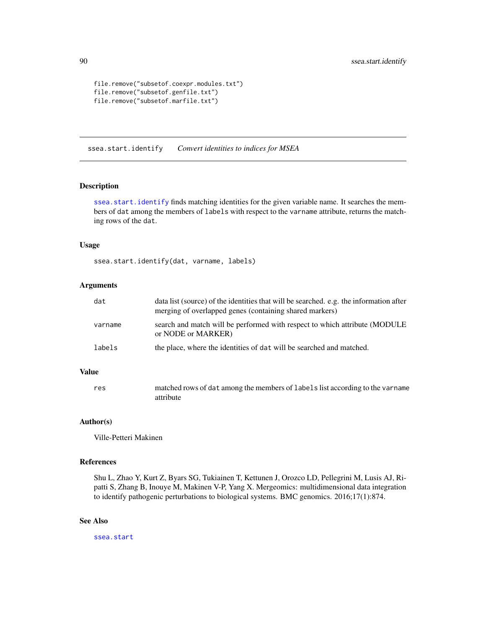```
file.remove("subsetof.coexpr.modules.txt")
file.remove("subsetof.genfile.txt")
file.remove("subsetof.marfile.txt")
```
<span id="page-89-0"></span>ssea.start.identify *Convert identities to indices for MSEA*

## Description

[ssea.start.identify](#page-89-0) finds matching identities for the given variable name. It searches the members of dat among the members of labels with respect to the varname attribute, returns the matching rows of the dat.

## Usage

ssea.start.identify(dat, varname, labels)

## Arguments

| dat     | data list (source) of the identities that will be searched. e.g. the information after<br>merging of overlapped genes (containing shared markers) |
|---------|---------------------------------------------------------------------------------------------------------------------------------------------------|
| varname | search and match will be performed with respect to which attribute (MODULE<br>or NODE or MARKER)                                                  |
| labels  | the place, where the identities of dat will be searched and matched.                                                                              |

# Value

res matched rows of dat among the members of labels list according to the varname attribute

## Author(s)

Ville-Petteri Makinen

# References

Shu L, Zhao Y, Kurt Z, Byars SG, Tukiainen T, Kettunen J, Orozco LD, Pellegrini M, Lusis AJ, Ripatti S, Zhang B, Inouye M, Makinen V-P, Yang X. Mergeomics: multidimensional data integration to identify pathogenic perturbations to biological systems. BMC genomics. 2016;17(1):874.

## See Also

[ssea.start](#page-84-0)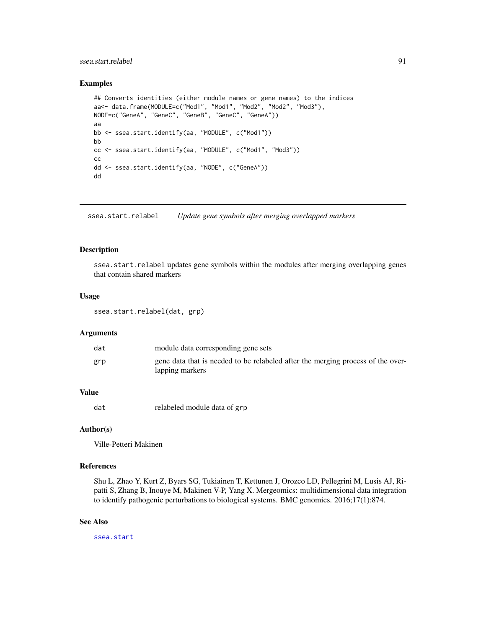# ssea.start.relabel 91

# Examples

```
## Converts identities (either module names or gene names) to the indices
aa<- data.frame(MODULE=c("Mod1", "Mod1", "Mod2", "Mod2", "Mod3"),
NODE=c("GeneA", "GeneC", "GeneB", "GeneC", "GeneA"))
aa
bb <- ssea.start.identify(aa, "MODULE", c("Mod1"))
bb
cc <- ssea.start.identify(aa, "MODULE", c("Mod1", "Mod3"))
cc
dd <- ssea.start.identify(aa, "NODE", c("GeneA"))
dd
```
ssea.start.relabel *Update gene symbols after merging overlapped markers*

## Description

ssea.start.relabel updates gene symbols within the modules after merging overlapping genes that contain shared markers

# Usage

ssea.start.relabel(dat, grp)

## Arguments

| dat | module data corresponding gene sets                                                                |
|-----|----------------------------------------------------------------------------------------------------|
| grp | gene data that is needed to be relabeled after the merging process of the over-<br>lapping markers |

# Value

dat relabeled module data of grp

## Author(s)

Ville-Petteri Makinen

# References

Shu L, Zhao Y, Kurt Z, Byars SG, Tukiainen T, Kettunen J, Orozco LD, Pellegrini M, Lusis AJ, Ripatti S, Zhang B, Inouye M, Makinen V-P, Yang X. Mergeomics: multidimensional data integration to identify pathogenic perturbations to biological systems. BMC genomics. 2016;17(1):874.

# See Also

[ssea.start](#page-84-0)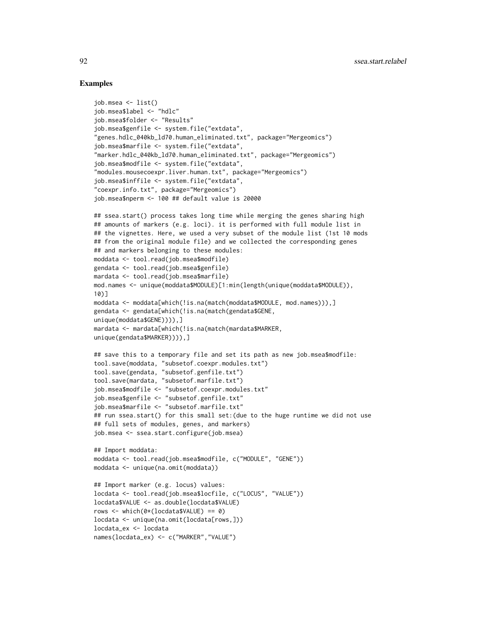```
job.msea <- list()
job.msea$label <- "hdlc"
job.msea$folder <- "Results"
job.msea$genfile <- system.file("extdata",
"genes.hdlc_040kb_ld70.human_eliminated.txt", package="Mergeomics")
job.msea$marfile <- system.file("extdata",
"marker.hdlc_040kb_ld70.human_eliminated.txt", package="Mergeomics")
job.msea$modfile <- system.file("extdata",
"modules.mousecoexpr.liver.human.txt", package="Mergeomics")
job.msea$inffile <- system.file("extdata",
"coexpr.info.txt", package="Mergeomics")
job.msea$nperm <- 100 ## default value is 20000
## ssea.start() process takes long time while merging the genes sharing high
## amounts of markers (e.g. loci). it is performed with full module list in
## the vignettes. Here, we used a very subset of the module list (1st 10 mods
## from the original module file) and we collected the corresponding genes
## and markers belonging to these modules:
moddata <- tool.read(job.msea$modfile)
gendata <- tool.read(job.msea$genfile)
mardata <- tool.read(job.msea$marfile)
mod.names <- unique(moddata$MODULE)[1:min(length(unique(moddata$MODULE)),
10)]
moddata <- moddata[which(!is.na(match(moddata$MODULE, mod.names))),]
gendata <- gendata[which(!is.na(match(gendata$GENE,
unique(moddata$GENE)))),]
mardata <- mardata[which(!is.na(match(mardata$MARKER,
unique(gendata$MARKER)))),]
## save this to a temporary file and set its path as new job.msea$modfile:
tool.save(moddata, "subsetof.coexpr.modules.txt")
tool.save(gendata, "subsetof.genfile.txt")
tool.save(mardata, "subsetof.marfile.txt")
job.msea$modfile <- "subsetof.coexpr.modules.txt"
job.msea$genfile <- "subsetof.genfile.txt"
job.msea$marfile <- "subsetof.marfile.txt"
## run ssea.start() for this small set:(due to the huge runtime we did not use
## full sets of modules, genes, and markers)
job.msea <- ssea.start.configure(job.msea)
## Import moddata:
moddata <- tool.read(job.msea$modfile, c("MODULE", "GENE"))
moddata <- unique(na.omit(moddata))
## Import marker (e.g. locus) values:
locdata <- tool.read(job.msea$locfile, c("LOCUS", "VALUE"))
locdata$VALUE <- as.double(locdata$VALUE)
rows <- which(0*(locdata$VALUE) == 0)
locdata <- unique(na.omit(locdata[rows,]))
locdata_ex <- locdata
names(locdata_ex) <- c("MARKER","VALUE")
```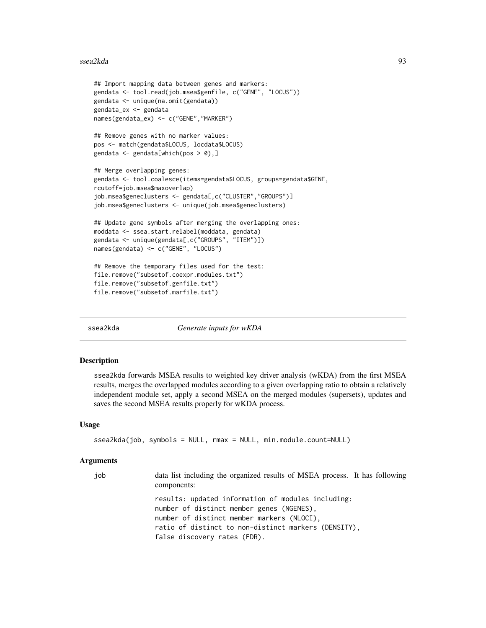## ssea2kda 93

```
## Import mapping data between genes and markers:
gendata <- tool.read(job.msea$genfile, c("GENE", "LOCUS"))
gendata <- unique(na.omit(gendata))
gendata_ex <- gendata
names(gendata_ex) <- c("GENE","MARKER")
## Remove genes with no marker values:
pos <- match(gendata$LOCUS, locdata$LOCUS)
gendata \leq gendata[which(pos > 0),]
## Merge overlapping genes:
gendata <- tool.coalesce(items=gendata$LOCUS, groups=gendata$GENE,
rcutoff=job.msea$maxoverlap)
job.msea$geneclusters <- gendata[,c("CLUSTER","GROUPS")]
job.msea$geneclusters <- unique(job.msea$geneclusters)
## Update gene symbols after merging the overlapping ones:
moddata <- ssea.start.relabel(moddata, gendata)
gendata <- unique(gendata[,c("GROUPS", "ITEM")])
names(gendata) <- c("GENE", "LOCUS")
## Remove the temporary files used for the test:
file.remove("subsetof.coexpr.modules.txt")
file.remove("subsetof.genfile.txt")
file.remove("subsetof.marfile.txt")
```
<span id="page-92-0"></span>

ssea2kda *Generate inputs for wKDA*

#### Description

ssea2kda forwards MSEA results to weighted key driver analysis (wKDA) from the first MSEA results, merges the overlapped modules according to a given overlapping ratio to obtain a relatively independent module set, apply a second MSEA on the merged modules (supersets), updates and saves the second MSEA results properly for wKDA process.

## Usage

```
ssea2kda(job, symbols = NULL, rmax = NULL, min.module.count=NULL)
```
#### Arguments

| iob | data list including the organized results of MSEA process. It has following<br>components:                                                    |
|-----|-----------------------------------------------------------------------------------------------------------------------------------------------|
|     | results: updated information of modules including:<br>number of distinct member genes (NGENES),<br>number of distinct member markers (NLOCI), |
|     | ratio of distinct to non-distinct markers (DENSITY),                                                                                          |
|     | false discovery rates (FDR).                                                                                                                  |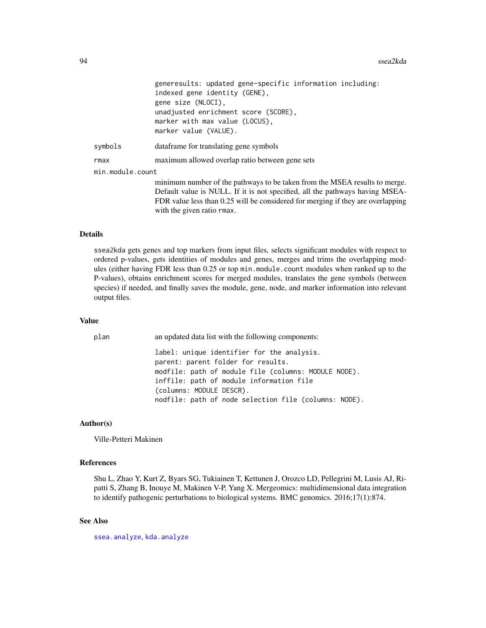|                  | generesults: updated gene-specific information including:                       |
|------------------|---------------------------------------------------------------------------------|
|                  | indexed gene identity (GENE),                                                   |
|                  | gene size (NLOCI).                                                              |
|                  | unadjusted enrichment score (SCORE),                                            |
|                  | marker with max value (LOCUS),                                                  |
|                  | marker value (VALUE).                                                           |
| symbols          | data frame for translating gene symbols                                         |
| rmax             | maximum allowed overlap ratio between gene sets                                 |
| min.module.count |                                                                                 |
|                  | minimum number of the pathways to be taken from the MSEA results to merge.      |
|                  | Default value is NULL. If it is not specified, all the pathways having MSEA-    |
|                  | FDR value less than 0.25 will be considered for merging if they are overlapping |
|                  | with the given ratio rmax.                                                      |

#### Details

ssea2kda gets genes and top markers from input files, selects significant modules with respect to ordered p-values, gets identities of modules and genes, merges and trims the overlapping modules (either having FDR less than 0.25 or top min.module.count modules when ranked up to the P-values), obtains enrichment scores for merged modules, translates the gene symbols (between species) if needed, and finally saves the module, gene, node, and marker information into relevant output files.

## Value

| plan | an updated data list with the following components:                              |
|------|----------------------------------------------------------------------------------|
|      | label: unique identifier for the analysis.<br>parent: parent folder for results. |
|      | modfile: path of module file (columns: MODULE NODE).                             |
|      |                                                                                  |
|      | inffile: path of module information file                                         |
|      | (columns: MODULE DESCR).                                                         |
|      | nodfile: path of node selection file (columns: NODE).                            |

# Author(s)

Ville-Petteri Makinen

# References

Shu L, Zhao Y, Kurt Z, Byars SG, Tukiainen T, Kettunen J, Orozco LD, Pellegrini M, Lusis AJ, Ripatti S, Zhang B, Inouye M, Makinen V-P, Yang X. Mergeomics: multidimensional data integration to identify pathogenic perturbations to biological systems. BMC genomics. 2016;17(1):874.

# See Also

[ssea.analyze](#page-53-0), [kda.analyze](#page-4-0)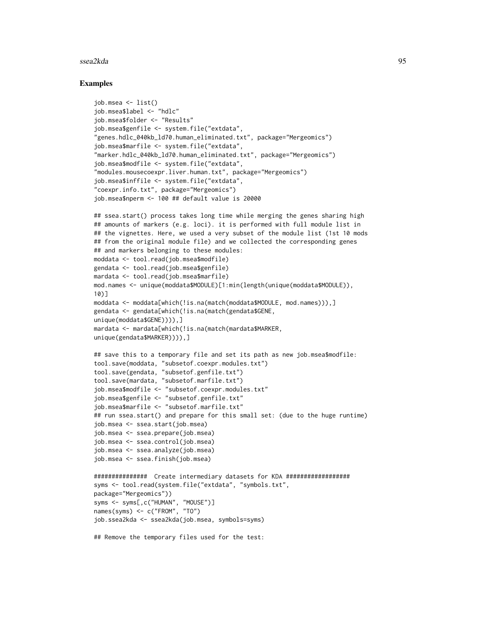## ssea2kda 95

```
job.msea <- list()
job.msea$label <- "hdlc"
job.msea$folder <- "Results"
job.msea$genfile <- system.file("extdata",
"genes.hdlc_040kb_ld70.human_eliminated.txt", package="Mergeomics")
job.msea$marfile <- system.file("extdata",
"marker.hdlc_040kb_ld70.human_eliminated.txt", package="Mergeomics")
job.msea$modfile <- system.file("extdata",
"modules.mousecoexpr.liver.human.txt", package="Mergeomics")
job.msea$inffile <- system.file("extdata",
"coexpr.info.txt", package="Mergeomics")
job.msea$nperm <- 100 ## default value is 20000
## ssea.start() process takes long time while merging the genes sharing high
## amounts of markers (e.g. loci). it is performed with full module list in
## the vignettes. Here, we used a very subset of the module list (1st 10 mods
## from the original module file) and we collected the corresponding genes
## and markers belonging to these modules:
moddata <- tool.read(job.msea$modfile)
gendata <- tool.read(job.msea$genfile)
mardata <- tool.read(job.msea$marfile)
mod.names <- unique(moddata$MODULE)[1:min(length(unique(moddata$MODULE)),
10)]
moddata <- moddata[which(!is.na(match(moddata$MODULE, mod.names))),]
gendata <- gendata[which(!is.na(match(gendata$GENE,
unique(moddata$GENE)))),]
mardata <- mardata[which(!is.na(match(mardata$MARKER,
unique(gendata$MARKER)))),]
## save this to a temporary file and set its path as new job.msea$modfile:
tool.save(moddata, "subsetof.coexpr.modules.txt")
tool.save(gendata, "subsetof.genfile.txt")
tool.save(mardata, "subsetof.marfile.txt")
job.msea$modfile <- "subsetof.coexpr.modules.txt"
job.msea$genfile <- "subsetof.genfile.txt"
job.msea$marfile <- "subsetof.marfile.txt"
## run ssea.start() and prepare for this small set: (due to the huge runtime)
job.msea <- ssea.start(job.msea)
job.msea <- ssea.prepare(job.msea)
job.msea <- ssea.control(job.msea)
job.msea <- ssea.analyze(job.msea)
job.msea <- ssea.finish(job.msea)
############### Create intermediary datasets for KDA ##################
syms <- tool.read(system.file("extdata", "symbols.txt",
package="Mergeomics"))
syms <- syms[,c("HUMAN", "MOUSE")]
names(syms) <- c("FROM", "TO")
job.ssea2kda <- ssea2kda(job.msea, symbols=syms)
## Remove the temporary files used for the test:
```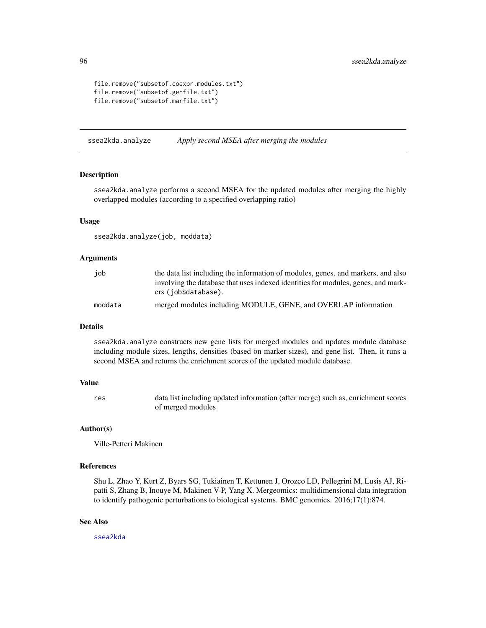```
file.remove("subsetof.coexpr.modules.txt")
file.remove("subsetof.genfile.txt")
file.remove("subsetof.marfile.txt")
```
ssea2kda.analyze *Apply second MSEA after merging the modules*

# Description

ssea2kda.analyze performs a second MSEA for the updated modules after merging the highly overlapped modules (according to a specified overlapping ratio)

## Usage

ssea2kda.analyze(job, moddata)

# Arguments

| iob     | the data list including the information of modules, genes, and markers, and also  |
|---------|-----------------------------------------------------------------------------------|
|         | involving the database that uses indexed identities for modules, genes, and mark- |
|         | ers (job\$database).                                                              |
| moddata | merged modules including MODULE, GENE, and OVERLAP information                    |

# Details

ssea2kda.analyze constructs new gene lists for merged modules and updates module database including module sizes, lengths, densities (based on marker sizes), and gene list. Then, it runs a second MSEA and returns the enrichment scores of the updated module database.

## Value

res data list including updated information (after merge) such as, enrichment scores of merged modules

#### Author(s)

Ville-Petteri Makinen

# References

Shu L, Zhao Y, Kurt Z, Byars SG, Tukiainen T, Kettunen J, Orozco LD, Pellegrini M, Lusis AJ, Ripatti S, Zhang B, Inouye M, Makinen V-P, Yang X. Mergeomics: multidimensional data integration to identify pathogenic perturbations to biological systems. BMC genomics. 2016;17(1):874.

# See Also

[ssea2kda](#page-92-0)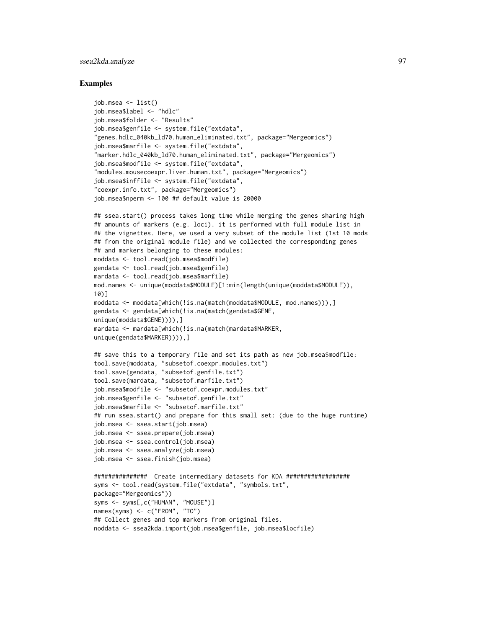# ssea2kda.analyze 97

```
job.msea <- list()
job.msea$label <- "hdlc"
job.msea$folder <- "Results"
job.msea$genfile <- system.file("extdata",
"genes.hdlc_040kb_ld70.human_eliminated.txt", package="Mergeomics")
job.msea$marfile <- system.file("extdata",
"marker.hdlc_040kb_ld70.human_eliminated.txt", package="Mergeomics")
job.msea$modfile <- system.file("extdata",
"modules.mousecoexpr.liver.human.txt", package="Mergeomics")
job.msea$inffile <- system.file("extdata",
"coexpr.info.txt", package="Mergeomics")
job.msea$nperm <- 100 ## default value is 20000
## ssea.start() process takes long time while merging the genes sharing high
## amounts of markers (e.g. loci). it is performed with full module list in
## the vignettes. Here, we used a very subset of the module list (1st 10 mods
## from the original module file) and we collected the corresponding genes
## and markers belonging to these modules:
moddata <- tool.read(job.msea$modfile)
gendata <- tool.read(job.msea$genfile)
mardata <- tool.read(job.msea$marfile)
mod.names <- unique(moddata$MODULE)[1:min(length(unique(moddata$MODULE)),
10)]
moddata <- moddata[which(!is.na(match(moddata$MODULE, mod.names))),]
gendata <- gendata[which(!is.na(match(gendata$GENE,
unique(moddata$GENE)))),]
mardata <- mardata[which(!is.na(match(mardata$MARKER,
unique(gendata$MARKER)))),]
## save this to a temporary file and set its path as new job.msea$modfile:
tool.save(moddata, "subsetof.coexpr.modules.txt")
tool.save(gendata, "subsetof.genfile.txt")
tool.save(mardata, "subsetof.marfile.txt")
job.msea$modfile <- "subsetof.coexpr.modules.txt"
job.msea$genfile <- "subsetof.genfile.txt"
job.msea$marfile <- "subsetof.marfile.txt"
## run ssea.start() and prepare for this small set: (due to the huge runtime)
job.msea <- ssea.start(job.msea)
job.msea <- ssea.prepare(job.msea)
job.msea <- ssea.control(job.msea)
job.msea <- ssea.analyze(job.msea)
job.msea <- ssea.finish(job.msea)
############### Create intermediary datasets for KDA ##################
syms <- tool.read(system.file("extdata", "symbols.txt",
package="Mergeomics"))
syms <- syms[,c("HUMAN", "MOUSE")]
names(syms) <- c("FROM", "TO")
## Collect genes and top markers from original files.
noddata <- ssea2kda.import(job.msea$genfile, job.msea$locfile)
```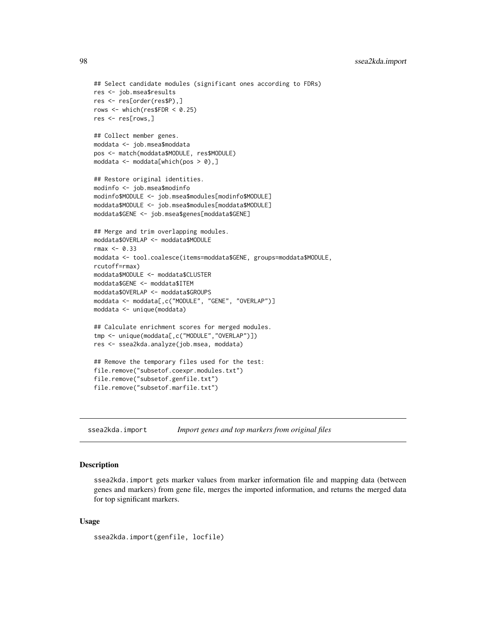```
## Select candidate modules (significant ones according to FDRs)
res <- job.msea$results
res <- res[order(res$P),]
rows <- which(res$FDR < 0.25)
res <- res[rows,]
## Collect member genes.
moddata <- job.msea$moddata
pos <- match(moddata$MODULE, res$MODULE)
moddata <- moddata[which(pos > 0),]
## Restore original identities.
modinfo <- job.msea$modinfo
modinfo$MODULE <- job.msea$modules[modinfo$MODULE]
moddata$MODULE <- job.msea$modules[moddata$MODULE]
moddata$GENE <- job.msea$genes[moddata$GENE]
## Merge and trim overlapping modules.
moddata$OVERLAP <- moddata$MODULE
rmax < -0.33moddata <- tool.coalesce(items=moddata$GENE, groups=moddata$MODULE,
rcutoff=rmax)
moddata$MODULE <- moddata$CLUSTER
moddata$GENE <- moddata$ITEM
moddata$OVERLAP <- moddata$GROUPS
moddata <- moddata[,c("MODULE", "GENE", "OVERLAP")]
moddata <- unique(moddata)
## Calculate enrichment scores for merged modules.
tmp <- unique(moddata[,c("MODULE","OVERLAP")])
res <- ssea2kda.analyze(job.msea, moddata)
## Remove the temporary files used for the test:
file.remove("subsetof.coexpr.modules.txt")
file.remove("subsetof.genfile.txt")
file.remove("subsetof.marfile.txt")
```

```
ssea2kda.import Import genes and top markers from original files
```
# **Description**

ssea2kda.import gets marker values from marker information file and mapping data (between genes and markers) from gene file, merges the imported information, and returns the merged data for top significant markers.

# Usage

```
ssea2kda.import(genfile, locfile)
```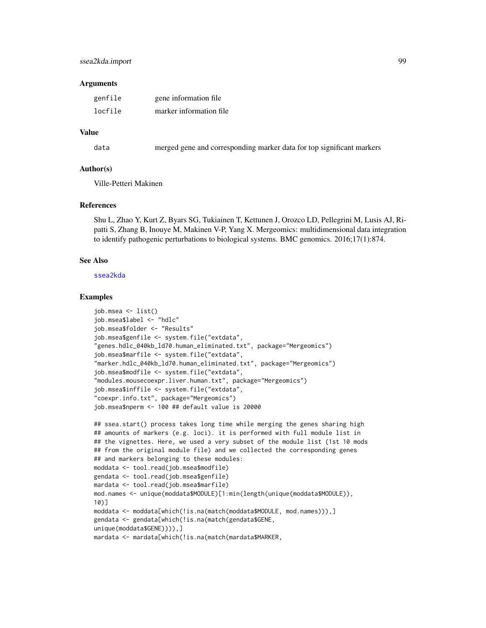# ssea2kda.import 99

## **Arguments**

| genfile | gene information file   |
|---------|-------------------------|
| locfile | marker information file |

# Value

| data |  |  | merged gene and corresponding marker data for top significant markers |  |
|------|--|--|-----------------------------------------------------------------------|--|
|------|--|--|-----------------------------------------------------------------------|--|

# Author(s)

Ville-Petteri Makinen

# References

Shu L, Zhao Y, Kurt Z, Byars SG, Tukiainen T, Kettunen J, Orozco LD, Pellegrini M, Lusis AJ, Ripatti S, Zhang B, Inouye M, Makinen V-P, Yang X. Mergeomics: multidimensional data integration to identify pathogenic perturbations to biological systems. BMC genomics. 2016;17(1):874.

## See Also

[ssea2kda](#page-92-0)

```
job.msea <- list()
job.msea$label <- "hdlc"
job.msea$folder <- "Results"
job.msea$genfile <- system.file("extdata",
"genes.hdlc_040kb_ld70.human_eliminated.txt", package="Mergeomics")
job.msea$marfile <- system.file("extdata",
"marker.hdlc_040kb_ld70.human_eliminated.txt", package="Mergeomics")
job.msea$modfile <- system.file("extdata",
"modules.mousecoexpr.liver.human.txt", package="Mergeomics")
job.msea$inffile <- system.file("extdata",
"coexpr.info.txt", package="Mergeomics")
job.msea$nperm <- 100 ## default value is 20000
```

```
## ssea.start() process takes long time while merging the genes sharing high
## amounts of markers (e.g. loci). it is performed with full module list in
## the vignettes. Here, we used a very subset of the module list (1st 10 mods
## from the original module file) and we collected the corresponding genes
## and markers belonging to these modules:
moddata <- tool.read(job.msea$modfile)
gendata <- tool.read(job.msea$genfile)
mardata <- tool.read(job.msea$marfile)
mod.names <- unique(moddata$MODULE)[1:min(length(unique(moddata$MODULE)),
10)]
moddata <- moddata[which(!is.na(match(moddata$MODULE, mod.names))),]
gendata <- gendata[which(!is.na(match(gendata$GENE,
unique(moddata$GENE)))),]
mardata <- mardata[which(!is.na(match(mardata$MARKER,
```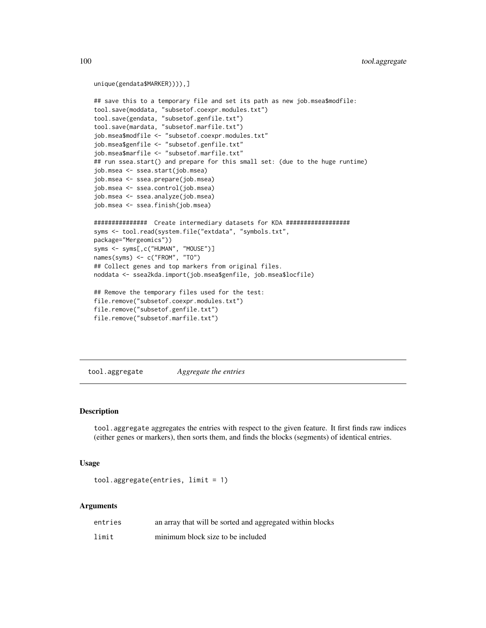```
unique(gendata$MARKER)))),]
## save this to a temporary file and set its path as new job.msea$modfile:
tool.save(moddata, "subsetof.coexpr.modules.txt")
tool.save(gendata, "subsetof.genfile.txt")
tool.save(mardata, "subsetof.marfile.txt")
job.msea$modfile <- "subsetof.coexpr.modules.txt"
job.msea$genfile <- "subsetof.genfile.txt"
job.msea$marfile <- "subsetof.marfile.txt"
## run ssea.start() and prepare for this small set: (due to the huge runtime)
job.msea <- ssea.start(job.msea)
job.msea <- ssea.prepare(job.msea)
job.msea <- ssea.control(job.msea)
job.msea <- ssea.analyze(job.msea)
job.msea <- ssea.finish(job.msea)
############### Create intermediary datasets for KDA ##################
syms <- tool.read(system.file("extdata", "symbols.txt",
package="Mergeomics"))
syms <- syms[,c("HUMAN", "MOUSE")]
names(syms) <- c("FROM", "TO")
## Collect genes and top markers from original files.
noddata <- ssea2kda.import(job.msea$genfile, job.msea$locfile)
## Remove the temporary files used for the test:
file.remove("subsetof.coexpr.modules.txt")
file.remove("subsetof.genfile.txt")
file.remove("subsetof.marfile.txt")
```
tool.aggregate *Aggregate the entries*

#### Description

tool.aggregate aggregates the entries with respect to the given feature. It first finds raw indices (either genes or markers), then sorts them, and finds the blocks (segments) of identical entries.

## Usage

```
tool.aggregate(entries, limit = 1)
```
#### Arguments

| entries | an array that will be sorted and aggregated within blocks |
|---------|-----------------------------------------------------------|
| limit   | minimum block size to be included                         |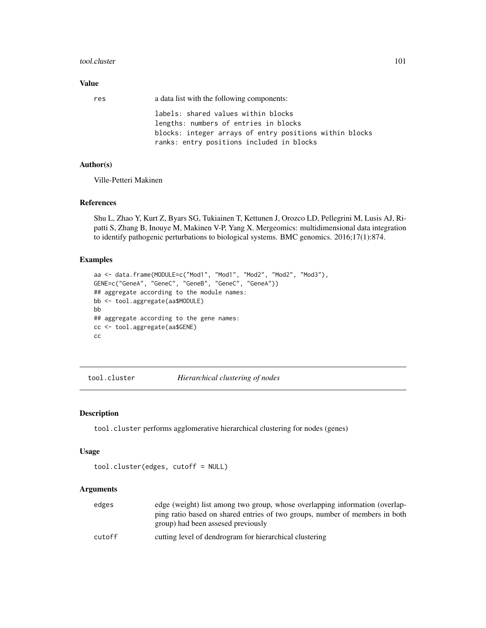## tool.cluster 101

# Value

| res | a data list with the following components:                                                           |
|-----|------------------------------------------------------------------------------------------------------|
|     | labels: shared values within blocks<br>lengths: numbers of entries in blocks                         |
|     | blocks: integer arrays of entry positions within blocks<br>ranks: entry positions included in blocks |

# Author(s)

Ville-Petteri Makinen

# References

Shu L, Zhao Y, Kurt Z, Byars SG, Tukiainen T, Kettunen J, Orozco LD, Pellegrini M, Lusis AJ, Ripatti S, Zhang B, Inouye M, Makinen V-P, Yang X. Mergeomics: multidimensional data integration to identify pathogenic perturbations to biological systems. BMC genomics. 2016;17(1):874.

# Examples

```
aa <- data.frame(MODULE=c("Mod1", "Mod1", "Mod2", "Mod2", "Mod3"),
GENE=c("GeneA", "GeneC", "GeneB", "GeneC", "GeneA"))
## aggregate according to the module names:
bb <- tool.aggregate(aa$MODULE)
bb
## aggregate according to the gene names:
cc <- tool.aggregate(aa$GENE)
cc
```
<span id="page-100-0"></span>tool.cluster *Hierarchical clustering of nodes*

## Description

tool.cluster performs agglomerative hierarchical clustering for nodes (genes)

#### Usage

```
tool.cluster(edges, cutoff = NULL)
```
## Arguments

| edges  | edge (weight) list among two group, whose overlapping information (overlap-<br>ping ratio based on shared entries of two groups, number of members in both |
|--------|------------------------------------------------------------------------------------------------------------------------------------------------------------|
|        | group) had been assesed previously                                                                                                                         |
| cutoff | cutting level of dendrogram for hierarchical clustering                                                                                                    |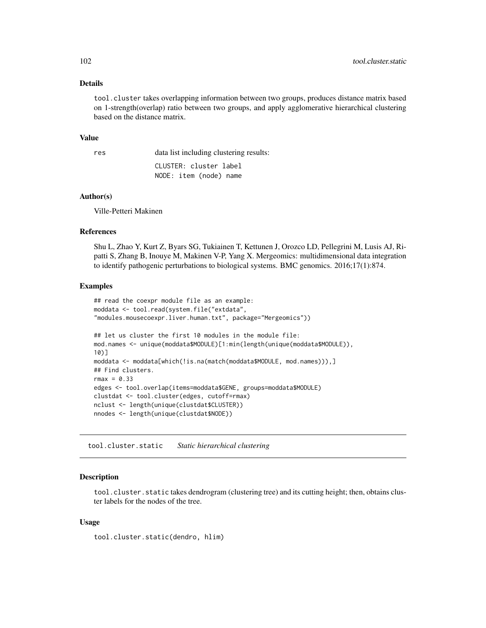# Details

tool.cluster takes overlapping information between two groups, produces distance matrix based on 1-strength(overlap) ratio between two groups, and apply agglomerative hierarchical clustering based on the distance matrix.

#### Value

res data list including clustering results: CLUSTER: cluster label

NODE: item (node) name

#### Author(s)

Ville-Petteri Makinen

# References

Shu L, Zhao Y, Kurt Z, Byars SG, Tukiainen T, Kettunen J, Orozco LD, Pellegrini M, Lusis AJ, Ripatti S, Zhang B, Inouye M, Makinen V-P, Yang X. Mergeomics: multidimensional data integration to identify pathogenic perturbations to biological systems. BMC genomics. 2016;17(1):874.

## Examples

```
## read the coexpr module file as an example:
moddata <- tool.read(system.file("extdata",
"modules.mousecoexpr.liver.human.txt", package="Mergeomics"))
## let us cluster the first 10 modules in the module file:
mod.names <- unique(moddata$MODULE)[1:min(length(unique(moddata$MODULE)),
10)]
moddata <- moddata[which(!is.na(match(moddata$MODULE, mod.names))),]
## Find clusters.
rmax = 0.33edges <- tool.overlap(items=moddata$GENE, groups=moddata$MODULE)
clustdat <- tool.cluster(edges, cutoff=rmax)
nclust <- length(unique(clustdat$CLUSTER))
nnodes <- length(unique(clustdat$NODE))
```
tool.cluster.static *Static hierarchical clustering*

## Description

tool.cluster.static takes dendrogram (clustering tree) and its cutting height; then, obtains cluster labels for the nodes of the tree.

# Usage

tool.cluster.static(dendro, hlim)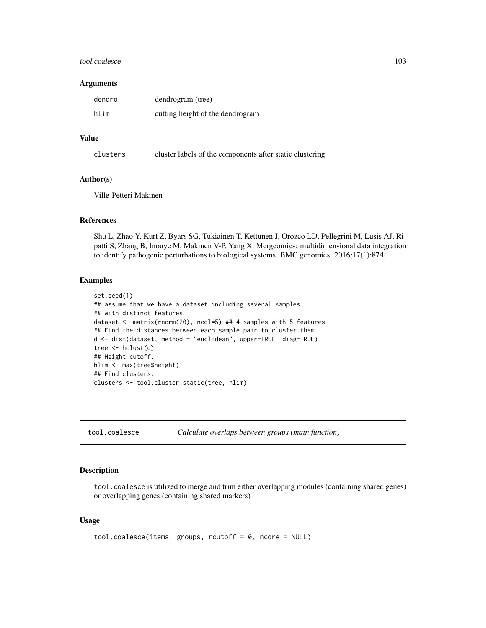## tool.coalesce 103

#### **Arguments**

| dendro | dendrogram (tree)                |
|--------|----------------------------------|
| hlim   | cutting height of the dendrogram |

# Value

clusters cluster labels of the components after static clustering

# Author(s)

Ville-Petteri Makinen

# References

Shu L, Zhao Y, Kurt Z, Byars SG, Tukiainen T, Kettunen J, Orozco LD, Pellegrini M, Lusis AJ, Ripatti S, Zhang B, Inouye M, Makinen V-P, Yang X. Mergeomics: multidimensional data integration to identify pathogenic perturbations to biological systems. BMC genomics. 2016;17(1):874.

## Examples

```
set.seed(1)
## assume that we have a dataset including several samples
## with distinct features
dataset <- matrix(rnorm(20), ncol=5) ## 4 samples with 5 features
## Find the distances between each sample pair to cluster them
d <- dist(dataset, method = "euclidean", upper=TRUE, diag=TRUE)
tree <- hclust(d)
## Height cutoff.
hlim <- max(tree$height)
## Find clusters.
clusters <- tool.cluster.static(tree, hlim)
```
tool.coalesce *Calculate overlaps between groups (main function)*

# Description

tool.coalesce is utilized to merge and trim either overlapping modules (containing shared genes) or overlapping genes (containing shared markers)

## Usage

```
tool.coalesce(items, groups, rcutoff = 0, ncore = NULL)
```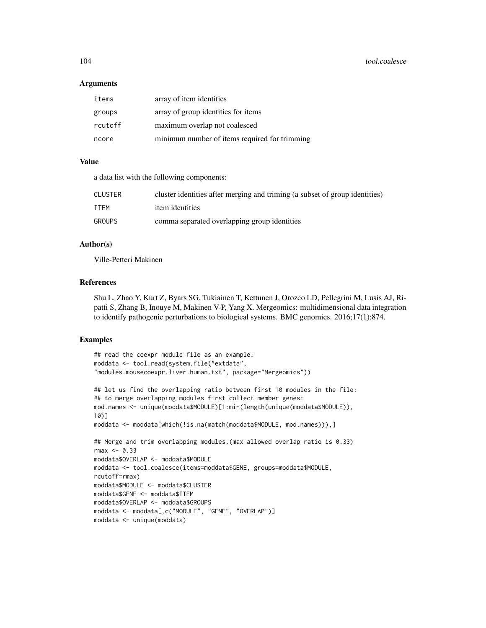## Arguments

| items   | array of item identities                      |
|---------|-----------------------------------------------|
| groups  | array of group identities for items           |
| rcutoff | maximum overlap not coalesced                 |
| ncore   | minimum number of items required for trimming |

# Value

a data list with the following components:

| <b>CLUSTER</b> | cluster identities after merging and triming (a subset of group identities) |
|----------------|-----------------------------------------------------------------------------|
| <b>TTFM</b>    | <i>item identities</i>                                                      |
| <b>GROUPS</b>  | comma separated overlapping group identities                                |

# Author(s)

Ville-Petteri Makinen

# References

Shu L, Zhao Y, Kurt Z, Byars SG, Tukiainen T, Kettunen J, Orozco LD, Pellegrini M, Lusis AJ, Ripatti S, Zhang B, Inouye M, Makinen V-P, Yang X. Mergeomics: multidimensional data integration to identify pathogenic perturbations to biological systems. BMC genomics. 2016;17(1):874.

```
## read the coexpr module file as an example:
moddata <- tool.read(system.file("extdata",
"modules.mousecoexpr.liver.human.txt", package="Mergeomics"))
## let us find the overlapping ratio between first 10 modules in the file:
## to merge overlapping modules first collect member genes:
mod.names <- unique(moddata$MODULE)[1:min(length(unique(moddata$MODULE)),
10)]
moddata <- moddata[which(!is.na(match(moddata$MODULE, mod.names))),]
## Merge and trim overlapping modules.(max allowed overlap ratio is 0.33)
rmax < -0.33moddata$OVERLAP <- moddata$MODULE
moddata <- tool.coalesce(items=moddata$GENE, groups=moddata$MODULE,
rcutoff=rmax)
moddata$MODULE <- moddata$CLUSTER
moddata$GENE <- moddata$ITEM
moddata$OVERLAP <- moddata$GROUPS
moddata <- moddata[,c("MODULE", "GENE", "OVERLAP")]
moddata <- unique(moddata)
```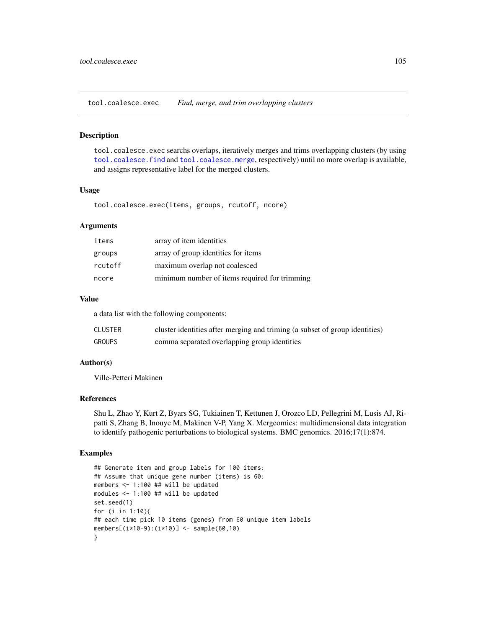tool.coalesce.exec *Find, merge, and trim overlapping clusters*

# Description

tool.coalesce.exec searchs overlaps, iteratively merges and trims overlapping clusters (by using [tool.coalesce.find](#page-105-0) and [tool.coalesce.merge](#page-106-0), respectively) until no more overlap is available, and assigns representative label for the merged clusters.

## Usage

tool.coalesce.exec(items, groups, rcutoff, ncore)

# Arguments

| items   | array of item identities                      |
|---------|-----------------------------------------------|
| groups  | array of group identities for items           |
| rcutoff | maximum overlap not coalesced                 |
| ncore   | minimum number of items required for trimming |

## Value

a data list with the following components:

| <b>CLUSTER</b> | cluster identities after merging and triming (a subset of group identities) |
|----------------|-----------------------------------------------------------------------------|
| <b>GROUPS</b>  | comma separated overlapping group identities                                |

# Author(s)

Ville-Petteri Makinen

# References

Shu L, Zhao Y, Kurt Z, Byars SG, Tukiainen T, Kettunen J, Orozco LD, Pellegrini M, Lusis AJ, Ripatti S, Zhang B, Inouye M, Makinen V-P, Yang X. Mergeomics: multidimensional data integration to identify pathogenic perturbations to biological systems. BMC genomics. 2016;17(1):874.

```
## Generate item and group labels for 100 items:
## Assume that unique gene number (items) is 60:
members <- 1:100 ## will be updated
modules <- 1:100 ## will be updated
set.seed(1)
for (i in 1:10){
## each time pick 10 items (genes) from 60 unique item labels
members[(i*10-9):(i*10)] <- sample(60,10)
}
```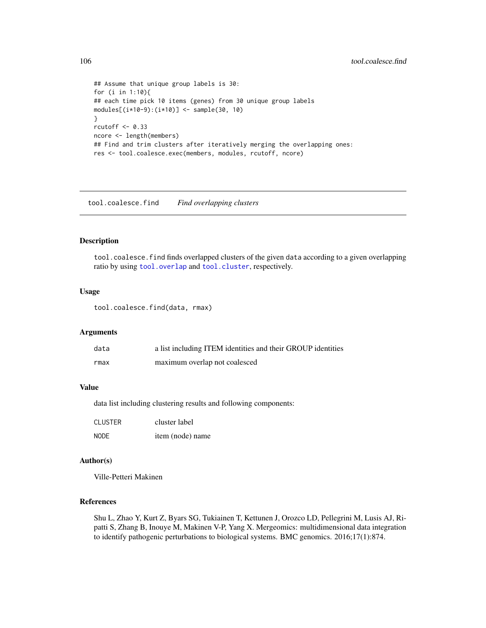```
## Assume that unique group labels is 30:
for (i in 1:10){
## each time pick 10 items (genes) from 30 unique group labels
modules[(i*10-9):(i*10)] <- sample(30, 10)
}
rcutoff <- 0.33
ncore <- length(members)
## Find and trim clusters after iteratively merging the overlapping ones:
res <- tool.coalesce.exec(members, modules, rcutoff, ncore)
```
<span id="page-105-0"></span>tool.coalesce.find *Find overlapping clusters*

# Description

tool.coalesce.find finds overlapped clusters of the given data according to a given overlapping ratio by using [tool.overlap](#page-118-0) and [tool.cluster](#page-100-0), respectively.

# Usage

tool.coalesce.find(data, rmax)

## Arguments

| data | a list including ITEM identities and their GROUP identities |
|------|-------------------------------------------------------------|
| rmax | maximum overlap not coalesced                               |

# Value

data list including clustering results and following components:

| <b>CLUSTER</b> | cluster label    |  |  |
|----------------|------------------|--|--|
| <b>NODE</b>    | item (node) name |  |  |

# Author(s)

Ville-Petteri Makinen

# References

Shu L, Zhao Y, Kurt Z, Byars SG, Tukiainen T, Kettunen J, Orozco LD, Pellegrini M, Lusis AJ, Ripatti S, Zhang B, Inouye M, Makinen V-P, Yang X. Mergeomics: multidimensional data integration to identify pathogenic perturbations to biological systems. BMC genomics. 2016;17(1):874.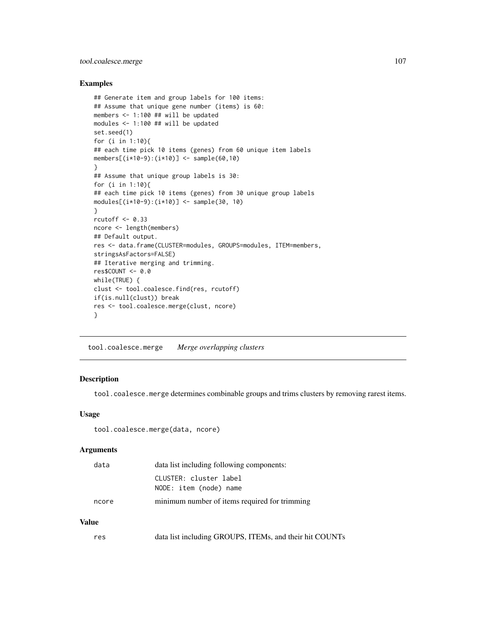# tool.coalesce.merge 107

# Examples

```
## Generate item and group labels for 100 items:
## Assume that unique gene number (items) is 60:
members <- 1:100 ## will be updated
modules <- 1:100 ## will be updated
set.seed(1)
for (i in 1:10){
## each time pick 10 items (genes) from 60 unique item labels
members[(i*10-9):(i*10)] <- sample(60,10)
}
## Assume that unique group labels is 30:
for (i in 1:10){
## each time pick 10 items (genes) from 30 unique group labels
modules[(i*10-9):(i*10)] <- sample(30, 10)
}
rcutoff <-0.33ncore <- length(members)
## Default output.
res <- data.frame(CLUSTER=modules, GROUPS=modules, ITEM=members,
stringsAsFactors=FALSE)
## Iterative merging and trimming.
res$COUNT <- 0.0
while(TRUE) {
clust <- tool.coalesce.find(res, rcutoff)
if(is.null(clust)) break
res <- tool.coalesce.merge(clust, ncore)
}
```
<span id="page-106-0"></span>tool.coalesce.merge *Merge overlapping clusters*

# Description

tool.coalesce.merge determines combinable groups and trims clusters by removing rarest items.

## Usage

```
tool.coalesce.merge(data, ncore)
```
#### Arguments

| data  | data list including following components:        |  |
|-------|--------------------------------------------------|--|
|       | CLUSTER: cluster label<br>NODE: item (node) name |  |
| ncore | minimum number of items required for trimming    |  |

# Value

| res | data list including GROUPS, ITEMs, and their hit COUNTs |  |  |  |
|-----|---------------------------------------------------------|--|--|--|
|-----|---------------------------------------------------------|--|--|--|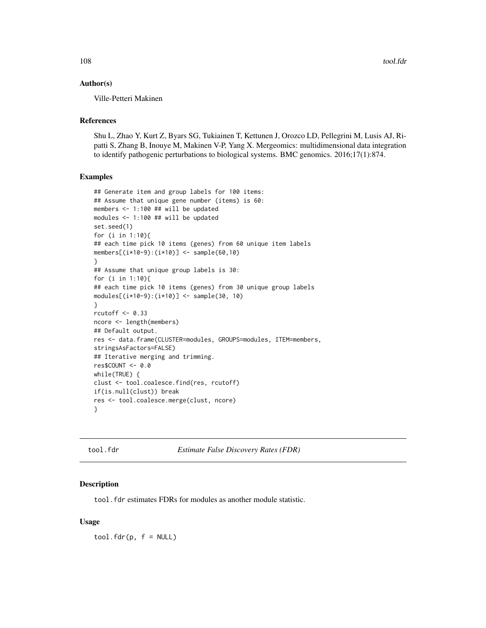# Author(s)

Ville-Petteri Makinen

# References

Shu L, Zhao Y, Kurt Z, Byars SG, Tukiainen T, Kettunen J, Orozco LD, Pellegrini M, Lusis AJ, Ripatti S, Zhang B, Inouye M, Makinen V-P, Yang X. Mergeomics: multidimensional data integration to identify pathogenic perturbations to biological systems. BMC genomics. 2016;17(1):874.

## Examples

```
## Generate item and group labels for 100 items:
## Assume that unique gene number (items) is 60:
members <- 1:100 ## will be updated
modules <- 1:100 ## will be updated
set.seed(1)
for (i in 1:10){
## each time pick 10 items (genes) from 60 unique item labels
members[(i*10-9):(i*10)] <- sample(60,10)
}
## Assume that unique group labels is 30:
for (i in 1:10){
## each time pick 10 items (genes) from 30 unique group labels
modules[(i*10-9):(i*10)] <- sample(30, 10)
}
rcutoff <- 0.33
ncore <- length(members)
## Default output.
res <- data.frame(CLUSTER=modules, GROUPS=modules, ITEM=members,
stringsAsFactors=FALSE)
## Iterative merging and trimming.
res$COUNT <- 0.0
while(TRUE) {
clust <- tool.coalesce.find(res, rcutoff)
if(is.null(clust)) break
res <- tool.coalesce.merge(clust, ncore)
}
```
tool.fdr *Estimate False Discovery Rates (FDR)*

## Description

tool.fdr estimates FDRs for modules as another module statistic.

# Usage

 $tool.fdr(p, f = NULL)$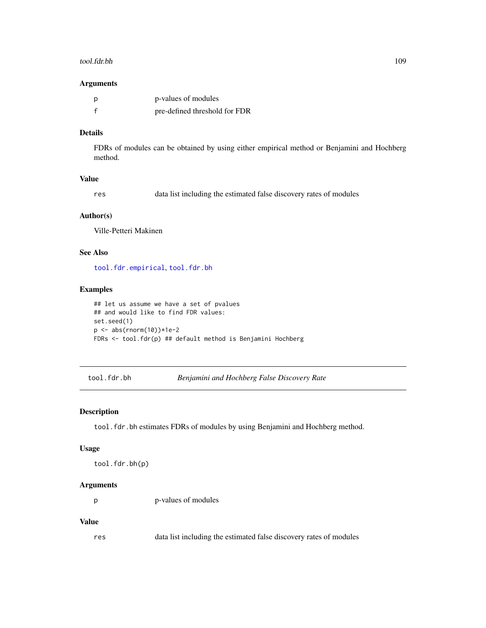#### <span id="page-108-1"></span>tool.fdr.bh 109

#### Arguments

| p            | p-values of modules           |
|--------------|-------------------------------|
| $\mathbf{f}$ | pre-defined threshold for FDR |

# Details

FDRs of modules can be obtained by using either empirical method or Benjamini and Hochberg method.

# Value

| data list including the estimated false discovery rates of modules<br>res |  |
|---------------------------------------------------------------------------|--|
|---------------------------------------------------------------------------|--|

# Author(s)

Ville-Petteri Makinen

# See Also

[tool.fdr.empirical](#page-109-0), [tool.fdr.bh](#page-108-0)

#### Examples

```
## let us assume we have a set of pvalues
## and would like to find FDR values:
set.seed(1)
p <- abs(rnorm(10))*1e-2
FDRs <- tool.fdr(p) ## default method is Benjamini Hochberg
```
<span id="page-108-0"></span>tool.fdr.bh *Benjamini and Hochberg False Discovery Rate*

#### Description

tool.fdr.bh estimates FDRs of modules by using Benjamini and Hochberg method.

#### Usage

tool.fdr.bh(p)

#### Arguments

p p-values of modules

#### Value

res data list including the estimated false discovery rates of modules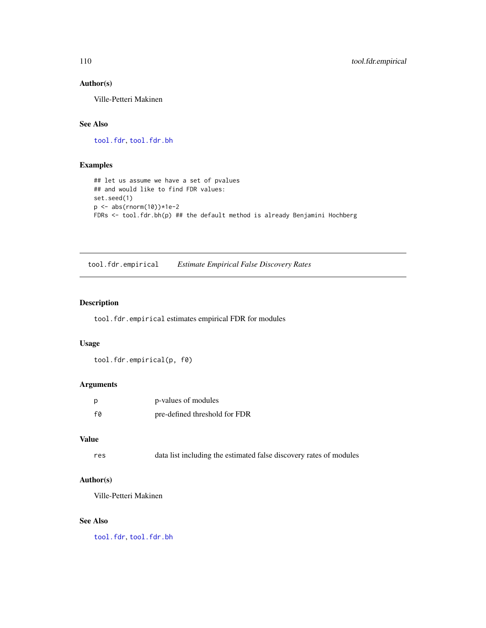# <span id="page-109-1"></span>Author(s)

Ville-Petteri Makinen

# See Also

[tool.fdr](#page-107-0), [tool.fdr.bh](#page-108-0)

# Examples

```
## let us assume we have a set of pvalues
## and would like to find FDR values:
set.seed(1)
p \le - abs(rnorm(10))*1e-2
FDRs <- tool.fdr.bh(p) ## the default method is already Benjamini Hochberg
```
<span id="page-109-0"></span>tool.fdr.empirical *Estimate Empirical False Discovery Rates*

# Description

tool.fdr.empirical estimates empirical FDR for modules

#### Usage

tool.fdr.empirical(p, f0)

# Arguments

| p  | p-values of modules           |
|----|-------------------------------|
| fa | pre-defined threshold for FDR |

#### Value

res data list including the estimated false discovery rates of modules

# Author(s)

Ville-Petteri Makinen

# See Also

[tool.fdr](#page-107-0), [tool.fdr.bh](#page-108-0)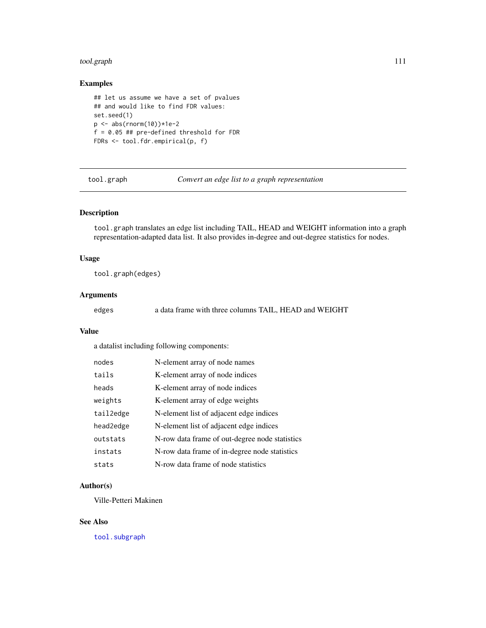# <span id="page-110-1"></span>tool.graph 111

# Examples

```
## let us assume we have a set of pvalues
## and would like to find FDR values:
set.seed(1)
p <- abs(rnorm(10))*1e-2
f = 0.05 ## pre-defined threshold for FDR
FDRs <- tool.fdr.empirical(p, f)
```
<span id="page-110-0"></span>tool.graph *Convert an edge list to a graph representation*

# Description

tool.graph translates an edge list including TAIL, HEAD and WEIGHT information into a graph representation-adapted data list. It also provides in-degree and out-degree statistics for nodes.

# Usage

tool.graph(edges)

#### Arguments

edges a data frame with three columns TAIL, HEAD and WEIGHT

# Value

a datalist including following components:

| nodes     | N-element array of node names                  |
|-----------|------------------------------------------------|
| tails     | K-element array of node indices                |
| heads     | K-element array of node indices                |
| weights   | K-element array of edge weights                |
| tail2edge | N-element list of adjacent edge indices        |
| head2edge | N-element list of adjacent edge indices        |
| outstats  | N-row data frame of out-degree node statistics |
| instats   | N-row data frame of in-degree node statistics  |
| stats     | N-row data frame of node statistics            |

# Author(s)

Ville-Petteri Makinen

# See Also

[tool.subgraph](#page-121-0)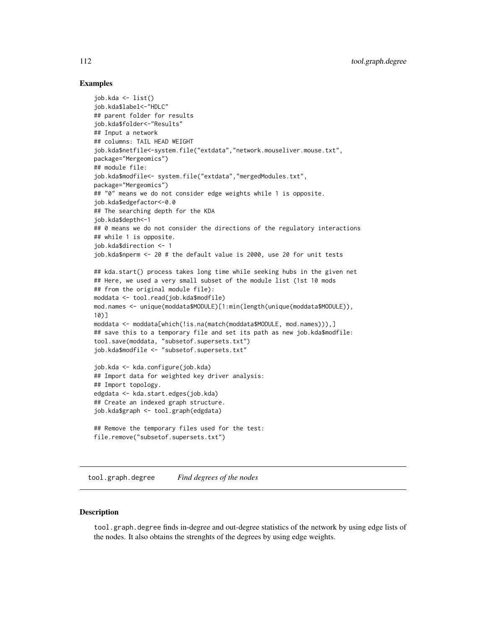## <span id="page-111-0"></span>Examples

```
job.kda <- list()
job.kda$label<-"HDLC"
## parent folder for results
job.kda$folder<-"Results"
## Input a network
## columns: TAIL HEAD WEIGHT
job.kda$netfile<-system.file("extdata","network.mouseliver.mouse.txt",
package="Mergeomics")
## module file:
job.kda$modfile<- system.file("extdata","mergedModules.txt",
package="Mergeomics")
## "0" means we do not consider edge weights while 1 is opposite.
job.kda$edgefactor<-0.0
## The searching depth for the KDA
job.kda$depth<-1
## 0 means we do not consider the directions of the regulatory interactions
## while 1 is opposite.
job.kda$direction <- 1
job.kda$nperm <- 20 # the default value is 2000, use 20 for unit tests
## kda.start() process takes long time while seeking hubs in the given net
## Here, we used a very small subset of the module list (1st 10 mods
## from the original module file):
moddata <- tool.read(job.kda$modfile)
mod.names <- unique(moddata$MODULE)[1:min(length(unique(moddata$MODULE)),
10)]
moddata <- moddata[which(!is.na(match(moddata$MODULE, mod.names))),]
## save this to a temporary file and set its path as new job.kda$modfile:
tool.save(moddata, "subsetof.supersets.txt")
job.kda$modfile <- "subsetof.supersets.txt"
job.kda <- kda.configure(job.kda)
## Import data for weighted key driver analysis:
## Import topology.
edgdata <- kda.start.edges(job.kda)
## Create an indexed graph structure.
job.kda$graph <- tool.graph(edgdata)
## Remove the temporary files used for the test:
file.remove("subsetof.supersets.txt")
```
tool.graph.degree *Find degrees of the nodes*

#### **Description**

tool.graph.degree finds in-degree and out-degree statistics of the network by using edge lists of the nodes. It also obtains the strenghts of the degrees by using edge weights.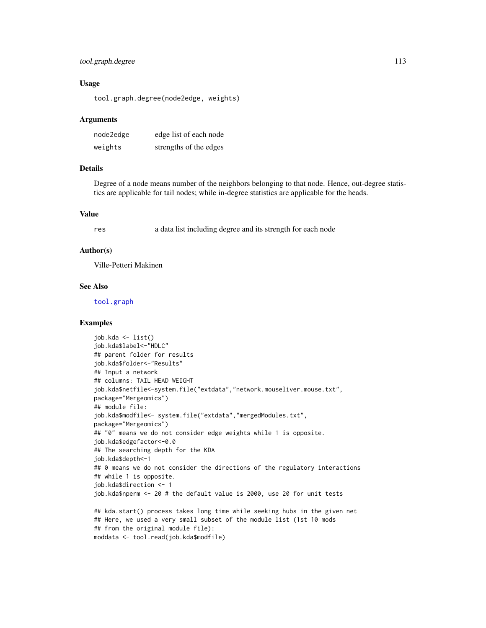# <span id="page-112-0"></span>tool.graph.degree 113

#### Usage

tool.graph.degree(node2edge, weights)

#### Arguments

| node2edge | edge list of each node |
|-----------|------------------------|
| weights   | strengths of the edges |

#### Details

Degree of a node means number of the neighbors belonging to that node. Hence, out-degree statistics are applicable for tail nodes; while in-degree statistics are applicable for the heads.

# Value

res a data list including degree and its strength for each node

#### Author(s)

Ville-Petteri Makinen

#### See Also

[tool.graph](#page-110-0)

```
job.kda <- list()
job.kda$label<-"HDLC"
## parent folder for results
job.kda$folder<-"Results"
## Input a network
## columns: TAIL HEAD WEIGHT
job.kda$netfile<-system.file("extdata","network.mouseliver.mouse.txt",
package="Mergeomics")
## module file:
job.kda$modfile<- system.file("extdata","mergedModules.txt",
package="Mergeomics")
## "0" means we do not consider edge weights while 1 is opposite.
job.kda$edgefactor<-0.0
## The searching depth for the KDA
job.kda$depth<-1
## 0 means we do not consider the directions of the regulatory interactions
## while 1 is opposite.
job.kda$direction <- 1
job.kda$nperm <- 20 # the default value is 2000, use 20 for unit tests
## kda.start() process takes long time while seeking hubs in the given net
## Here, we used a very small subset of the module list (1st 10 mods
## from the original module file):
moddata <- tool.read(job.kda$modfile)
```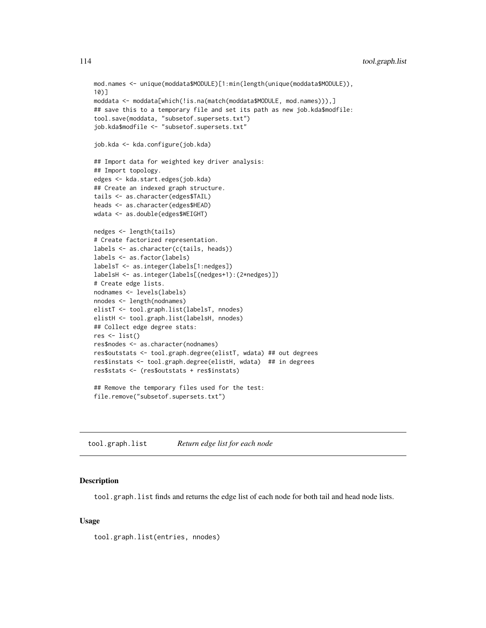```
mod.names <- unique(moddata$MODULE)[1:min(length(unique(moddata$MODULE)),
10)]
moddata <- moddata[which(!is.na(match(moddata$MODULE, mod.names))),]
## save this to a temporary file and set its path as new job.kda$modfile:
tool.save(moddata, "subsetof.supersets.txt")
job.kda$modfile <- "subsetof.supersets.txt"
job.kda <- kda.configure(job.kda)
## Import data for weighted key driver analysis:
## Import topology.
edges <- kda.start.edges(job.kda)
## Create an indexed graph structure.
tails <- as.character(edges$TAIL)
heads <- as.character(edges$HEAD)
wdata <- as.double(edges$WEIGHT)
nedges <- length(tails)
# Create factorized representation.
labels <- as.character(c(tails, heads))
labels <- as.factor(labels)
labelsT <- as.integer(labels[1:nedges])
labelsH <- as.integer(labels[(nedges+1):(2*nedges)])
# Create edge lists.
nodnames <- levels(labels)
nnodes <- length(nodnames)
elistT <- tool.graph.list(labelsT, nnodes)
elistH <- tool.graph.list(labelsH, nnodes)
## Collect edge degree stats:
res \leftarrow list()
res$nodes <- as.character(nodnames)
res$outstats <- tool.graph.degree(elistT, wdata) ## out degrees
res$instats <- tool.graph.degree(elistH, wdata) ## in degrees
res$stats <- (res$outstats + res$instats)
## Remove the temporary files used for the test:
file.remove("subsetof.supersets.txt")
```
tool.graph.list *Return edge list for each node*

#### **Description**

tool.graph.list finds and returns the edge list of each node for both tail and head node lists.

#### Usage

tool.graph.list(entries, nnodes)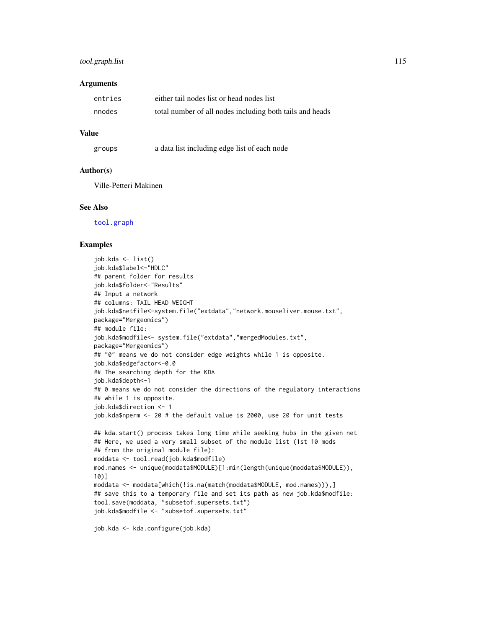# <span id="page-114-0"></span>tool.graph.list 115

#### **Arguments**

| entries | either tail nodes list or head nodes list                |
|---------|----------------------------------------------------------|
| nnodes  | total number of all nodes including both tails and heads |

#### Value

| groups | a data list including edge list of each node |  |  |  |  |  |  |
|--------|----------------------------------------------|--|--|--|--|--|--|
|--------|----------------------------------------------|--|--|--|--|--|--|

#### Author(s)

Ville-Petteri Makinen

#### See Also

[tool.graph](#page-110-0)

#### Examples

```
job.kda <- list()
job.kda$label<-"HDLC"
## parent folder for results
job.kda$folder<-"Results"
## Input a network
## columns: TAIL HEAD WEIGHT
job.kda$netfile<-system.file("extdata","network.mouseliver.mouse.txt",
package="Mergeomics")
## module file:
job.kda$modfile<- system.file("extdata","mergedModules.txt",
package="Mergeomics")
## "0" means we do not consider edge weights while 1 is opposite.
job.kda$edgefactor<-0.0
## The searching depth for the KDA
job.kda$depth<-1
## 0 means we do not consider the directions of the regulatory interactions
## while 1 is opposite.
job.kda$direction <- 1
job.kda$nperm <- 20 # the default value is 2000, use 20 for unit tests
## kda.start() process takes long time while seeking hubs in the given net
## Here, we used a very small subset of the module list (1st 10 mods
## from the original module file):
moddata <- tool.read(job.kda$modfile)
mod.names <- unique(moddata$MODULE)[1:min(length(unique(moddata$MODULE)),
10)]
moddata <- moddata[which(!is.na(match(moddata$MODULE, mod.names))),]
## save this to a temporary file and set its path as new job.kda$modfile:
tool.save(moddata, "subsetof.supersets.txt")
job.kda$modfile <- "subsetof.supersets.txt"
```
job.kda <- kda.configure(job.kda)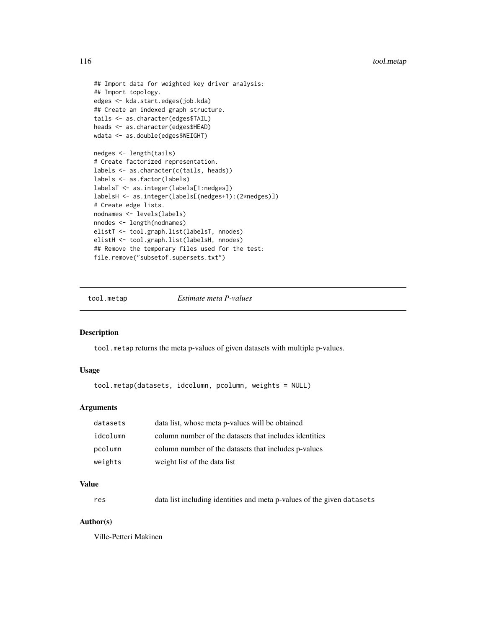```
## Import data for weighted key driver analysis:
## Import topology.
edges <- kda.start.edges(job.kda)
## Create an indexed graph structure.
tails <- as.character(edges$TAIL)
heads <- as.character(edges$HEAD)
wdata <- as.double(edges$WEIGHT)
nedges <- length(tails)
# Create factorized representation.
labels <- as.character(c(tails, heads))
labels <- as.factor(labels)
labelsT <- as.integer(labels[1:nedges])
labelsH <- as.integer(labels[(nedges+1):(2*nedges)])
# Create edge lists.
nodnames <- levels(labels)
nnodes <- length(nodnames)
elistT <- tool.graph.list(labelsT, nnodes)
elistH <- tool.graph.list(labelsH, nnodes)
## Remove the temporary files used for the test:
file.remove("subsetof.supersets.txt")
```
tool.metap *Estimate meta P-values*

#### Description

tool.metap returns the meta p-values of given datasets with multiple p-values.

#### Usage

tool.metap(datasets, idcolumn, pcolumn, weights = NULL)

#### Arguments

| datasets | data list, whose meta p-values will be obtained        |
|----------|--------------------------------------------------------|
| idcolumn | column number of the datasets that includes identities |
| pcolumn  | column number of the datasets that includes p-values   |
| weights  | weight list of the data list                           |

# Value

res data list including identities and meta p-values of the given datasets

# Author(s)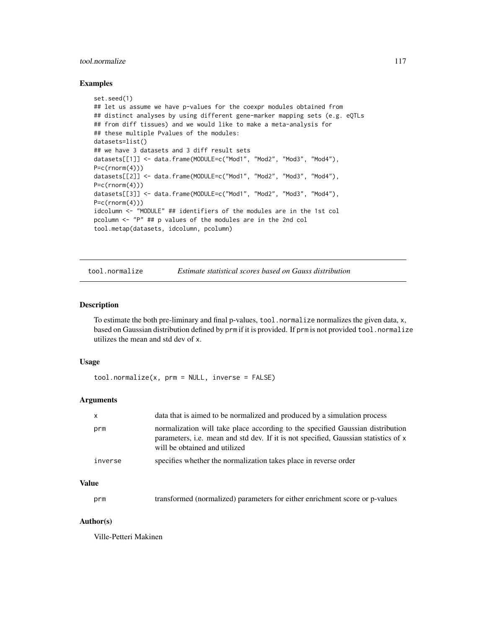# <span id="page-116-1"></span>tool.normalize 117

# Examples

```
set.seed(1)
## let us assume we have p-values for the coexpr modules obtained from
## distinct analyses by using different gene-marker mapping sets (e.g. eQTLs
## from diff tissues) and we would like to make a meta-analysis for
## these multiple Pvalues of the modules:
datasets=list()
## we have 3 datasets and 3 diff result sets
datasets[[1]] <- data.frame(MODULE=c("Mod1", "Mod2", "Mod3", "Mod4"),
P=c(rnorm(4)))datasets[[2]] <- data.frame(MODULE=c("Mod1", "Mod2", "Mod3", "Mod4"),
P=c(rnorm(4)))
datasets[[3]] <- data.frame(MODULE=c("Mod1", "Mod2", "Mod3", "Mod4"),
P=c(rnorm(4)))idcolumn <- "MODULE" ## identifiers of the modules are in the 1st col
pcolumn <- "P" ## p values of the modules are in the 2nd col
tool.metap(datasets, idcolumn, pcolumn)
```
<span id="page-116-0"></span>tool.normalize *Estimate statistical scores based on Gauss distribution*

# **Description**

To estimate the both pre-liminary and final p-values, tool.normalize normalizes the given data, x, based on Gaussian distribution defined by prm if it is provided. If prm is not provided tool.normalize utilizes the mean and std dev of x.

#### Usage

```
tool.normalize(x, prm = NULL, inverse = FALSE)
```
#### Arguments

| x       | data that is aimed to be normalized and produced by a simulation process                                                                                                                               |
|---------|--------------------------------------------------------------------------------------------------------------------------------------------------------------------------------------------------------|
| prm     | normalization will take place according to the specified Gaussian distribution<br>parameters, i.e. mean and std dev. If it is not specified, Gaussian statistics of x<br>will be obtained and utilized |
| inverse | specifies whether the normalization takes place in reverse order                                                                                                                                       |

# Value

| prm |  | transformed (normalized) parameters for either enrichment score or p-values |  |
|-----|--|-----------------------------------------------------------------------------|--|
|-----|--|-----------------------------------------------------------------------------|--|

# Author(s)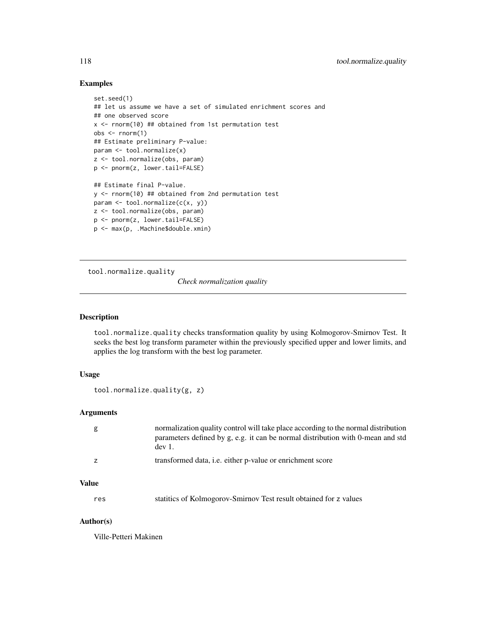## <span id="page-117-0"></span>Examples

```
set.seed(1)
## let us assume we have a set of simulated enrichment scores and
## one observed score
x <- rnorm(10) ## obtained from 1st permutation test
obs <- rnorm(1)
## Estimate preliminary P-value:
param <- tool.normalize(x)
z <- tool.normalize(obs, param)
p <- pnorm(z, lower.tail=FALSE)
## Estimate final P-value.
y <- rnorm(10) ## obtained from 2nd permutation test
param <- tool.normalize(c(x, y))
z <- tool.normalize(obs, param)
p <- pnorm(z, lower.tail=FALSE)
p <- max(p, .Machine$double.xmin)
```
tool.normalize.quality

*Check normalization quality*

# Description

tool.normalize.quality checks transformation quality by using Kolmogorov-Smirnov Test. It seeks the best log transform parameter within the previously specified upper and lower limits, and applies the log transform with the best log parameter.

# Usage

```
tool.normalize.quality(g, z)
```
# Arguments

| normalization quality control will take place according to the normal distribution<br>parameters defined by g, e.g. it can be normal distribution with 0-mean and std<br>$dev1$ . |
|-----------------------------------------------------------------------------------------------------------------------------------------------------------------------------------|
| transformed data, <i>i.e.</i> either p-value or enrichment score                                                                                                                  |

# Value

res statitics of Kolmogorov-Smirnov Test result obtained for z values

#### Author(s)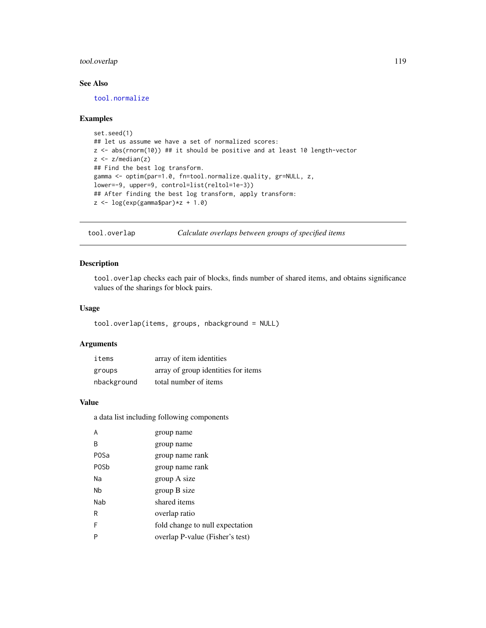# <span id="page-118-0"></span>tool.overlap 119

# See Also

[tool.normalize](#page-116-0)

#### Examples

```
set.seed(1)
## let us assume we have a set of normalized scores:
z <- abs(rnorm(10)) ## it should be positive and at least 10 length-vector
z \leq z/median(z)
## Find the best log transform.
gamma <- optim(par=1.0, fn=tool.normalize.quality, gr=NULL, z,
lower=-9, upper=9, control=list(reltol=1e-3))
## After finding the best log transform, apply transform:
z \leftarrow \log(exp(gamma\
```
tool.overlap *Calculate overlaps between groups of specified items*

#### Description

tool.overlap checks each pair of blocks, finds number of shared items, and obtains significance values of the sharings for block pairs.

# Usage

```
tool.overlap(items, groups, nbackground = NULL)
```
#### Arguments

| items       | array of item identities            |
|-------------|-------------------------------------|
| groups      | array of group identities for items |
| nbackground | total number of items               |

## Value

a data list including following components

| A           | group name                      |
|-------------|---------------------------------|
| B           | group name                      |
| P0Sa        | group name rank                 |
| <b>POSb</b> | group name rank                 |
| Na          | group A size                    |
| Nb          | group B size                    |
| Nab         | shared items                    |
| R           | overlap ratio                   |
| F           | fold change to null expectation |
| P           | overlap P-value (Fisher's test) |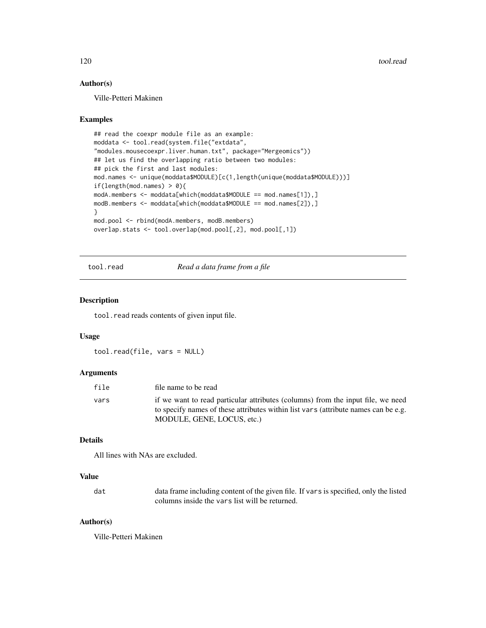# <span id="page-119-0"></span>Author(s)

Ville-Petteri Makinen

#### Examples

```
## read the coexpr module file as an example:
moddata <- tool.read(system.file("extdata",
"modules.mousecoexpr.liver.human.txt", package="Mergeomics"))
## let us find the overlapping ratio between two modules:
## pick the first and last modules:
mod.names <- unique(moddata$MODULE)[c(1,length(unique(moddata$MODULE)))]
if(length(mod.names) > 0){
modA.members <- moddata[which(moddata$MODULE == mod.names[1]),]
modB.members <- moddata[which(moddata$MODULE == mod.names[2]),]
}
mod.pool <- rbind(modA.members, modB.members)
overlap.stats <- tool.overlap(mod.pool[,2], mod.pool[,1])
```
tool.read *Read a data frame from a file*

# Description

tool.read reads contents of given input file.

#### Usage

tool.read(file, vars = NULL)

#### Arguments

| file | file name to be read                                                                                                                                                  |
|------|-----------------------------------------------------------------------------------------------------------------------------------------------------------------------|
| vars | if we want to read particular attributes (columns) from the input file, we need<br>to specify names of these attributes within list vars (attribute names can be e.g. |
|      | MODULE, GENE, LOCUS, etc.)                                                                                                                                            |

# Details

All lines with NAs are excluded.

# Value

| dat | data frame including content of the given file. If vars is specified, only the listed |
|-----|---------------------------------------------------------------------------------------|
|     | columns inside the vars list will be returned.                                        |

# Author(s)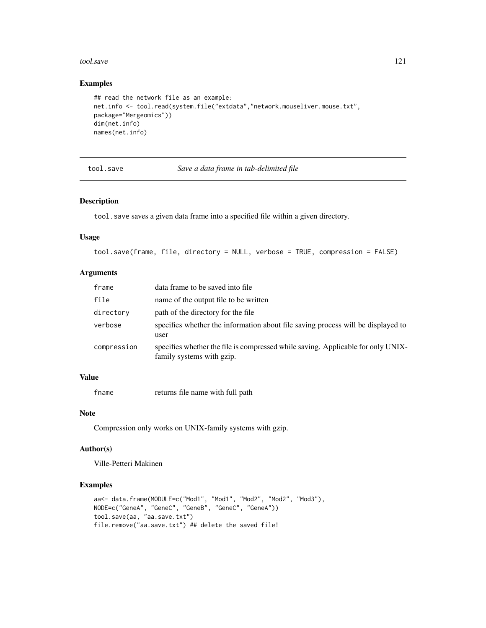#### <span id="page-120-0"></span>tool.save 121

# Examples

```
## read the network file as an example:
net.info <- tool.read(system.file("extdata","network.mouseliver.mouse.txt",
package="Mergeomics"))
dim(net.info)
names(net.info)
```
tool.save *Save a data frame in tab-delimited file*

# Description

tool.save saves a given data frame into a specified file within a given directory.

#### Usage

```
tool.save(frame, file, directory = NULL, verbose = TRUE, compression = FALSE)
```
# Arguments

| frame       | data frame to be saved into file                                                                              |
|-------------|---------------------------------------------------------------------------------------------------------------|
| file        | name of the output file to be written                                                                         |
| directory   | path of the directory for the file                                                                            |
| verbose     | specifies whether the information about file saving process will be displayed to<br>user                      |
| compression | specifies whether the file is compressed while saving. Applicable for only UNIX-<br>family systems with gzip. |

# Value

fname returns file name with full path

#### Note

Compression only works on UNIX-family systems with gzip.

# Author(s)

Ville-Petteri Makinen

```
aa<- data.frame(MODULE=c("Mod1", "Mod1", "Mod2", "Mod2", "Mod3"),
NODE=c("GeneA", "GeneC", "GeneB", "GeneC", "GeneA"))
tool.save(aa, "aa.save.txt")
file.remove("aa.save.txt") ## delete the saved file!
```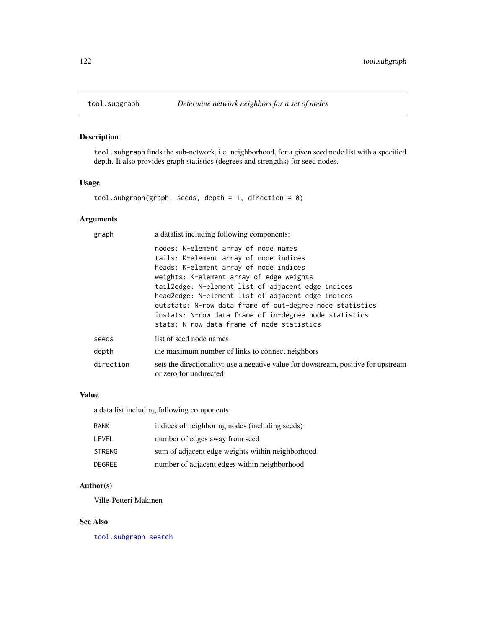<span id="page-121-1"></span><span id="page-121-0"></span>

# Description

tool.subgraph finds the sub-network, i.e. neighborhood, for a given seed node list with a specified depth. It also provides graph statistics (degrees and strengths) for seed nodes.

# Usage

tool.subgraph(graph, seeds, depth = 1, direction = 0)

# Arguments

| graph     | a datalist including following components:                                                                                                                                                                                                                                                                                                                                                                                                           |
|-----------|------------------------------------------------------------------------------------------------------------------------------------------------------------------------------------------------------------------------------------------------------------------------------------------------------------------------------------------------------------------------------------------------------------------------------------------------------|
|           | nodes: N-element array of node names<br>tails: K-element array of node indices<br>heads: K-element array of node indices<br>weights: K-element array of edge weights<br>tail2edge: N-element list of adjacent edge indices<br>head2edge: N-element list of adjacent edge indices<br>outstats: N-row data frame of out-degree node statistics<br>instats: N-row data frame of in-degree node statistics<br>stats: N-row data frame of node statistics |
| seeds     | list of seed node names                                                                                                                                                                                                                                                                                                                                                                                                                              |
| depth     | the maximum number of links to connect neighbors                                                                                                                                                                                                                                                                                                                                                                                                     |
| direction | sets the directionality: use a negative value for dowstream, positive for upstream<br>or zero for undirected                                                                                                                                                                                                                                                                                                                                         |
|           |                                                                                                                                                                                                                                                                                                                                                                                                                                                      |

#### Value

a data list including following components:

| <b>RANK</b>   | indices of neighboring nodes (including seeds)   |
|---------------|--------------------------------------------------|
| LEVEL         | number of edges away from seed                   |
| <b>STRENG</b> | sum of adjacent edge weights within neighborhood |
| <b>DEGREE</b> | number of adjacent edges within neighborhood     |

# Author(s)

Ville-Petteri Makinen

# See Also

[tool.subgraph.search](#page-123-0)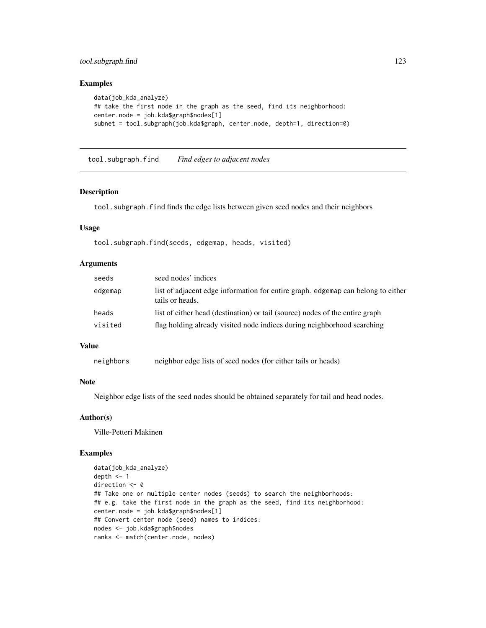# <span id="page-122-0"></span>tool.subgraph.find 123

#### Examples

```
data(job_kda_analyze)
## take the first node in the graph as the seed, find its neighborhood:
center.node = job.kda$graph$nodes[1]
subnet = tool.subgraph(job.kda$graph, center.node, depth=1, direction=0)
```
tool.subgraph.find *Find edges to adjacent nodes*

# Description

tool.subgraph.find finds the edge lists between given seed nodes and their neighbors

#### Usage

tool.subgraph.find(seeds, edgemap, heads, visited)

#### **Arguments**

| seeds   | seed nodes' indices                                                                                 |
|---------|-----------------------------------------------------------------------------------------------------|
| edgemap | list of adjacent edge information for entire graph. edgemap can belong to either<br>tails or heads. |
| heads   | list of either head (destination) or tail (source) nodes of the entire graph                        |
| visited | flag holding already visited node indices during neighborhood searching                             |
|         |                                                                                                     |

# Value

```
neighbors neighbor edge lists of seed nodes (for either tails or heads)
```
### **Note**

Neighbor edge lists of the seed nodes should be obtained separately for tail and head nodes.

#### Author(s)

Ville-Petteri Makinen

```
data(job_kda_analyze)
depth <-1direction <- 0
## Take one or multiple center nodes (seeds) to search the neighborhoods:
## e.g. take the first node in the graph as the seed, find its neighborhood:
center.node = job.kda$graph$nodes[1]
## Convert center node (seed) names to indices:
nodes <- job.kda$graph$nodes
ranks <- match(center.node, nodes)
```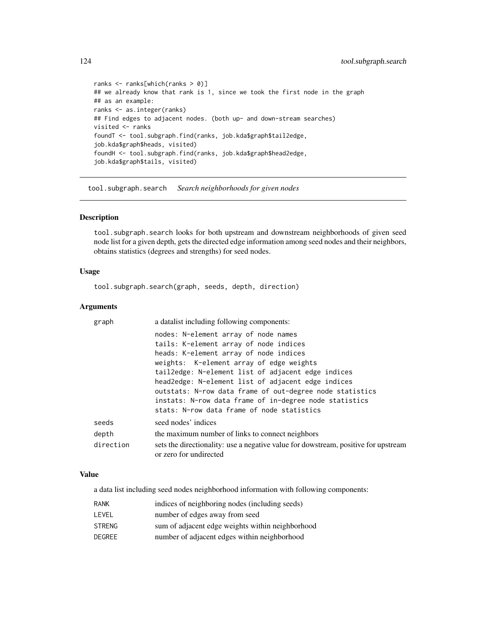```
ranks <- ranks[which(ranks > 0)]
## we already know that rank is 1, since we took the first node in the graph
## as an example:
ranks <- as.integer(ranks)
## Find edges to adjacent nodes. (both up- and down-stream searches)
visited <- ranks
foundT <- tool.subgraph.find(ranks, job.kda$graph$tail2edge,
job.kda$graph$heads, visited)
foundH <- tool.subgraph.find(ranks, job.kda$graph$head2edge,
job.kda$graph$tails, visited)
```
<span id="page-123-0"></span>tool.subgraph.search *Search neighborhoods for given nodes*

# Description

tool.subgraph.search looks for both upstream and downstream neighborhoods of given seed node list for a given depth, gets the directed edge information among seed nodes and their neighbors, obtains statistics (degrees and strengths) for seed nodes.

#### Usage

tool.subgraph.search(graph, seeds, depth, direction)

#### Arguments

| graph     | a datalist including following components:                                                                   |
|-----------|--------------------------------------------------------------------------------------------------------------|
|           | nodes: N-element array of node names<br>tails: K-element array of node indices                               |
|           | heads: K-element array of node indices                                                                       |
|           | weights: K-element array of edge weights                                                                     |
|           | tail2edge: N-element list of adjacent edge indices                                                           |
|           | head2edge: N-element list of adjacent edge indices                                                           |
|           | outstats: N-row data frame of out-degree node statistics                                                     |
|           | instats: N-row data frame of in-degree node statistics                                                       |
|           | stats: N-row data frame of node statistics                                                                   |
| seeds     | seed nodes' indices                                                                                          |
| depth     | the maximum number of links to connect neighbors                                                             |
| direction | sets the directionality: use a negative value for dowstream, positive for upstream<br>or zero for undirected |

# Value

a data list including seed nodes neighborhood information with following components:

| <b>RANK</b>   | indices of neighboring nodes (including seeds)   |
|---------------|--------------------------------------------------|
| LEVEL         | number of edges away from seed                   |
| <b>STRENG</b> | sum of adjacent edge weights within neighborhood |
| DEGREE        | number of adjacent edges within neighborhood     |

<span id="page-123-1"></span>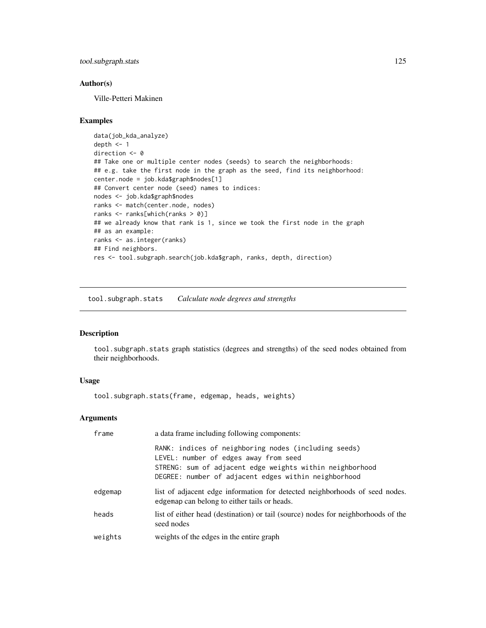<span id="page-124-0"></span>tool.subgraph.stats 125

#### Author(s)

Ville-Petteri Makinen

#### Examples

```
data(job_kda_analyze)
depth <- 1
direction <- 0
## Take one or multiple center nodes (seeds) to search the neighborhoods:
## e.g. take the first node in the graph as the seed, find its neighborhood:
center.node = job.kda$graph$nodes[1]
## Convert center node (seed) names to indices:
nodes <- job.kda$graph$nodes
ranks <- match(center.node, nodes)
ranks <- ranks[which(ranks > 0)]
## we already know that rank is 1, since we took the first node in the graph
## as an example:
ranks <- as.integer(ranks)
## Find neighbors.
res <- tool.subgraph.search(job.kda$graph, ranks, depth, direction)
```
tool.subgraph.stats *Calculate node degrees and strengths*

#### Description

tool.subgraph.stats graph statistics (degrees and strengths) of the seed nodes obtained from their neighborhoods.

#### Usage

tool.subgraph.stats(frame, edgemap, heads, weights)

# Arguments

| frame   | a data frame including following components:                                                                                                                                                                      |
|---------|-------------------------------------------------------------------------------------------------------------------------------------------------------------------------------------------------------------------|
|         | RANK: indices of neighboring nodes (including seeds)<br>LEVEL: number of edges away from seed<br>STRENG: sum of adjacent edge weights within neighborhood<br>DEGREE: number of adjacent edges within neighborhood |
| edgemap | list of adjacent edge information for detected neighborhoods of seed nodes.<br>edgemap can belong to either tails or heads.                                                                                       |
| heads   | list of either head (destination) or tail (source) nodes for neighborhoods of the<br>seed nodes                                                                                                                   |
| weights | weights of the edges in the entire graph                                                                                                                                                                          |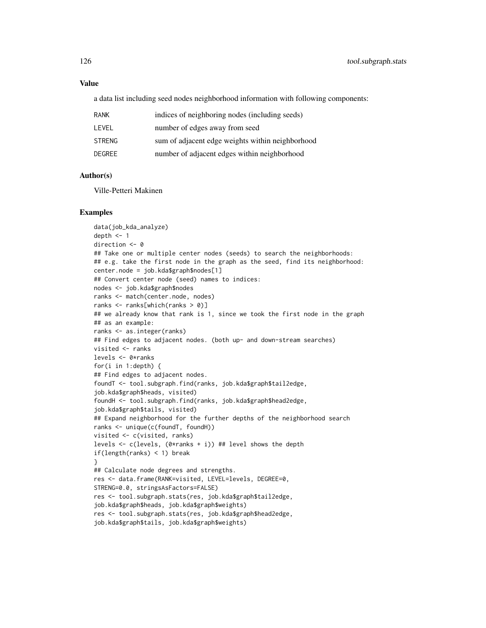#### Value

a data list including seed nodes neighborhood information with following components:

| RANK   | indices of neighboring nodes (including seeds)   |
|--------|--------------------------------------------------|
| LEVEL  | number of edges away from seed                   |
| STRENG | sum of adjacent edge weights within neighborhood |
| DEGREE | number of adjacent edges within neighborhood     |
|        |                                                  |

### Author(s)

Ville-Petteri Makinen

#### Examples

data(job\_kda\_analyze) depth  $<-1$ direction <- 0 ## Take one or multiple center nodes (seeds) to search the neighborhoods: ## e.g. take the first node in the graph as the seed, find its neighborhood: center.node = job.kda\$graph\$nodes[1] ## Convert center node (seed) names to indices: nodes <- job.kda\$graph\$nodes ranks <- match(center.node, nodes) ranks <- ranks[which(ranks > 0)] ## we already know that rank is 1, since we took the first node in the graph ## as an example: ranks <- as.integer(ranks) ## Find edges to adjacent nodes. (both up- and down-stream searches) visited <- ranks levels <- 0\*ranks for(i in 1:depth) { ## Find edges to adjacent nodes. foundT <- tool.subgraph.find(ranks, job.kda\$graph\$tail2edge, job.kda\$graph\$heads, visited) foundH <- tool.subgraph.find(ranks, job.kda\$graph\$head2edge, job.kda\$graph\$tails, visited) ## Expand neighborhood for the further depths of the neighborhood search ranks <- unique(c(foundT, foundH)) visited <- c(visited, ranks) levels <- c(levels, (0\*ranks + i)) ## level shows the depth if(length(ranks) < 1) break } ## Calculate node degrees and strengths. res <- data.frame(RANK=visited, LEVEL=levels, DEGREE=0, STRENG=0.0, stringsAsFactors=FALSE) res <- tool.subgraph.stats(res, job.kda\$graph\$tail2edge, job.kda\$graph\$heads, job.kda\$graph\$weights) res <- tool.subgraph.stats(res, job.kda\$graph\$head2edge, job.kda\$graph\$tails, job.kda\$graph\$weights)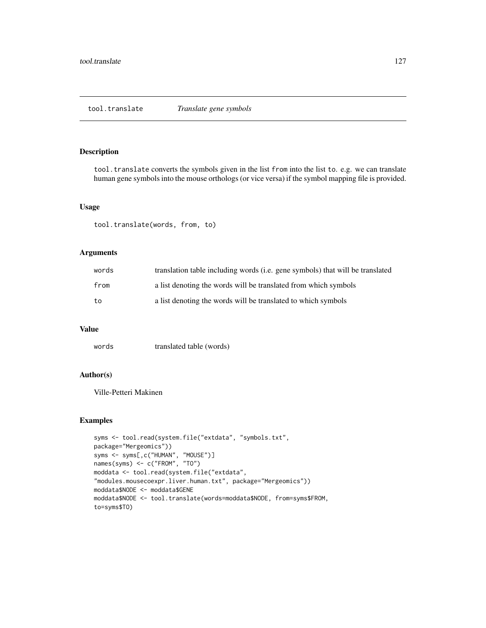# <span id="page-126-0"></span>Description

tool.translate converts the symbols given in the list from into the list to. e.g. we can translate human gene symbols into the mouse orthologs (or vice versa) if the symbol mapping file is provided.

# Usage

tool.translate(words, from, to)

# Arguments

| words | translation table including words (i.e. gene symbols) that will be translated |
|-------|-------------------------------------------------------------------------------|
| from  | a list denoting the words will be translated from which symbols               |
| to    | a list denoting the words will be translated to which symbols                 |

# Value

words translated table (words)

# Author(s)

Ville-Petteri Makinen

```
syms <- tool.read(system.file("extdata", "symbols.txt",
package="Mergeomics"))
syms <- syms[,c("HUMAN", "MOUSE")]
names(syms) <- c("FROM", "TO")
moddata <- tool.read(system.file("extdata",
"modules.mousecoexpr.liver.human.txt", package="Mergeomics"))
moddata$NODE <- moddata$GENE
moddata$NODE <- tool.translate(words=moddata$NODE, from=syms$FROM,
to=syms$TO)
```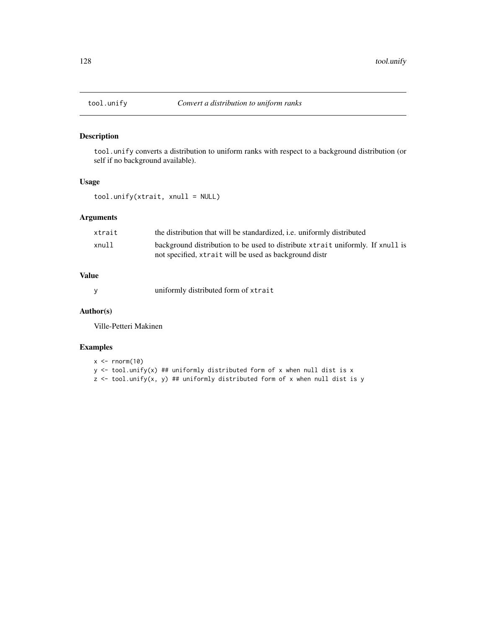# Description

tool.unify converts a distribution to uniform ranks with respect to a background distribution (or self if no background available).

#### Usage

tool.unify(xtrait, xnull = NULL)

# Arguments

| xtrait | the distribution that will be standardized, <i>i.e.</i> uniformly distributed  |
|--------|--------------------------------------------------------------------------------|
| xnull  | background distribution to be used to distribute xtrait uniformly. If xnull is |
|        | not specified, xtrait will be used as background distr                         |

# Value

y uniformly distributed form of xtrait

#### Author(s)

Ville-Petteri Makinen

```
x \leq -rnorm(10)y <- tool.unify(x) ## uniformly distributed form of x when null dist is x
z <- tool.unify(x, y) ## uniformly distributed form of x when null dist is y
```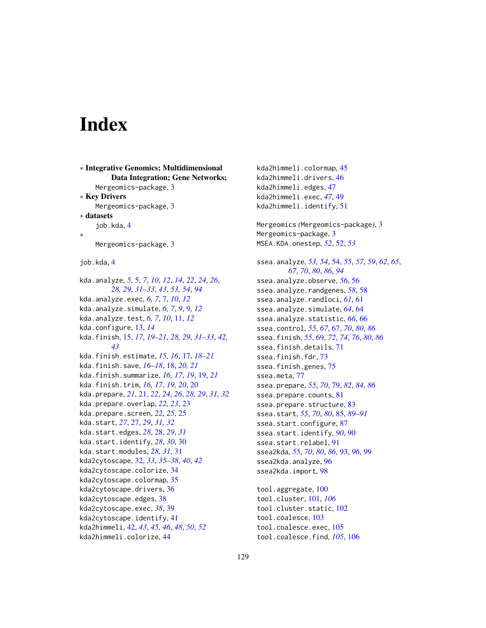# Index

∗ Integrative Genomics; Multidimensional Data Integration; Gene Networks; Mergeomics-package, [3](#page-2-0) ∗ Key Drivers Mergeomics-package, [3](#page-2-0) ∗ datasets job.kda, [4](#page-3-0) ∗ Mergeomics-package, [3](#page-2-0) job.kda, [4](#page-3-0) kda.analyze, *[5](#page-4-0)*, [5,](#page-4-0) *[7](#page-6-0)*, *[10](#page-9-0)*, *[12](#page-11-0)*, *[14](#page-13-0)*, *[22](#page-21-0)*, *[24](#page-23-0)*, *[26](#page-25-0)*, *[28,](#page-27-0) [29](#page-28-0)*, *[31](#page-30-0)[–33](#page-32-0)*, *[43](#page-42-0)*, *[53,](#page-52-0) [54](#page-53-0)*, *[94](#page-93-0)* kda.analyze.exec, *[6,](#page-5-0) [7](#page-6-0)*, [7,](#page-6-0) *[10](#page-9-0)*, *[12](#page-11-0)* kda.analyze.simulate, *[6,](#page-5-0) [7](#page-6-0)*, *[9](#page-8-0)*, [9,](#page-8-0) *[12](#page-11-0)* kda.analyze.test, *[6,](#page-5-0) [7](#page-6-0)*, *[10](#page-9-0)*, [11,](#page-10-0) *[12](#page-11-0)* kda.configure, [13,](#page-12-0) *[14](#page-13-0)* kda.finish, [15,](#page-14-0) *[17](#page-16-0)*, *[19–](#page-18-0)[21](#page-20-0)*, *[28,](#page-27-0) [29](#page-28-0)*, *[31–](#page-30-0)[33](#page-32-0)*, *[42,](#page-41-0) [43](#page-42-0)* kda.finish.estimate, *[15,](#page-14-0) [16](#page-15-0)*, [17,](#page-16-0) *[18–](#page-17-0)[21](#page-20-0)* kda.finish.save, *[16](#page-15-0)[–18](#page-17-0)*, [18,](#page-17-0) *[20,](#page-19-0) [21](#page-20-0)* kda.finish.summarize, *[16,](#page-15-0) [17](#page-16-0)*, *[19](#page-18-0)*, [19,](#page-18-0) *[21](#page-20-0)* kda.finish.trim, *[16,](#page-15-0) [17](#page-16-0)*, *[19,](#page-18-0) [20](#page-19-0)*, [20](#page-19-0) kda.prepare, *[21](#page-20-0)*, [21,](#page-20-0) *[22](#page-21-0)*, *[24](#page-23-0)*, *[26](#page-25-0)*, *[28,](#page-27-0) [29](#page-28-0)*, *[31,](#page-30-0) [32](#page-31-0)* kda.prepare.overlap, *[22,](#page-21-0) [23](#page-22-0)*, [23](#page-22-0) kda.prepare.screen, *[22](#page-21-0)*, *[25](#page-24-0)*, [25](#page-24-0) kda.start, *[27](#page-26-0)*, [27,](#page-26-0) *[29](#page-28-0)*, *[31,](#page-30-0) [32](#page-31-0)* kda.start.edges, *[28](#page-27-0)*, [28,](#page-27-0) *[29](#page-28-0)*, *[31](#page-30-0)* kda.start.identify, *[28](#page-27-0)*, *[30](#page-29-0)*, [30](#page-29-0) kda.start.modules, *[28](#page-27-0)*, *[31](#page-30-0)*, [31](#page-30-0) kda2cytoscape, [32,](#page-31-0) *[33](#page-32-0)*, *[35–](#page-34-0)[38](#page-37-0)*, *[40](#page-39-0)*, *[42](#page-41-0)* kda2cytoscape.colorize, [34](#page-33-0) kda2cytoscape.colormap, [35](#page-34-0) kda2cytoscape.drivers, [36](#page-35-0) kda2cytoscape.edges, [38](#page-37-0) kda2cytoscape.exec, *[38](#page-37-0)*, [39](#page-38-0) kda2cytoscape.identify, [41](#page-40-0) kda2himmeli, [42,](#page-41-0) *[43](#page-42-0)*, *[45,](#page-44-0) [46](#page-45-0)*, *[48](#page-47-0)*, *[50](#page-49-0)*, *[52](#page-51-0)* kda2himmeli.colorize, [44](#page-43-0)

kda2himmeli.colormap, [45](#page-44-0) kda2himmeli.drivers, [46](#page-45-0) kda2himmeli.edges, [47](#page-46-0) kda2himmeli.exec, *[47](#page-46-0)*, [49](#page-48-0) kda2himmeli.identify, [51](#page-50-0) Mergeomics *(*Mergeomics-package*)*, [3](#page-2-0) Mergeomics-package, [3](#page-2-0) MSEA.KDA.onestep, *[52](#page-51-0)*, [52,](#page-51-0) *[53](#page-52-0)* ssea.analyze, *[53,](#page-52-0) [54](#page-53-0)*, [54,](#page-53-0) *[55](#page-54-0)*, *[57](#page-56-0)*, *[59](#page-58-0)*, *[62](#page-61-0)*, *[65](#page-64-0)*, *[67](#page-66-0)*, *[70](#page-69-0)*, *[80](#page-79-0)*, *[86](#page-85-0)*, *[94](#page-93-0)* ssea.analyze.observe, *[56](#page-55-0)*, [56](#page-55-0) ssea.analyze.randgenes, *[58](#page-57-0)*, [58](#page-57-0) ssea.analyze.randloci, *[61](#page-60-0)*, [61](#page-60-0) ssea.analyze.simulate, *[64](#page-63-0)*, [64](#page-63-0) ssea.analyze.statistic, *[66](#page-65-0)*, [66](#page-65-0) ssea.control, *[55](#page-54-0)*, *[67](#page-66-0)*, [67,](#page-66-0) *[70](#page-69-0)*, *[80](#page-79-0)*, *[86](#page-85-0)* ssea.finish, *[55](#page-54-0)*, [69,](#page-68-0) *[72](#page-71-0)*, *[74](#page-73-0)*, *[76](#page-75-0)*, *[80](#page-79-0)*, *[86](#page-85-0)* ssea.finish.details, [71](#page-70-0) ssea.finish.fdr, [73](#page-72-0) ssea.finish.genes, [75](#page-74-0) ssea.meta, [77](#page-76-0) ssea.prepare, *[55](#page-54-0)*, *[70](#page-69-0)*, [79,](#page-78-0) *[82](#page-81-0)*, *[84](#page-83-0)*, *[86](#page-85-0)* ssea.prepare.counts, [81](#page-80-0) ssea.prepare.structure, [83](#page-82-0) ssea.start, *[55](#page-54-0)*, *[70](#page-69-0)*, *[80](#page-79-0)*, [85,](#page-84-0) *[89](#page-88-0)[–91](#page-90-0)* ssea.start.configure, [87](#page-86-0) ssea.start.identify, *[90](#page-89-0)*, [90](#page-89-0) ssea.start.relabel, [91](#page-90-0) ssea2kda, *[55](#page-54-0)*, *[70](#page-69-0)*, *[80](#page-79-0)*, *[86](#page-85-0)*, [93,](#page-92-0) *[96](#page-95-0)*, *[99](#page-98-0)* ssea2kda.analyze, [96](#page-95-0) ssea2kda.import, [98](#page-97-0) tool.aggregate, [100](#page-99-0) tool.cluster, [101,](#page-100-0) *[106](#page-105-0)* tool.cluster.static, [102](#page-101-0) tool.coalesce, [103](#page-102-0)

tool.coalesce.exec, [105](#page-104-0) tool.coalesce.find, *[105](#page-104-0)*, [106](#page-105-0)